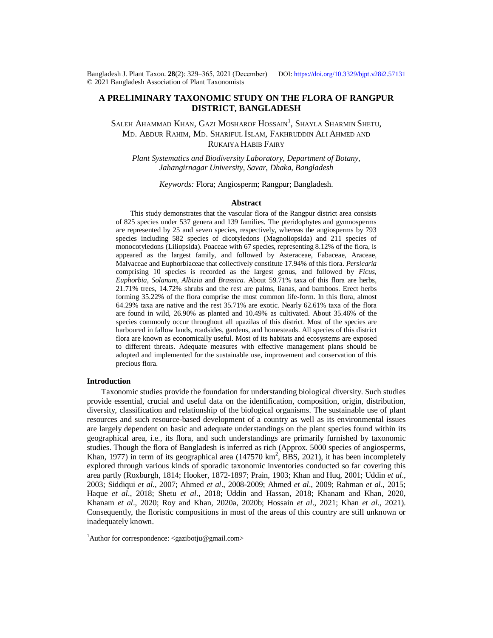Bangladesh J. Plant Taxon. **28**(2): 329‒365, 2021 (December) DOI:<https://doi.org/10.3329/bjpt.v28i2.57131> © 2021 Bangladesh Association of Plant Taxonomists

### **A PRELIMINARY TAXONOMIC STUDY ON THE FLORA OF RANGPUR DISTRICT, BANGLADESH**

Saleh Ahammad Khan, Gazi Mosharof Hossain $^{\rm l}$ , Shayla Sharmin Shetu, MD. ABDUR RAHIM, MD. SHARIFUL ISLAM, FAKHRUDDIN ALI AHMED AND RUKAIYA HABIB FAIRY

*Plant Systematics and Biodiversity Laboratory, Department of Botany, Jahangirnagar University, Savar, Dhaka, Bangladesh*

*Keywords:* Flora; Angiosperm; Rangpur; Bangladesh.

#### **Abstract**

This study demonstrates that the vascular flora of the Rangpur district area consists of 825 species under 537 genera and 139 families. The pteridophytes and gymnosperms are represented by 25 and seven species, respectively, whereas the angiosperms by 793 species including 582 species of dicotyledons (Magnoliopsida) and 211 species of monocotyledons (Liliopsida). Poaceae with 67 species, representing 8.12% of the flora, is appeared as the largest family, and followed by Asteraceae, Fabaceae, Araceae, Malvaceae and Euphorbiaceae that collectively constitute 17.94% of this flora. *Persicaria* comprising 10 species is recorded as the largest genus, and followed by *Ficus*, *Euphorbia*, *Solanum*, *Albizia* and *Brassica*. About 59.71% taxa of this flora are herbs, 21.71% trees, 14.72% shrubs and the rest are palms, lianas, and bamboos. Erect herbs forming 35.22% of the flora comprise the most common life-form. In this flora, almost 64.29% taxa are native and the rest 35.71% are exotic. Nearly 62.61% taxa of the flora are found in wild, 26.90% as planted and 10.49% as cultivated. About 35.46% of the species commonly occur throughout all upazilas of this district. Most of the species are harboured in fallow lands, roadsides, gardens, and homesteads. All species of this district flora are known as economically useful. Most of its habitats and ecosystems are exposed to different threats. Adequate measures with effective management plans should be adopted and implemented for the sustainable use, improvement and conservation of this precious flora.

#### **Introduction**

Taxonomic studies provide the foundation for understanding biological diversity. Such studies provide essential, crucial and useful data on the identification, composition, origin, distribution, diversity, classification and relationship of the biological organisms. The sustainable use of plant resources and such resource-based development of a country as well as its environmental issues are largely dependent on basic and adequate understandings on the plant species found within its geographical area, i.e., its flora, and such understandings are primarily furnished by taxonomic studies. Though the flora of Bangladesh is inferred as rich (Approx. 5000 species of angiosperms, Khan, 1977) in term of its geographical area (147570 km<sup>2</sup>, BBS, 2021), it has been incompletely explored through various kinds of sporadic taxonomic inventories conducted so far covering this area partly (Roxburgh, 1814; Hooker, 1872-1897; Prain, 1903; Khan and Huq, 2001; Uddin *et al*., 2003; Siddiqui *et al*., 2007; Ahmed *et al*., 2008-2009; Ahmed *et al*., 2009; Rahman *et al*., 2015; Haque *et al*., 2018; Shetu *et al*., 2018; Uddin and Hassan, 2018; Khanam and Khan, 2020, Khanam *et al*., 2020; Roy and Khan, 2020a, 2020b; Hossain *et al*., 2021; Khan *et al*., 2021). Consequently, the floristic compositions in most of the areas of this country are still unknown or inadequately known.

<sup>&</sup>lt;sup>1</sup>Author for correspondence: <[gazibotju@gmail.com>](mailto:gazibotju@gmail.com)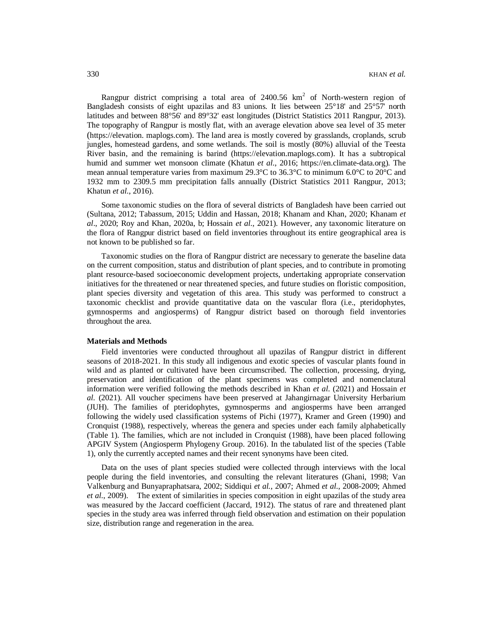Rangpur district comprising a total area of 2400.56  $km^2$  of North-western region of Bangladesh consists of eight upazilas and 83 unions. It lies between 25°18' and 25°57' north latitudes and between 88°56' and 89°32' east longitudes (District Statistics 2011 Rangpur, 2013). The topography of Rangpur is mostly flat, with an average elevation above sea level of 35 meter (<https://elevation.> maplogs.com). The land area is mostly covered by grasslands, croplands, scrub jungles, homestead gardens, and some wetlands. The soil is mostly (80%) alluvial of the Teesta River basin, and the remaining is barind [\(https://elevation.maplogs.com\).](https://elevation.maplogs.com).) It has a subtropical humid and summer wet monsoon climate (Khatun *et al*., 2016; [https://en.climate-data.org\).](https://en.climate-data.org).) The mean annual temperature varies from maximum 29.3°C to 36.3°C to minimum 6.0°C to 20°C and 1932 mm to 2309.5 mm precipitation falls annually (District Statistics 2011 Rangpur, 2013; Khatun *et al*., 2016).

Some taxonomic studies on the flora of several districts of Bangladesh have been carried out (Sultana, 2012; Tabassum, 2015; Uddin and Hassan, 2018; Khanam and Khan, 2020; Khanam *et al*., 2020; Roy and Khan, 2020a, b; Hossain *et al*., 2021). However, any taxonomic literature on the flora of Rangpur district based on field inventories throughout its entire geographical area is not known to be published so far.

Taxonomic studies on the flora of Rangpur district are necessary to generate the baseline data on the current composition, status and distribution of plant species, and to contribute in promoting plant resource-based socioeconomic development projects, undertaking appropriate conservation initiatives for the threatened or near threatened species, and future studies on floristic composition, plant species diversity and vegetation of this area. This study was performed to construct a taxonomic checklist and provide quantitative data on the vascular flora (i.e., pteridophytes, gymnosperms and angiosperms) of Rangpur district based on thorough field inventories throughout the area.

### **Materials and Methods**

Field inventories were conducted throughout all upazilas of Rangpur district in different seasons of 2018-2021. In this study all indigenous and exotic species of vascular plants found in wild and as planted or cultivated have been circumscribed. The collection, processing, drying, preservation and identification of the plant specimens was completed and nomenclatural information were verified following the methods described in Khan *et al*. (2021) and Hossain *et al.* (2021). All voucher specimens have been preserved at Jahangirnagar University Herbarium (JUH). The families of pteridophytes, gymnosperms and angiosperms have been arranged following the widely used classification systems of Pichi (1977), Kramer and Green (1990) and Cronquist (1988), respectively, whereas the genera and species under each family alphabetically (Table 1). The families, which are not included in Cronquist (1988), have been placed following APGIV System (Angiosperm Phylogeny Group. 2016). In the tabulated list of the species (Table 1), only the currently accepted names and their recent synonyms have been cited.

Data on the uses of plant species studied were collected through interviews with the local people during the field inventories, and consulting the relevant literatures (Ghani, 1998; Van Valkenburg and Bunyapraphatsara, 2002; Siddiqui *et al.*, 2007; Ahmed *et al*., 2008-2009; Ahmed *et al*., 2009). The extent of similarities in species composition in eight upazilas of the study area was measured by the Jaccard coefficient (Jaccard, 1912). The status of rare and threatened plant species in the study area was inferred through field observation and estimation on their population size, distribution range and regeneration in the area.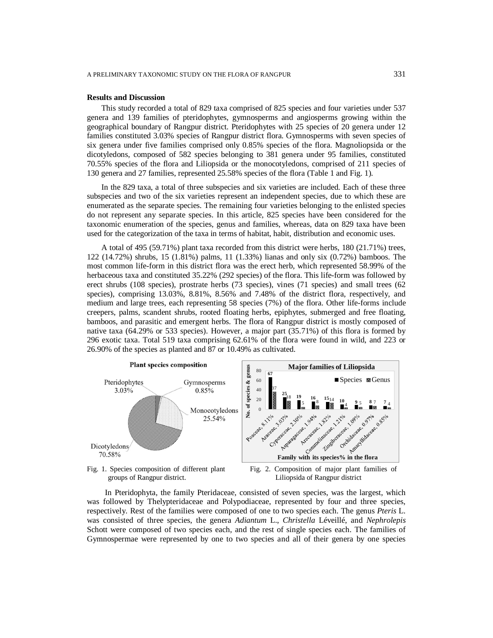#### **Results and Discussion**

This study recorded a total of 829 taxa comprised of 825 species and four varieties under 537 genera and 139 families of pteridophytes, gymnosperms and angiosperms growing within the geographical boundary of Rangpur district. Pteridophytes with 25 species of 20 genera under 12 families constituted 3.03% species of Rangpur district flora. Gymnosperms with seven species of six genera under five families comprised only 0.85% species of the flora. Magnoliopsida or the dicotyledons, composed of 582 species belonging to 381 genera under 95 families, constituted 70.55% species of the flora and Liliopsida or the monocotyledons, comprised of 211 species of 130 genera and 27 families, represented 25.58% species of the flora (Table 1 and Fig. 1).

In the 829 taxa, a total of three subspecies and six varieties are included. Each of these three subspecies and two of the six varieties represent an independent species, due to which these are enumerated as the separate species. The remaining four varieties belonging to the enlisted species do not represent any separate species. In this article, 825 species have been considered for the taxonomic enumeration of the species, genus and families, whereas, data on 829 taxa have been used for the categorization of the taxa in terms of habitat, habit, distribution and economic uses.

A total of 495 (59.71%) plant taxa recorded from this district were herbs, 180 (21.71%) trees, 122 (14.72%) shrubs, 15 (1.81%) palms, 11 (1.33%) lianas and only six (0.72%) bamboos. The most common life-form in this district flora was the erect herb, which represented 58.99% of the herbaceous taxa and constituted 35.22% (292 species) of the flora. This life-form was followed by erect shrubs (108 species), prostrate herbs (73 species), vines (71 species) and small trees (62 species), comprising 13.03%, 8.81%, 8.56% and 7.48% of the district flora, respectively, and medium and large trees, each representing 58 species (7%) of the flora. Other life-forms include creepers, palms, scandent shrubs, rooted floating herbs, epiphytes, submerged and free floating, bamboos, and parasitic and emergent herbs. The flora of Rangpur district is mostly composed of native taxa (64.29% or 533 species). However, a major part (35.71%) of this flora is formed by 296 exotic taxa. Total 519 taxa comprising 62.61% of the flora were found in wild, and 223 or 26.90% of the species as planted and 87 or 10.49% as cultivated.



groups of Rangpur district.

Fig. 2. Composition of major plant families of Liliopsida of Rangpur district

In Pteridophyta, the family Pteridaceae, consisted of seven species, was the largest, which was followed by Thelypteridaceae and Polypodiaceae, represented by four and three species, respectively. Rest of the families were composed of one to two species each. The genus *Pteris* L. was consisted of three species, the genera *Adiantum* L., *Christella* Léveillé, and *Nephrolepis* Schott were composed of two species each, and the rest of single species each. The families of Gymnospermae were represented by one to two species and all of their genera by one species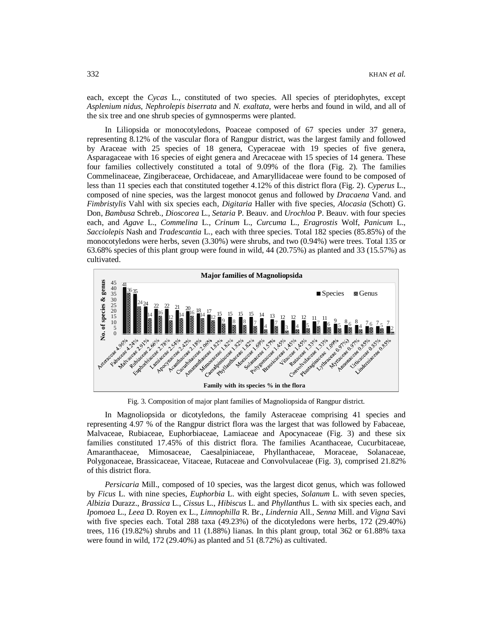each, except the *Cycas* L., constituted of two species. All species of pteridophytes, except *Asplenium nidus*, *Nephrolepis biserrata* and *N. exaltata*, were herbs and found in wild, and all of the six tree and one shrub species of gymnosperms were planted.

In Liliopsida or monocotyledons, Poaceae composed of 67 species under 37 genera, representing 8.12% of the vascular flora of Rangpur district, was the largest family and followed by Araceae with 25 species of 18 genera, Cyperaceae with 19 species of five genera, Asparagaceae with 16 species of eight genera and Arecaceae with 15 species of 14 genera. These four families collectively constituted a total of 9.09% of the flora (Fig. 2). The families Commelinaceae, Zingiberaceae, Orchidaceae, and Amaryllidaceae were found to be composed of less than 11 species each that constituted together 4.12% of this district flora (Fig. 2). *Cyperus* L., composed of nine species, was the largest monocot genus and followed by *Dracaena* Vand. and *Fimbristylis* Vahl with six species each, *Digitaria* Haller with five species, *Alocasia* (Schott) G. Don, *Bambusa* Schreb., *Dioscorea* L., *Setaria* P. Beauv. and *Urochloa* P. Beauv. with four species each, and *Agave* L., *Commelina* L., *Crinum* L., *Curcuma* L., *Eragrostis* Wolf, *Panicum* L., *Sacciolepis* Nash and *Tradescantia* L., each with three species. Total 182 species (85.85%) of the monocotyledons were herbs, seven (3.30%) were shrubs, and two (0.94%) were trees. Total 135 or 63.68% species of this plant group were found in wild, 44 (20.75%) as planted and 33 (15.57%) as cultivated.



Fig. 3. Composition of major plant families of Magnoliopsida of Rangpur district.

In Magnoliopsida or dicotyledons, the family Asteraceae comprising 41 species and representing 4.97 % of the Rangpur district flora was the largest that was followed by Fabaceae, Malvaceae, Rubiaceae, Euphorbiaceae, Lamiaceae and Apocynaceae (Fig. 3) and these six families constituted 17.45% of this district flora. The families Acanthaceae, Cucurbitaceae, Amaranthaceae, Mimosaceae, Caesalpiniaceae, Phyllanthaceae, Moraceae, Solanaceae, Polygonaceae, Brassicaceae, Vitaceae, Rutaceae and Convolvulaceae (Fig. 3), comprised 21.82% of this district flora.

*Persicaria* Mill., composed of 10 species, was the largest dicot genus, which was followed by *Ficus* L. with nine species, *Euphorbia* L. with eight species, *Solanum* L. with seven species, *Albizia* Durazz., *Brassica* L., *Cissus* L., *Hibiscus* L. and *Phyllanthus* L. with six species each, and *Ipomoea* L., *Leea* D. Royen ex L., *Limnophilla* R. Br., *Lindernia* All., *Senna* Mill. and *Vigna* Savi with five species each. Total 288 taxa (49.23%) of the dicotyledons were herbs, 172 (29.40%) trees, 116 (19.82%) shrubs and 11 (1.88%) lianas. In this plant group, total 362 or 61.88% taxa were found in wild, 172 (29.40%) as planted and 51 (8.72%) as cultivated.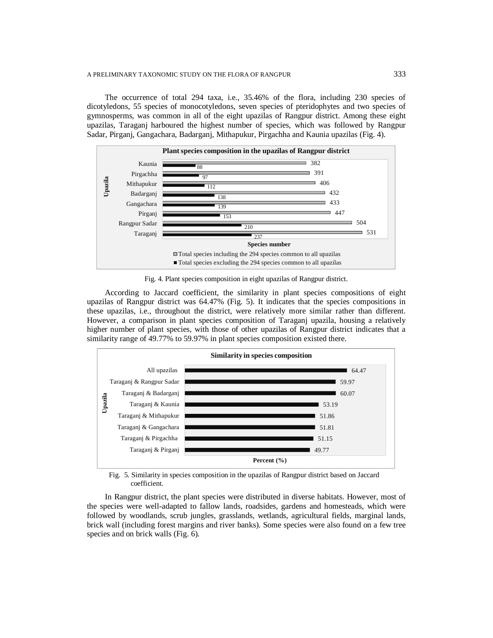The occurrence of total 294 taxa, i.e., 35.46% of the flora, including 230 species of dicotyledons, 55 species of monocotyledons, seven species of pteridophytes and two species of gymnosperms, was common in all of the eight upazilas of Rangpur district. Among these eight upazilas, Taraganj harboured the highest number of species, which was followed by Rangpur Sadar, Pirganj, Gangachara, Badarganj, Mithapukur, Pirgachha and Kaunia upazilas (Fig. 4).



Fig. 4. Plant species composition in eight upazilas of Rangpur district.

According to Jaccard coefficient, the similarity in plant species compositions of eight upazilas of Rangpur district was 64.47% (Fig. 5). It indicates that the species compositions in these upazilas, i.e., throughout the district, were relatively more similar rather than different. However, a comparison in plant species composition of Taraganj upazila, housing a relatively higher number of plant species, with those of other upazilas of Rangpur district indicates that a similarity range of 49.77% to 59.97% in plant species composition existed there.



Fig. 5. Similarity in species composition in the upazilas of Rangpur district based on Jaccard coefficient.

In Rangpur district, the plant species were distributed in diverse habitats. However, most of the species were well-adapted to fallow lands, roadsides, gardens and homesteads, which were followed by woodlands, scrub jungles, grasslands, wetlands, agricultural fields, marginal lands, brick wall (including forest margins and river banks). Some species were also found on a few tree species and on brick walls (Fig. 6).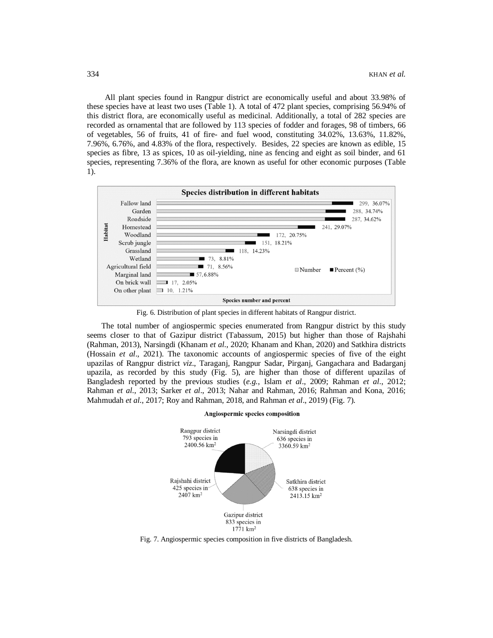All plant species found in Rangpur district are economically useful and about 33.98% of these species have at least two uses (Table 1). A total of 472 plant species, comprising 56.94% of this district flora, are economically useful as medicinal. Additionally, a total of 282 species are recorded as ornamental that are followed by 113 species of fodder and forages, 98 of timbers, 66 of vegetables, 56 of fruits, 41 of fire- and fuel wood, constituting 34.02%, 13.63%, 11.82%, 7.96%, 6.76%, and 4.83% of the flora, respectively. Besides, 22 species are known as edible, 15 species as fibre, 13 as spices, 10 as oil-yielding, nine as fencing and eight as soil binder, and 61 species, representing 7.36% of the flora, are known as useful for other economic purposes (Table 1).



Fig. 6. Distribution of plant species in different habitats of Rangpur district.

The total number of angiospermic species enumerated from Rangpur district by this study seems closer to that of Gazipur district (Tabassum, 2015) but higher than those of Rajshahi (Rahman, 2013), Narsingdi (Khanam *et al*., 2020; Khanam and Khan, 2020) and Satkhira districts (Hossain *et al*., 2021). The taxonomic accounts of angiospermic species of five of the eight upazilas of Rangpur district *viz*., Taraganj, Rangpur Sadar, Pirganj, Gangachara and Badarganj upazila, as recorded by this study (Fig. 5), are higher than those of different upazilas of Bangladesh reported by the previous studies (*e.g.*, Islam *et al*., 2009; Rahman *et al*., 2012; Rahman *et al*., 2013; Sarker *et al*., 2013; Nahar and Rahman, 2016; Rahman and Kona, 2016; Mahmudah *et al*., 2017; Roy and Rahman, 2018, and Rahman *et al*., 2019) (Fig. 7).



Angiospermic species composition

Fig. 7. Angiospermic species composition in five districts of Bangladesh.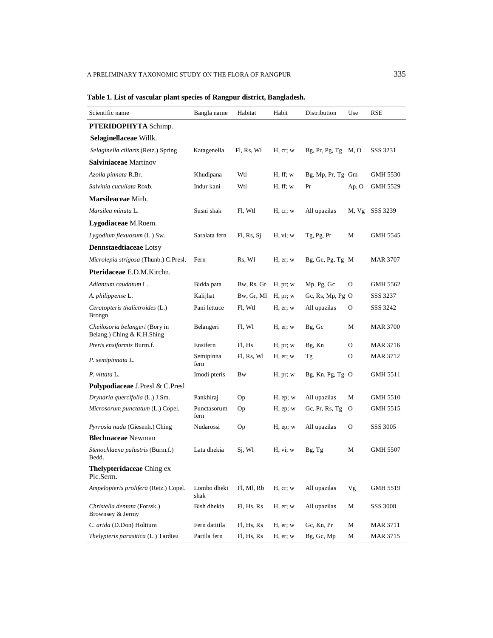| Scientific name                                              | Bangla name         | Habitat    | Habit         | Distribution          | Use     | <b>RSE</b>      |
|--------------------------------------------------------------|---------------------|------------|---------------|-----------------------|---------|-----------------|
| PTERIDOPHYTA Schimp.                                         |                     |            |               |                       |         |                 |
| Selaginellaceae Willk.                                       |                     |            |               |                       |         |                 |
| Selaginella ciliaris (Retz.) Spring                          | Katagenella         | Fl, Rs, Wl | H, cr, w      | $Bg, Pr, Pg, Tg$ M, O |         | SSS 3231        |
| <b>Salviniaceae</b> Martinov                                 |                     |            |               |                       |         |                 |
| Azolla pinnata R.Br.                                         | Khudipana           | Wtl        | H, ff; w      | Bg, Mp, Pr, Tg Gm     |         | <b>GMH 5530</b> |
| Salvinia cucullata Roxb.                                     | Indur kani          | Wtl        | H, ff; w      | Pr                    | Ap, O   | GMH 5529        |
| <b>Marsileaceae</b> Mirb.                                    |                     |            |               |                       |         |                 |
| Marsilea minuta L.                                           | Susni shak          | Fl, Wtl    | H, cr, w      | All upazilas          | M, Vg   | SSS 3239        |
| Lygodiaceae M.Roem.                                          |                     |            |               |                       |         |                 |
| Lygodium flexuosum (L.) Sw.                                  | Saralata fern       | Fl, Rs, Sj | H, vi; w      | Tg, Pg, Pr            | М       | GMH 5545        |
| <b>Dennstaedtiaceae</b> Lotsy                                |                     |            |               |                       |         |                 |
| Microlepia strigosa (Thunb.) C.Presl.                        | Fern                | Rs, Wl     | $H$ , er; w   | $Bg, Gc, Pg, Tg$ M    |         | MAR 3707        |
| Pteridaceae E.D.M.Kirchn.                                    |                     |            |               |                       |         |                 |
| Adiantum caudatum L.                                         | Bidda pata          | Bw, Rs, Gr | H, pr; w      | Mp, Pg, Gc            | 0       | GMH 5562        |
| A. philippense L.                                            | Kalijhat            | Bw, Gr, Ml | H, pr; w      | Gc, Rs, Mp, Pg $O$    |         | SSS 3237        |
| Ceratopteris thalictroides (L.)<br>Brongn.                   | Pani lettuce        | Fl, Wtl    | H, er; w      | All upazilas          | 0       | SSS 3242        |
| Cheilosoria belangeri (Bory in<br>Belang.) Ching & K.H.Shing | Belangeri           | Fl, Wl     | $H$ , er; w   | Bg, Gc                | М       | <b>MAR 3700</b> |
| Pteris ensiformis Burm.f.                                    | Ensifern            | Fl. Hs     | H, pr; w      | Bg, Kn                | $\circ$ | <b>MAR 3716</b> |
| P. semipinnata L.                                            | Semipinna<br>fern   | Fl, Rs, Wl | H, er; w      | Tg                    | 0       | <b>MAR 3712</b> |
| P. vittata L.                                                | Imodi pteris        | Bw         | H, pr; w      | $Bg, Kn, Pg, Tg$ O    |         | GMH 5511        |
| Polypodiaceae J.Presl & C.Presl                              |                     |            |               |                       |         |                 |
| Drynaria quercifolia (L.) J.Sm.                              | Pankhiraj           | Op         | $H$ , ep; $w$ | All upazilas          | М       | <b>GMH 5510</b> |
| Microsorum punctatum (L.) Copel.                             | Punctasorum<br>fern | Oр         | $H$ , ep; $w$ | Gc, Pr, Rs, Tg        | O       | GMH 5515        |
| Pyrrosia nuda (Giesenh.) Ching                               | Nudarossi           | Op         | $H$ , ep; $w$ | All upazilas          | 0       | SSS 3005        |
| <b>Blechnaceae</b> Newman                                    |                     |            |               |                       |         |                 |
| Stenochlaena palustris (Burm.f.)<br>Bedd.                    | Lata dhekia         | Sj, Wl     | H, vi; w      | Bg, Tg                | М       | <b>GMH 5507</b> |
| Thelypteridaceae Ching ex<br>Pic.Serm.                       |                     |            |               |                       |         |                 |
| Ampelopteris prolifera (Retz.) Copel.                        | Lombo dheki<br>shak | Fl, Ml, Rb | H, cr, w      | All upazilas          | Vg      | GMH 5519        |
| Christella dentata (Forssk.)<br>Brownsey & Jermy             | Bish dhekia         | Fl, Hs, Rs | $H$ , er; $w$ | All upazilas          | М       | <b>SSS 3008</b> |
| C. arida (D.Don) Holttum                                     | Fern datitila       | Fl, Hs, Rs | H, er; w      | Gc, Kn, Pr            | M       | <b>MAR 3711</b> |
| Thelypteris parasitica (L.) Tardieu                          | Partila fern        | Fl, Hs, Rs | $H$ , er; $w$ | Bg, Gc, Mp            | М       | <b>MAR 3715</b> |

# **Table 1. List of vascular plant species of Rangpur district, Bangladesh.**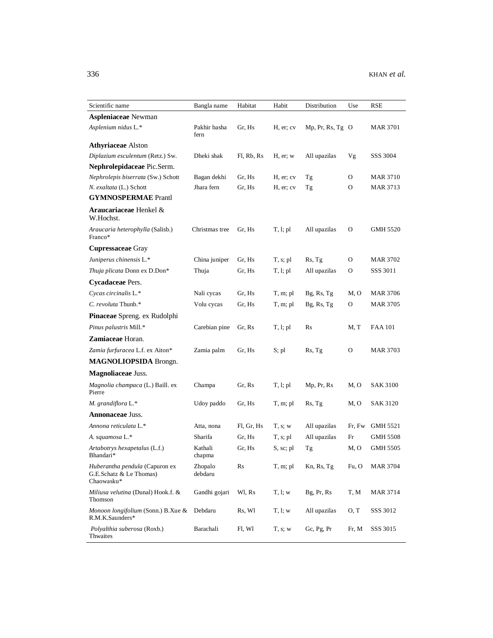| Scientific name                                                         | Bangla name          | Habitat    | Habit      | Distribution     | Use      | RSE             |
|-------------------------------------------------------------------------|----------------------|------------|------------|------------------|----------|-----------------|
| <b>Aspleniaceae</b> Newman                                              |                      |            |            |                  |          |                 |
| Asplenium nidus L.*                                                     | Pakhir basha<br>fern | Gr, Hs     | H, er; cv  | Mp, Pr, Rs, Tg O |          | MAR 3701        |
| <b>Athyriaceae</b> Alston                                               |                      |            |            |                  |          |                 |
| Diplazium esculentum (Retz.) Sw.                                        | Dheki shak           | Fl, Rb, Rs | H, er; w   | All upazilas     | Vg       | SSS 3004        |
| Nephrolepidaceae Pic.Serm.                                              |                      |            |            |                  |          |                 |
| Nephrolepis biserrata (Sw.) Schott                                      | Bagan dekhi          | Gr, Hs     | H, er; cv  | Tg               | O        | <b>MAR 3710</b> |
| N. exaltata (L.) Schott                                                 | Jhara fern           | Gr, Hs     | H, er; cv  | Tg               | $\Omega$ | MAR 3713        |
| <b>GYMNOSPERMAE</b> Prantl                                              |                      |            |            |                  |          |                 |
| Araucariaceae Henkel &<br>W.Hochst.                                     |                      |            |            |                  |          |                 |
| Araucaria heterophylla (Salisb.)<br>Franco*                             | Christmas tree       | Gr, Hs     | T, l; pl   | All upazilas     | $\Omega$ | GMH 5520        |
| <b>Cupressaceae</b> Gray                                                |                      |            |            |                  |          |                 |
| Juniperus chinensis L.*                                                 | China juniper        | Gr, Hs     | T, s; pl   | Rs, Tg           | $\Omega$ | MAR 3702        |
| Thuja plicata Donn ex D.Don*                                            | Thuja                | Gr, Hs     | T, l; pl   | All upazilas     | O        | SSS 3011        |
| Cycadaceae Pers.                                                        |                      |            |            |                  |          |                 |
| Cycas circinalis L.*                                                    | Nali cycas           | Gr, Hs     | T, m; pl   | $Bg$ , Rs, Tg    | M.O      | MAR 3706        |
| C. revoluta Thunb.*                                                     | Volu cycas           | Gr, Hs     | T, m; pl   | Bg, Rs, Tg       | O        | <b>MAR 3705</b> |
| Pinaceae Spreng. ex Rudolphi                                            |                      |            |            |                  |          |                 |
| Pinus palustris Mill.*                                                  | Carebian pine        | Gr, Rs     | T, l; pl   | Rs               | M, T     | <b>FAA 101</b>  |
| <b>Zamiaceae Horan.</b>                                                 |                      |            |            |                  |          |                 |
| Zamia furfuracea L.f. ex Aiton*                                         | Zamia palm           | Gr, Hs     | S; pl      | Rs, Tg           | 0        | <b>MAR 3703</b> |
| MAGNOLIOPSIDA Brongn.                                                   |                      |            |            |                  |          |                 |
| <b>Magnoliaceae Juss.</b>                                               |                      |            |            |                  |          |                 |
| Magnolia champaca (L.) Baill. ex<br>Pierre                              | Champa               | Gr, Rs     | T, l; pl   | Mp, Pr, Rs       | M, O     | SAK 3100        |
| M. grandiflora L.*                                                      | Udoy paddo           | Gr, Hs     | T, m; pl   | Rs, Tg           | M, O     | SAK 3120        |
| <b>Annonaceae Juss.</b>                                                 |                      |            |            |                  |          |                 |
| Annona reticulata L.*                                                   | Atta, nona           | Fl, Gr, Hs | T, s; w    | All upazilas     | Fr, Fw   | <b>GMH 5521</b> |
| A. squamosa L.*                                                         | Sharifa              | Gr, Hs     | $T, s;$ pl | All upazilas     | Fr       | GMH 5508        |
| Artabotrys hexapetalus (L.f.)<br>Bhandari*                              | Kathali<br>chapma    | Gr, Hs     | S, sc; pl  | Tg               | M.O      | GMH 5505        |
| Huberantha pendula (Capuron ex<br>G.E.Schatz & Le Thomas)<br>Chaowasku* | Zhopalo<br>debdaru   | Rs         | T, m; pl   | Kn, Rs, Tg       | Fu, O    | MAR 3704        |
| Miliusa velutina (Dunal) Hook.f. &<br>Thomson                           | Gandhi gojari        | Wl, Rs     | T, l; w    | Bg, Pr, Rs       | T, M     | MAR 3714        |
| Monoon longifolium (Sonn.) B.Xue &<br>R.M.K.Saunders*                   | Debdaru              | Rs, Wl     | T, l; w    | All upazilas     | O, T     | SSS 3012        |
| Polyalthia suberosa (Roxb.)<br>Thwaites                                 | Barachali            | Fl, Wl     | T, s; w    | Gc, Pg, Pr       | Fr, M    | SSS 3015        |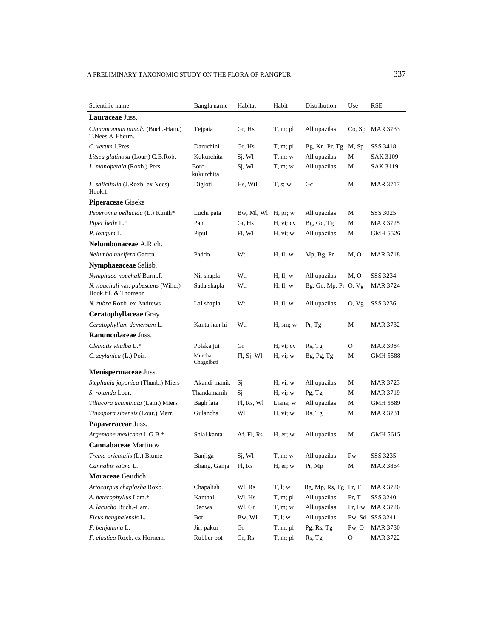| Scientific name                                                   | Bangla name           | Habitat    | Habit      | Distribution             | Use    | RSE             |
|-------------------------------------------------------------------|-----------------------|------------|------------|--------------------------|--------|-----------------|
| Lauraceae Juss.                                                   |                       |            |            |                          |        |                 |
| Cinnamomum tamala (Buch.-Ham.)<br>T.Nees & Eberm.                 | Tejpata               | Gr, Hs     | T, m; pl   | All upazilas             | Co, Sp | <b>MAR 3733</b> |
| C. verum J.Presl                                                  | Daruchini             | Gr. Hs     | T, m; pl   | $Bg, Kn, Pr, Tg$ M, $Sp$ |        | SSS 3418        |
| Litsea glutinosa (Lour.) C.B.Rob.                                 | Kukurchita            | Sj, Wl     | T, m; w    | All upazilas             | М      | SAK 3109        |
| L. monopetala (Roxb.) Pers.                                       | Boro-<br>kukurchita   | Sj, Wl     | T, m; w    | All upazilas             | М      | SAK 3119        |
| <i>L. salicifolia</i> (J.Roxb. ex Nees)<br>Hook.f.                | Digloti               | Hs, Wtl    | T, s; w    | Gc                       | М      | <b>MAR 3717</b> |
| <b>Piperaceae</b> Giseke                                          |                       |            |            |                          |        |                 |
| Peperomia pellucida (L.) Kunth*                                   | Luchi pata            | Bw, Ml, Wl | H, pr; w   | All upazilas             | М      | SSS 3025        |
| Piper betle L.*                                                   | Pan                   | Gr, Hs     | H, vi; cv  | Bg, Gc, Tg               | М      | <b>MAR 3725</b> |
| P. longum L.                                                      | Pipul                 | Fl, Wl     | H, vi; w   | All upazilas             | М      | GMH 5526        |
| <b>Nelumbonaceae</b> A.Rich.                                      |                       |            |            |                          |        |                 |
| Nelumbo nucifera Gaertn.                                          | Paddo                 | Wtl        | H, fl; w   | Mp, Bg, Pr               | M, O   | <b>MAR 3718</b> |
| Nymphaeaceae Salisb.                                              |                       |            |            |                          |        |                 |
| Nymphaea nouchali Burm.f.                                         | Nil shapla            | Wtl        | H, fl; w   | All upazilas             | M, O   | SSS 3234        |
| <i>N. nouchali var. pubescens</i> (Willd.)<br>Hook.fil. & Thomson | Sada shapla           | Wtl        | H, fl; w   | Bg, Gc, Mp, Pr O, Vg     |        | <b>MAR 3724</b> |
| N. rubra Roxb. ex Andrews                                         | Lal shapla            | Wtl        | H, fl; w   | All upazilas             | O, Vg  | SSS 3236        |
| Ceratophyllaceae Gray                                             |                       |            |            |                          |        |                 |
| Ceratophyllum demersum L.                                         | Kantajhanjhi          | Wtl        | H, sm; w   | Pr, Tg                   | М      | MAR 3732        |
| <b>Ranunculaceae Juss.</b>                                        |                       |            |            |                          |        |                 |
| Clematis vitalba L.*                                              | Polaka jui            | Gr         | H, vi; cv  | Rs, Tg                   | 0      | MAR 3984        |
| C. zeylanica (L.) Poir.                                           | Murcha,<br>Chagolbati | F1, Sj, W1 | H, vi; w   | Bg, Pg, Tg               | М      | GMH 5588        |
| Menispermaceae Juss.                                              |                       |            |            |                          |        |                 |
| Stephania japonica (Thunb.) Miers                                 | Akandi manik          | Sj         | H, vi; w   | All upazilas             | М      | <b>MAR 3723</b> |
| S. rotunda Lour.                                                  | Thandamanik           | Sj         | H, vi; w   | Pg, Tg                   | M      | MAR 3719        |
| Tiliacora acuminata (Lam.) Miers                                  | Bagh lata             | Fl, Rs, Wl | Liana; w   | All upazilas             | М      | GMH 5589        |
| Tinospora sinensis (Lour.) Merr.                                  | Gulancha              | Wl         | H, vi; w   | Rs, Tg                   | М      | <b>MAR 3731</b> |
| Papaveraceae Juss.                                                |                       |            |            |                          |        |                 |
| Argemone mexicana L.G.B.*                                         | Shial kanta           | Af, Fl, Rs | H, er; w   | All upazilas             | М      | GMH 5615        |
| <b>Cannabaceae</b> Martinov                                       |                       |            |            |                          |        |                 |
| Trema orientalis (L.) Blume                                       | Banjiga               | Sj, Wl     | T, m; w    | All upazilas             | Fw     | SSS 3235        |
| Cannabis sativa L.                                                | Bhang, Ganja          | Fl, Rs     | H, er; w   | Pr, Mp                   | M      | <b>MAR 3864</b> |
| Moraceae Gaudich.                                                 |                       |            |            |                          |        |                 |
| Artocarpus chaplasha Roxb.                                        | Chapalish             | Wl, Rs     | T, l; w    | Bg, Mp, Rs, Tg Fr, T     |        | <b>MAR 3720</b> |
| A. heterophyllus Lam.*                                            | Kanthal               | Wl, Hs     | T, m; pl   | All upazilas             | Fr, T  | SSS 3240        |
| A. lacucha Buch.-Ham.                                             | Deowa                 | Wl, Gr     | $T, m$ ; w | All upazilas             | Fr, Fw | <b>MAR 3726</b> |
| Ficus benghalensis L.                                             | Bot                   | Bw, Wl     | T, l; w    | All upazilas             | Fw, Sd | SSS 3241        |
| F. benjamina L.                                                   | Jiri pakur            | Gr         | T, m; pl   | Pg, Rs, Tg               | Fw, O  | <b>MAR 3730</b> |
| F. elastica Roxb. ex Hornem.                                      | Rubber bot            | Gr, Rs     | T, m; pl   | Rs, Tg                   | O      | <b>MAR 3722</b> |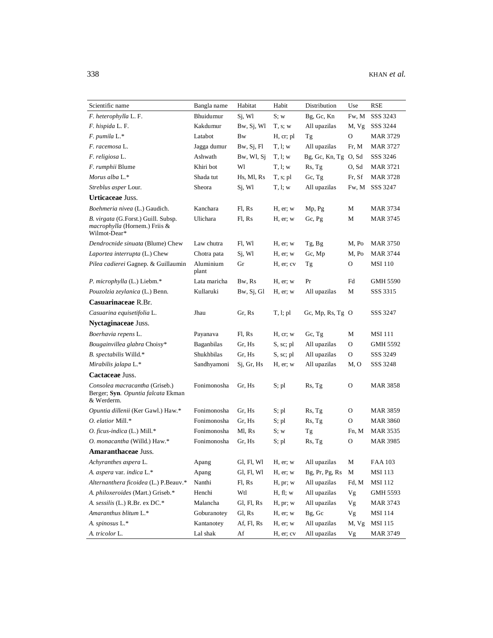| Scientific name                                                                                     | Bangla name        | Habitat    | Habit         | Distribution         | Use    | <b>RSE</b>      |
|-----------------------------------------------------------------------------------------------------|--------------------|------------|---------------|----------------------|--------|-----------------|
| F. heterophylla L. F.                                                                               | Bhuidumur          | Si, Wl     | S; w          | Bg, Gc, Kn           | Fw, M  | SSS 3243        |
| F. hispida L. F.                                                                                    | Kakdumur           | Bw, Sj, Wl | T, s; w       | All upazilas         | M, Vg  | SSS 3244        |
| F. pumila L.*                                                                                       | Latabot            | Bw         | H, cr; pl     | Тg                   | O      | MAR 3729        |
| F. racemosa L.                                                                                      | Jagga dumur        | Bw, Sj, Fl | T, l; w       | All upazilas         | Fr, M  | MAR 3727        |
| F. religiosa L.                                                                                     | Ashwath            | Bw, Wl, Sj | T, l; w       | Bg, Gc, Kn, Tg O, Sd |        | SSS 3246        |
| <i>F. rumphii</i> Blume                                                                             | Khiri bot          | Wl         | T, l; w       | Rs, Tg               | O, Sd  | <b>MAR 3721</b> |
| Morus alba L.*                                                                                      | Shada tut          | Hs, Ml, Rs | $T, s;$ pl    | Gc, Tg               | Fr, Sf | MAR 3728        |
| Streblus asper Lour.                                                                                | Sheora             | Sj, Wl     | T, l; w       | All upazilas         | Fw, M  | SSS 3247        |
| <b>Urticaceae Juss.</b>                                                                             |                    |            |               |                      |        |                 |
| Boehmeria nivea (L.) Gaudich.                                                                       | Kanchara           | Fl. Rs     | $H$ , er; $w$ | Mp, Pg               | М      | MAR 3734        |
| <i>B. virgata</i> (G. Forst.) Guill. Subsp.<br><i>macrophylla</i> (Hornem.) Friis &<br>Wilmot-Dear* | Ulichara           | Fl, Rs     | $H$ , er; $w$ | Gc, Pg               | M      | MAR 3745        |
| Dendrocnide sinuata (Blume) Chew                                                                    | Law chutra         | Fl, Wl     | H, er; w      | Tg, Bg               | M, Po  | MAR 3750        |
| Laportea interrupta (L.) Chew                                                                       | Chotra pata        | Sj, Wl     | H, er; w      | Gc, Mp               | M, Po  | MAR 3744        |
| Pilea cadierei Gagnep. & Guillaumin                                                                 | Aluminium<br>plant | Gr         | H, er; cv     | Тg                   | O      | MSI 110         |
| P. microphylla (L.) Liebm.*                                                                         | Lata maricha       | Bw, Rs     | $H$ , er; $w$ | Pr                   | Fd     | GMH 5590        |
| Pouzolzia zeylanica (L.) Benn.                                                                      | Kullaruki          | Bw, Sj, Gl | H, er; w      | All upazilas         | М      | SSS 3315        |
| Casuarinaceae R.Br.                                                                                 |                    |            |               |                      |        |                 |
| Casuarina equisetifolia L.                                                                          | Jhau               | Gr, Rs     | T, l; pl      | Gc, Mp, Rs, Tg $O$   |        | SSS 3247        |
| Nyctaginaceae Juss.                                                                                 |                    |            |               |                      |        |                 |
| Boerhavia repens L.                                                                                 | Payanava           | Fl, Rs     | H, cr, w      | Gc, Tg               | М      | MSI 111         |
| Bougainvillea glabra Choisy*                                                                        | Baganbilas         | Gr, Hs     | S, sc; pl     | All upazilas         | 0      | GMH 5592        |
| B. spectabilis Willd.*                                                                              | Shukhbilas         | Gr, Hs     | S, sc; pl     | All upazilas         | O      | SSS 3249        |
| Mirabilis jalapa L.*                                                                                | Sandhyamoni        | Si, Gr, Hs | H, er; w      | All upazilas         | M, O   | SSS 3248        |
| Cactaceae Juss.                                                                                     |                    |            |               |                      |        |                 |
| Consolea macracantha (Griseb.)<br>Berger; Syn. Opuntia falcata Ekman<br>& Werderm.                  | Fonimonosha        | Gr, Hs     | S; pl         | Rs, Tg               | O      | MAR 3858        |
| Opuntia dillenii (Ker Gawl.) Haw.*                                                                  | Fonimonosha        | Gr, Hs     | S; pl         | Rs, Tg               | 0      | MAR 3859        |
| O. elatior Mill.*                                                                                   | Fonimonosha        | Gr, Hs     | S; pl         | Rs, Tg               | 0      | MAR 3860        |
| O. ficus-indica (L.) Mill.*                                                                         | Fonimonosha        | Ml, Rs     | S; w          | Тg                   | Fn, M  | MAR 3535        |
| O. monacantha (Willd.) Haw.*                                                                        | Fonimonosha        | Gr, Hs     | S; pl         | Rs, Tg               | O      | <b>MAR 3985</b> |
| Amaranthaceae Juss.                                                                                 |                    |            |               |                      |        |                 |
| Achyranthes aspera L.                                                                               | Apang              | Gl, Fl, Wl | H, er; w      | All upazilas         | M      | <b>FAA 103</b>  |
| A. aspera var. indica L.*                                                                           | Apang              | Gl, Fl, Wl | H, er; w      | Bg, Pr, Pg, Rs       | М      | MSI 113         |
| Alternanthera ficoidea (L.) P.Beauv.*                                                               | Nanthi             | Fl, Rs     | H, pr; w      | All upazilas         | Fd, M  | <b>MSI</b> 112  |
| A. philoxeroides (Mart.) Griseb.*                                                                   | Henchi             | Wtl        | H, fl; w      | All upazilas         | Vg     | GMH 5593        |
| A. sessilis (L.) R.Br. ex DC.*                                                                      | Malancha           | Gl, Fl, Rs | H, pr; w      | All upazilas         | Vg     | MAR 3743        |
| Amaranthus blitum L.*                                                                               | Goburanotey        | Gl, Rs     | H, er; w      | Bg, Gc               | Vg     | <b>MSI</b> 114  |
| A. spinosus L.*                                                                                     | Kantanotey         | Af, Fl, Rs | H, er; w      | All upazilas         | M, Vg  | <b>MSI</b> 115  |
| A. tricolor L.                                                                                      | Lal shak           | Af         | H, er; cv     | All upazilas         | Vg     | <b>MAR 3749</b> |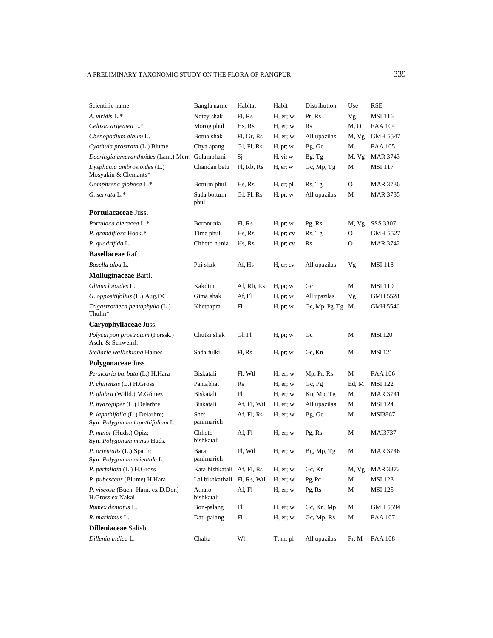| Scientific name                                                           | Bangla name                 | Habitat     | Habit         | Distribution   | Use   | RSE             |
|---------------------------------------------------------------------------|-----------------------------|-------------|---------------|----------------|-------|-----------------|
| A. viridis L.*                                                            | Notey shak                  | Fl, Rs      | $H$ , er; $w$ | Pr, Rs         | Vg    | MSI 116         |
| Celosia argentea L.*                                                      | Morog phul                  | Hs, Rs      | $H$ , er; w   | Rs             | M, O  | <b>FAA 104</b>  |
| Chenopodium album L.                                                      | Botua shak                  | Fl, Gr, Rs  | $H$ , er; $w$ | All upazilas   | M, Vg | GMH 5547        |
| Cyathula prostrata (L.) Blume                                             | Chya apang                  | Gl, Fl, Rs  | H, pr; w      | Bg, Gc         | М     | FAA 105         |
| Deeringia amaranthoides (Lam.) Merr. Golamohani                           |                             | Sj          | H, vi; w      | Bg, Tg         | M, Vg | MAR 3743        |
| Dysphania ambrosioides (L.)<br>Mosyakin & Clemants*                       | Chandan betu                | Fl, Rb, Rs  | $H$ , er; w   | Gc, Mp, Tg     | М     | MSI 117         |
| Gomphrena globosa L.*                                                     | Bottum phul                 | Hs, Rs      | H, er; pl     | Rs, Tg         | 0     | MAR 3736        |
| G. serrata L.*                                                            | Sada bottum<br>phul         | Gl, Fl, Rs  | H, pr; w      | All upazilas   | М     | MAR 3735        |
| Portulacaceae Juss.                                                       |                             |             |               |                |       |                 |
| Portulaca oleracea L.*                                                    | Boronunia                   | Fl, Rs      | H, pr; w      | Pg, Rs         | M, Vg | SSS 3307        |
| P. grandiflora Hook.*                                                     | Time phul                   | Hs, Rs      | H, pr; cv     | Rs, Tg         | 0     | GMH 5527        |
| P. quadrifida L.                                                          | Chhoto nunia                | Hs, Rs      | H, pr; cv     | Rs             | O     | MAR 3742        |
| <b>Basellaceae Raf.</b>                                                   |                             |             |               |                |       |                 |
| Basella alba L.                                                           | Pui shak                    | Af, Hs      | H, cr; cv     | All upazilas   | Vg    | <b>MSI 118</b>  |
| Molluginaceae Bartl.                                                      |                             |             |               |                |       |                 |
| Glinus lotoides L.                                                        | Kakdim                      | Af, Rb, Rs  | H, pr; w      | Gc             | М     | MSI 119         |
| G. oppositifolius (L.) Aug.DC.                                            | Gima shak                   | Af, Fl      | H, pr; w      | All upazilas   | Vg    | <b>GMH 5528</b> |
| Trigastrotheca pentaphylla (L.)<br>Thulin*                                | Khetpapra                   | Fl          | H, pr; w      | Gc, Mp, Pg, Tg | M     | <b>GMH 5546</b> |
| Caryophyllaceae Juss.                                                     |                             |             |               |                |       |                 |
| Polycarpon prostratum (Forssk.)<br>Asch. & Schweinf.                      | Chutki shak                 | Gl, Fl      | H, pr; w      | Gc             | М     | <b>MSI</b> 120  |
| Stellaria wallichiana Haines                                              | Sada fulki                  | Fl, Rs      | H, pr; w      | Gc, Kn         | М     | <b>MSI</b> 121  |
| Polygonaceae Juss.                                                        |                             |             |               |                |       |                 |
| Persicaria barbata (L.) H.Hara                                            | Biskatali                   | Fl, Wtl     | $H$ , er; $w$ | Mp, Pr, Rs     | М     | <b>FAA 106</b>  |
| P. chinensis (L.) H.Gross                                                 | Pantabhat                   | Rs          | $H$ , er; $w$ | Gc, Pg         | Ed, M | <b>MSI</b> 122  |
| P. glabra (Willd.) M.Gómez                                                | Biskatali                   | Fl          | $H$ , er; w   | Kn, Mp, Tg     | М     | MAR 3741        |
| P. hydropiper (L.) Delarbre                                               | Biskatali                   | Af, Fl, Wtl | H, er; w      | All upazilas   | М     | <b>MSI 124</b>  |
| P. lapathifolia (L.) Delarbre;<br><b>Syn</b> . Polygonum lapathifolium L. | Shet<br>panimarich          | Af, Fl, Rs  | $H$ , er; w   | Bg, Gc         | М     | MSI3867         |
| P. minor (Huds.) Opiz;<br>Syn. Polygonum minus Huds.                      | Chhoto-<br>bishkatali       | Af, Fl      | H, er; w      | Pg, Rs         | М     | MAI3737         |
| P. orientalis (L.) Spach;<br>Syn. Polygonum orientale L.                  | Bara<br>panimarich          | Fl. Wtl     | H, er; w      | Bg, Mp, Tg     | М     | MAR 3746        |
| P. perfoliata (L.) H.Gross                                                | Kata bishkatali Af, Fl, Rs  |             | $H$ , er; w   | Gc, Kn         | M, Vg | <b>MAR 3872</b> |
| P. pubescens (Blume) H.Hara                                               | Lal bishkathali Fl, Rs, Wtl |             | $H$ , er; w   | Pg, Pc         | М     | <b>MSI</b> 123  |
| P. viscosa (Buch.-Ham. ex D.Don)<br>H.Gross ex Nakai                      | Athalo<br>bishkatali        | Af, Fl      | H, er; w      | Pg, Rs         | М     | <b>MSI 125</b>  |
| Rumex dentatus L.                                                         | Bon-palang                  | Fl          | H, er; w      | Gc, Kn, Mp     | М     | GMH 5594        |
| R. maritimus L.                                                           | Dati-palang                 | Fl          | H, er; w      | Gc, Mp, Rs     | М     | <b>FAA 107</b>  |
| Dilleniaceae Salisb.                                                      |                             |             |               |                |       |                 |
| Dillenia indica L.                                                        | Chalta                      | Wl          | T, m; pl      | All upazilas   | Fr, M | <b>FAA 108</b>  |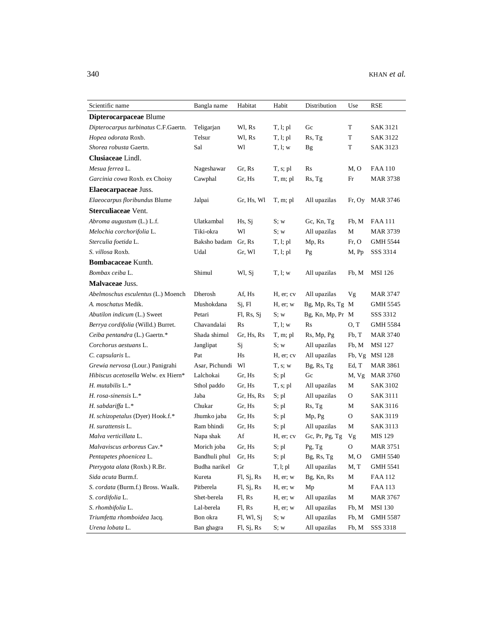| Scientific name                      | Bangla name    | Habitat    | Habit         | Distribution     | Use    | <b>RSE</b>      |
|--------------------------------------|----------------|------------|---------------|------------------|--------|-----------------|
| Dipterocarpaceae Blume               |                |            |               |                  |        |                 |
| Dipterocarpus turbinatus C.F.Gaertn. | Teligarjan     | Wl, Rs     | T, l; pl      | Gc               | T      | SAK 3121        |
| Hopea odorata Roxb.                  | Telsur         | Wl, Rs     | T, l; pl      | Rs, Tg           | T      | <b>SAK 3122</b> |
| Shorea robusta Gaertn.               | Sal            | Wl         | T, l; w       | <b>Bg</b>        | T      | SAK 3123        |
| Clusiaceae Lindl.                    |                |            |               |                  |        |                 |
| Mesua ferrea L.                      | Nageshawar     | Gr, Rs     | T, s; pl      | Rs               | M, O   | <b>FAA 110</b>  |
| Garcinia cowa Roxb. ex Choisy        | Cawphal        | Gr, Hs     | T, m; pl      | Rs, Tg           | Fr     | <b>MAR 3738</b> |
| Elaeocarpaceae Juss.                 |                |            |               |                  |        |                 |
| Elaeocarpus floribundus Blume        | Jalpai         | Gr, Hs, Wl | T, m; pl      | All upazilas     | Fr, Oy | MAR 3746        |
| Sterculiaceae Vent.                  |                |            |               |                  |        |                 |
| Abroma augustum (L.) L.f.            | Ulatkambal     | Hs, Si     | S; w          | Gc, Kn, Tg       | Fb, M  | FAA 111         |
| Melochia corchorifolia L.            | Tiki-okra      | Wl         | S; w          | All upazilas     | М      | <b>MAR 3739</b> |
| Sterculia foetida L.                 | Baksho badam   | Gr, Rs     | T, l; pl      | Mp, Rs           | Fr, O  | GMH 5544        |
| S. villosa Roxb.                     | Udal           | Gr, Wl     | T, l; pl      | Pg               | M, Pp  | SSS 3314        |
| Bombacaceae Kunth.                   |                |            |               |                  |        |                 |
| Bombax ceiba L.                      | Shimul         | Wl, Sj     | T, l; w       | All upazilas     | Fb, M  | MSI 126         |
| Malvaceae Juss.                      |                |            |               |                  |        |                 |
| Abelmoschus esculentus (L.) Moench   | Dherosh        | Af, Hs     | H, er; cv     | All upazilas     | Vg     | <b>MAR 3747</b> |
| A. moschatus Medik.                  | Mushokdana     | Sj, Fl     | $H$ , er; $w$ | Bg, Mp, Rs, Tg M |        | GMH 5545        |
| Abutilon indicum (L.) Sweet          | Petari         | Fl, Rs, Sj | S; w          | Bg, Kn, Mp, Pr M |        | SSS 3312        |
| Berrya cordifolia (Willd.) Burret.   | Chavandalai    | Rs         | T, l; w       | Rs               | O, T   | GMH 5584        |
| Ceiba pentandra (L.) Gaertn.*        | Shada shimul   | Gr, Hs, Rs | T, m; pl      | Rs, Mp, Pg       | Fb, T  | <b>MAR 3740</b> |
| Corchorus aestuans L.                | Janglipat      | Sj         | S; w          | All upazilas     | Fb, M  | <b>MSI 127</b>  |
| C. capsularis L.                     | Pat            | Hs         | H, er; cv     | All upazilas     | Fb, Vg | <b>MSI</b> 128  |
| Grewia nervosa (Lour.) Panigrahi     | Asar, Pichundi | Wl         | T, s; w       | Bg, Rs, Tg       | Ed, T  | <b>MAR 3861</b> |
| Hibiscus acetosella Welw. ex Hiern*  | Lalchokai      | Gr, Hs     | S; pl         | Gc               | M, Vg  | MAR 3760        |
| $H.$ mutabilis $L.*$                 | Sthol paddo    | Gr, Hs     | $T, s;$ pl    | All upazilas     | М      | <b>SAK 3102</b> |
| H. rosa-sinensis L.*                 | Jaba           | Gr, Hs, Rs | S; pl         | All upazilas     | O      | <b>SAK 3111</b> |
| H. sabdariffa L.*                    | Chukar         | Gr, Hs     | S; pl         | Rs, Tg           | М      | SAK 3116        |
| H. schizopetalus (Dyer) Hook.f.*     | Jhumko jaba    | Gr, Hs     | S; pl         | Mp, Pg           | 0      | SAK 3119        |
| H. surattensis L.                    | Ram bhindi     | Gr, Hs     | S; pl         | All upazilas     | М      | SAK 3113        |
| Malva verticillata L.                | Napa shak      | Af         | H, er; cv     | Gc, Pr, Pg, Tg   | Vg     | MIS 129         |
| Malvaviscus arboreus Cav.*           | Morich joba    | Gr, Hs     | $S;$ pl       | Pg, Tg           | О      | <b>MAR 3751</b> |
| Pentapetes phoenicea L.              | Bandhuli phul  | Gr, Hs     | S; pl         | Bg, Rs, Tg       | M, O   | <b>GMH 5540</b> |
| Pterygota alata (Roxb.) R.Br.        | Budha narikel  | Gr         | T, l; pl      | All upazilas     | M, T   | <b>GMH 5541</b> |
| Sida acuta Burm.f.                   | Kureta         | Fl, Sj, Rs | H, er; w      | Bg, Kn, Rs       | М      | FAA 112         |
| S. cordata (Burm.f.) Bross. Waalk.   | Pitberela      | F1, Sj, Rs | $H$ , er; $w$ | Mp               | M      | <b>FAA 113</b>  |
| S. cordifolia L.                     | Shet-berela    | Fl, Rs     | $H$ , er; $w$ | All upazilas     | M      | MAR 3767        |
| S. rhombifolia L.                    | Lal-berela     | Fl, Rs     | H, er; w      | All upazilas     | Fb, M  | <b>MSI 130</b>  |
| Triumfetta rhomboidea Jacq.          | Bon okra       | Fl, Wl, Sj | S; w          | All upazilas     | Fb, M  | GMH 5587        |
| Urena lobata L.                      | Ban ghagra     | Fl, Sj, Rs | S; w          | All upazilas     | Fb, M  | SSS 3318        |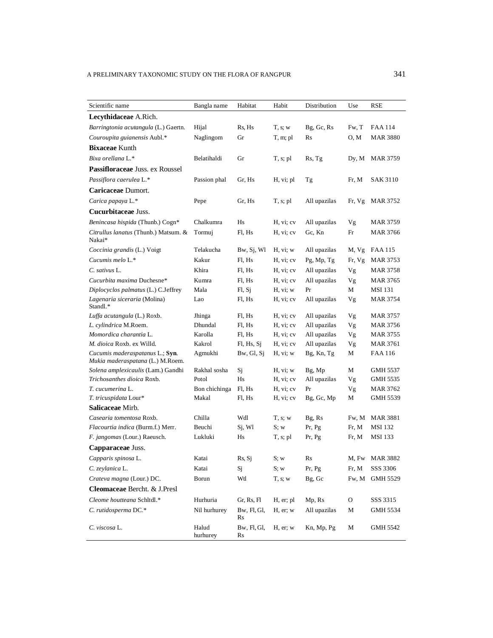| Scientific name                                                     | Bangla name       | Habitat           | Habit       | Distribution  | Use    | RSE             |
|---------------------------------------------------------------------|-------------------|-------------------|-------------|---------------|--------|-----------------|
| Lecythidaceae A.Rich.                                               |                   |                   |             |               |        |                 |
| Barringtonia acutangula (L.) Gaertn.                                | Hijal             | Rs, Hs            | T, s; w     | Bg, Gc, Rs    | Fw, T  | FAA 114         |
| Couroupita guianensis Aubl.*                                        | Naglingom         | Gr                | $T, m;$ pl  | Rs            | 0, M   | <b>MAR 3880</b> |
| <b>Bixaceae Kunth</b>                                               |                   |                   |             |               |        |                 |
| Bixa orellana L.*                                                   | Belatihaldi       | Gr                | $T, s;$ pl  | Rs, Tg        | Dy, M  | <b>MAR 3759</b> |
| Passifloraceae Juss. ex Roussel                                     |                   |                   |             |               |        |                 |
| Passiflora caerulea L.*                                             | Passion phal      | Gr. Hs            | H, vi; pl   | Тg            | Fr, M  | <b>SAK 3110</b> |
| Caricaceae Dumort.                                                  |                   |                   |             |               |        |                 |
| Carica papaya L.*                                                   | Pepe              | Gr, Hs            | T, s; pl    | All upazilas  | Fr, Vg | MAR 3752        |
| Cucurbitaceae Juss.                                                 |                   |                   |             |               |        |                 |
| Benincasa hispida (Thunb.) Cogn*                                    | Chalkumra         | Hs                | H, vi; cv   | All upazilas  | Vg     | MAR 3759        |
| Citrullus lanatus (Thunb.) Matsum. &<br>Nakai*                      | Tormuj            | Fl, Hs            | H, vi; cv   | Gc, Kn        | Fr     | MAR 3766        |
| Coccinia grandis (L.) Voigt                                         | Telakucha         | Bw, Sj, Wl        | H, vi; w    | All upazilas  | M, Vg  | FAA 115         |
| Cucumis melo L.*                                                    | Kakur             | Fl, Hs            | H, vi; cv   | $Pg$ , Mp, Tg | Fr, Vg | MAR 3753        |
| C. sativus L.                                                       | Khira             | Fl, Hs            | H, vi; cv   | All upazilas  | Vg     | MAR 3758        |
| Cucurbita maxima Duchesne*                                          | Kumra             | Fl, Hs            | H, vi; cv   | All upazilas  | Vg     | <b>MAR 3765</b> |
| Diplocyclos palmatus (L.) C.Jeffrey                                 | Mala              | Fl, Sj            | H, vi; w    | Pr            | М      | <b>MSI 131</b>  |
| Lagenaria siceraria (Molina)<br>Standl.*                            | Lao               | Fl. Hs            | H, vi; cv   | All upazilas  | Vg     | MAR 3754        |
| Luffa acutangula (L.) Roxb.                                         | Jhinga            | Fl, Hs            | H, vi; cv   | All upazilas  | Vg     | <b>MAR 3757</b> |
| L. cylindrica M.Roem.                                               | Dhundal           | Fl, Hs            | H, vi; cv   | All upazilas  | Vg     | MAR 3756        |
| Momordica charantia L.                                              | Karolla           | Fl, Hs            | H, vi; cv   | All upazilas  | Vg     | <b>MAR 3755</b> |
| M. dioica Roxb. ex Willd.                                           | Kakrol            | Fl, Hs, Sj        | H, vi; cv   | All upazilas  | Vg     | <b>MAR 3761</b> |
| Cucumis maderaspatanus L.; Syn.<br>Mukia maderaspatana (L.) M.Roem. | Agmukhi           | $Bw$ , Gl, Sj     | H, vi; w    | Bg, Kn, Tg    | М      | FAA 116         |
| Solena amplexicaulis (Lam.) Gandhi                                  | Rakhal sosha      | Sj                | H, vi; w    | Bg, Mp        | М      | <b>GMH 5537</b> |
| Trichosanthes dioica Roxb.                                          | Potol             | H <sub>s</sub>    | H, vi; cv   | All upazilas  | Vg     | GMH 5535        |
| T. cucumerina L.                                                    | Bon chichinga     | Fl, Hs            | H, vi; cv   | Pr            | Vg     | MAR 3762        |
| T. tricuspidata Lour*                                               | Makal             | Fl, Hs            | H, vi; cv   | Bg, Gc, Mp    | М      | GMH 5539        |
| Salicaceae Mirb.                                                    |                   |                   |             |               |        |                 |
| Casearia tomentosa Roxb.                                            | Chilla            | Wdl               | T, s; w     | Bg, Rs        | Fw, M  | <b>MAR 3881</b> |
| Flacourtia indica (Burm.f.) Merr.                                   | Beuchi            | Sj, Wl            | S; w        | Pr, Pg        | Fr, M  | <b>MSI</b> 132  |
| F. jangomas (Lour.) Raeusch.                                        | Lukluki           | Hs                | $T, s;$ pl  | Pr, Pg        | Fr, M  | <b>MSI 133</b>  |
| Capparaceae Juss.                                                   |                   |                   |             |               |        |                 |
| Capparis spinosa L.                                                 | Katai             | Rs, Sj            | S; w        | Rs            |        | M, Fw MAR 3882  |
| C. zeylanica L.                                                     | Katai             | Sj                | S; w        | Pr, Pg        | Fr, M  | SSS 3306        |
| Crateva magna (Lour.) DC.                                           | Borun             | Wtl               | T, s; w     | Bg, Gc        | Fw, M  | GMH 5529        |
| Cleomaceae Bercht. & J.Presl                                        |                   |                   |             |               |        |                 |
| Cleome houtteana Schltdl.*                                          | Hurhuria          | Gr, Rs, Fl        | H, er; pl   | Mp, Rs        | О      | SSS 3315        |
| C. rutidosperma DC.*                                                | Nil hurhurey      | Bw, Fl, Gl,<br>Rs | H, er; w    | All upazilas  | М      | GMH 5534        |
| C. viscosa L.                                                       | Halud<br>hurhurey | Bw, Fl, Gl,<br>Rs | $H$ , er; w | Kn, Mp, Pg    | М      | <b>GMH 5542</b> |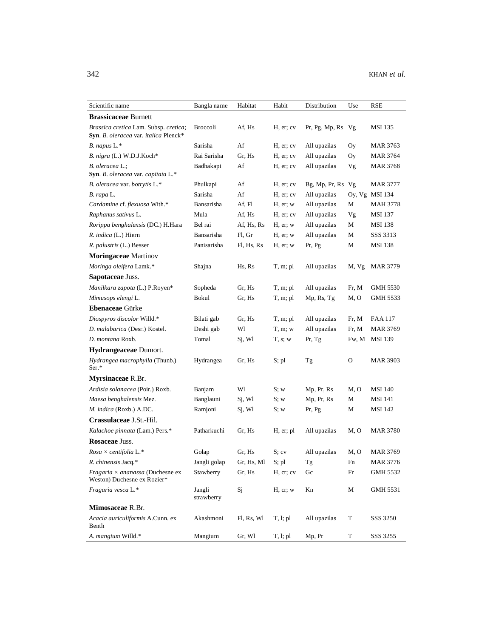| Scientific name                                                                                     | Bangla name          | Habitat    | Habit         | Distribution           | Use   | RSE             |
|-----------------------------------------------------------------------------------------------------|----------------------|------------|---------------|------------------------|-------|-----------------|
| <b>Brassicaceae Burnett</b>                                                                         |                      |            |               |                        |       |                 |
| Brassica cretica Lam. Subsp. cretica;<br><b>Syn.</b> <i>B. oleracea</i> var. <i>italica</i> Plenck* | <b>Broccoli</b>      | Af, Hs     | H, er; cv     | $Pr, Pg, Mp, Rs \; Vg$ |       | <b>MSI</b> 135  |
| B. napus L.*                                                                                        | Sarisha              | Af         | H, er; cv     | All upazilas           | Oy    | MAR 3763        |
| B. nigra (L.) W.D.J.Koch*                                                                           | Rai Sarisha          | Gr, Hs     | H, er; cv     | All upazilas           | Oy    | MAR 3764        |
| B. oleracea L.;                                                                                     | Badhakapi            | Af         | H, er; cv     | All upazilas           | Vg    | <b>MAR 3768</b> |
| <b>Syn</b> . <i>B. oleracea</i> var. <i>capitata</i> L.*                                            |                      |            |               |                        |       |                 |
| B. oleracea var. botrytis L.*                                                                       | Phulkapi             | Af         | H, er; cv     | Bg, Mp, Pr, Rs Vg      |       | <b>MAR 3777</b> |
| B. rapa L.                                                                                          | Sarisha              | Af         | H, er; cv     | All upazilas           |       | Oy, Vg MSI 134  |
| Cardamine cf. flexuosa With.*                                                                       | Bansarisha           | Af, Fl     | $H$ , er; $w$ | All upazilas           | М     | <b>MAH 3778</b> |
| Raphanus sativus L.                                                                                 | Mula                 | Af, Hs     | H, er; cv     | All upazilas           | Vg    | <b>MSI</b> 137  |
| Rorippa benghalensis (DC.) H.Hara                                                                   | Bel rai              | Af, Hs, Rs | $H$ , er; w   | All upazilas           | М     | <b>MSI</b> 138  |
| R. indica (L.) Hiern                                                                                | Bansarisha           | Fl, Gr     | H, er; w      | All upazilas           | М     | SSS 3313        |
| R. palustris (L.) Besser                                                                            | Panisarisha          | Fl, Hs, Rs | H, er; w      | Pr, Pg                 | М     | MSI 138         |
| <b>Moringaceae</b> Martinov                                                                         |                      |            |               |                        |       |                 |
| Moringa oleifera Lamk.*                                                                             | Shajna               | Hs, Rs     | T, m; pl      | All upazilas           | M, Vg | <b>MAR 3779</b> |
| Sapotaceae Juss.                                                                                    |                      |            |               |                        |       |                 |
| Manilkara zapota (L.) P.Royen*                                                                      | Sopheda              | Gr, Hs     | T, m; pl      | All upazilas           | Fr, M | <b>GMH 5530</b> |
| Mimusops elengi L.                                                                                  | Bokul                | Gr, Hs     | T, m; pl      | Mp, Rs, Tg             | M, O  | GMH 5533        |
| <b>Ebenaceae Gürke</b>                                                                              |                      |            |               |                        |       |                 |
| Diospyros discolor Willd.*                                                                          | Bilati gab           | Gr, Hs     | T, m; pl      | All upazilas           | Fr, M | FAA 117         |
| D. malabarica (Desr.) Kostel.                                                                       | Deshi gab            | Wl         | T, m; w       | All upazilas           | Fr, M | MAR 3769        |
| D. montana Roxb.                                                                                    | Tomal                | Sj, Wl     | T, s; w       | Pr, Tg                 | Fw, M | MSI 139         |
| Hydrangeaceae Dumort.                                                                               |                      |            |               |                        |       |                 |
| <i>Hydrangea macrophylla</i> (Thunb.)<br>$Ser.*$                                                    | Hydrangea            | Gr, Hs     | S; pl         | Tg                     | О     | MAR 3903        |
| Myrsinaceae R.Br.                                                                                   |                      |            |               |                        |       |                 |
| Ardisia solanacea (Poir.) Roxb.                                                                     | Banjam               | Wl         | S; w          | Mp, Pr, Rs             | M, O  | <b>MSI</b> 140  |
| Maesa benghalensis Mez.                                                                             | Banglauni            | Sj, Wl     | S; w          | Mp, Pr, Rs             | М     | <b>MSI</b> 141  |
| M. indica (Roxb.) A.DC.                                                                             | Ramjoni              | Sj, Wl     | S; w          | Pr, Pg                 | М     | <b>MSI</b> 142  |
| Crassulaceae J.St.-Hil.                                                                             |                      |            |               |                        |       |                 |
| Kalachoe pinnata (Lam.) Pers.*                                                                      | Patharkuchi          | Gr, Hs     | H, er; pl     | All upazilas           | M, O  | <b>MAR 3780</b> |
| Rosaceae Juss.                                                                                      |                      |            |               |                        |       |                 |
| $Rosa \times centifolia L.*$                                                                        | Golap                | Gr, Hs     | S; cv         | All upazilas           | M, O  | <b>MAR 3769</b> |
| R. chinensis Jacq.*                                                                                 | Jangli golap         | Gr, Hs, Ml | $S$ ; pl      | $\rm Tg$               | Fn    | MAR 3776        |
| <i>Fragaria <math>\times</math> ananassa</i> (Duchesne ex                                           | Stawberry            | Gr, Hs     | H, cr; cv     | Gc                     | Fr    | GMH 5532        |
| Weston) Duchesne ex Rozier*                                                                         |                      |            |               |                        |       |                 |
| Fragaria vesca L.*                                                                                  | Jangli<br>strawberry | Sj         | H, cr; w      | Kn                     | М     | GMH 5531        |
| Mimosaceae R.Br.                                                                                    |                      |            |               |                        |       |                 |
| Acacia auriculiformis A.Cunn. ex<br>Benth                                                           | Akashmoni            | Fl, Rs, Wl | T, l; pl      | All upazilas           | T     | SSS 3250        |
| A. mangium Willd.*                                                                                  | Mangium              | Gr, Wl     | T, l; pl      | Mp, Pr                 | T     | SSS 3255        |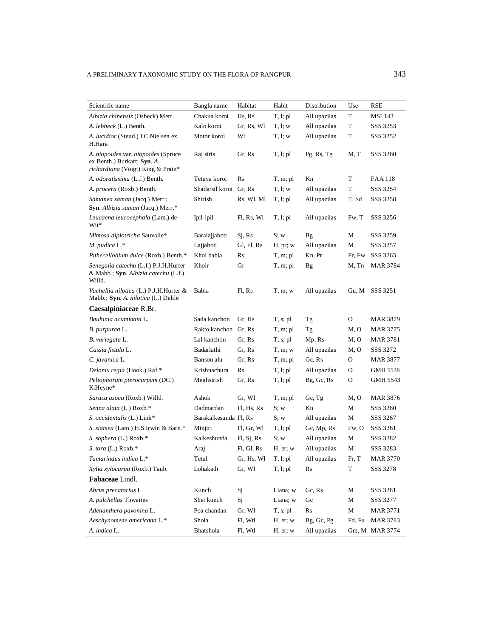| Scientific name                                                                                         | Bangla name            | Habitat    | Habit       | Distribution | Use                  | RSE             |
|---------------------------------------------------------------------------------------------------------|------------------------|------------|-------------|--------------|----------------------|-----------------|
| Albizia chinensis (Osbeck) Merr.                                                                        | Chakua koroi           | Hs, Rs     | T, l; pl    | All upazilas | T                    | MSI 143         |
| A. lebbeck (L.) Benth.                                                                                  | Kalo koroi             | Gr, Rs, Wl | T, l; w     | All upazilas | T                    | SSS 3253        |
| A. lucidior (Steud.) I.C.Nielsen ex<br>H.Hara                                                           | Motor koroi            | Wl         | T, l; w     | All upazilas | T                    | SSS 3252        |
| A. niopoides var. niopoides (Spruce<br>ex Benth.) Burkart; Syn. A.<br>richardiana (Voigt) King & Prain* | Raj siris              | Gr. Rs     | T, l; pl    | Pg, Rs, Tg   | M, T                 | SSS 3260        |
| A. odoratissima (L.f.) Benth.                                                                           | Tetuya koroi           | Rs         | T, m; pl    | Kn           | T                    | FAA 118         |
| A. procera (Roxb.) Benth.                                                                               | Shada/sil koroi Gr, Rs |            | T, l; w     | All upazilas | T                    | SSS 3254        |
| Samanea saman (Jacq.) Merr.;<br>Syn. Albizia saman (Jacq.) Merr.*                                       | Shirish                | Rs, Wl, Ml | T, l; pl    | All upazilas | T, Sd                | SSS 3258        |
| Leucaena leucocephala (Lam.) de<br>Wit*                                                                 | Ipil-ipil              | Fl, Rs, Wl | T, l; pl    | All upazilas | Fw, T                | SSS 3256        |
| Mimosa diplotricha Sauvalle*                                                                            | Baralajjaboti          | Sj, Rs     | S; w        | Bg           | М                    | SSS 3259        |
| $M.$ pudica $L.*$                                                                                       | Lajjaboti              | Gl, Fl, Rs | H, pr; w    | All upazilas | М                    | SSS 3257        |
| Pithecellobium dulce (Roxb.) Benth.*                                                                    | Khoi babla             | Rs         | T, m; pl    | Kn, Pr       | Fr, Fw               | SSS 3265        |
| Senegalia catechu (L.f.) P.J.H.Hurter<br>& Mabb.; Syn. Albizia catechu (L.f.)<br>Willd.                 | Khoir                  | Gr         | T, m; pl    | <b>Bg</b>    | M, Tn                | MAR 3784        |
| Vachellia nilotica (L.) P.J.H.Hurter &<br>Mabb.; Syn. A. nilotica (L.) Delile                           | Babla                  | Fl, Rs     | T, m; w     | All upazilas | Gu, M                | SSS 3251        |
| Caesalpiniaceae R.Br.                                                                                   |                        |            |             |              |                      |                 |
| Bauhinia acuminata L.                                                                                   | Sada kanchon           | Gr, Hs     | $T, s;$ pl  | Tg           | 0                    | <b>MAR 3879</b> |
| B. purpurea L.                                                                                          | Rakto kanchon Gr, Rs   |            | T, m; pl    | Tg           | M, O                 | MAR 3775        |
| B. variegata L.                                                                                         | Lal kanchon            | Gr, Rs     | T, s; pl    | Mp, Rs       | M, O                 | MAR 3781        |
| Cassia fistula L.                                                                                       | Badarlathi             | Gr, Rs     | $T, m$ ; w  | All upazilas | M, O                 | SSS 3272        |
| C. javanica L.                                                                                          | Banson alu             | Gr, Rs     | T, m; pl    | Gc, Rs       | O                    | MAR 3877        |
| Delonix regia (Hook.) Raf.*                                                                             | Krishnachura           | Rs         | T, l; pl    | All upazilas | O                    | GMH 5538        |
| Peltophorum pterocarpum (DC.)<br>K.Heyne*                                                               | Meghsirish             | Gr, Rs     | T, l; pl    | Bg, Gc, Rs   | O                    | GMH 5543        |
| Saraca asoca (Roxb.) Willd.                                                                             | Ashok                  | Gr, Wl     | T, m; pl    | Gc, Tg       | M, O                 | MAR 3876        |
| Senna alata (L.) Roxb.*                                                                                 | Dadmardan              | Fl, Hs, Rs | S; w        | Kn           | М                    | SSS 3280        |
| S. occidentalis (L.) Link*                                                                              | Barakalkesunda Fl, Rs  |            | S; w        | All upazilas | M                    | SSS 3267        |
| S. siamea (Lam.) H.S.Irwin & Barn.*                                                                     | Minjiri                | Fl, Gr, Wl | T, l; pl    | Gc, Mp, Rs   | Fw, O                | SSS 3261        |
| S. sophera (L.) Roxb.*                                                                                  | Kalkeshunda            | FI, Sj, Rs | S; w        | All upazilas | М                    | SSS 3282        |
| S. tora (L.) Roxb.*                                                                                     | Araj                   | Fl, Gl, Rs | $H$ , er; w | All upazilas | М                    | SSS 3283        |
| Tamarindus indica L.*                                                                                   | Tetul                  | Gr, Hs, Wl | T, l; pl    | All upazilas | Fr, T                | <b>MAR 3770</b> |
| Xylia xylocarpa (Roxb.) Taub.                                                                           | Lohakath               | Gr, Wl     | T, l; pl    | Rs           | T                    | SSS 3278        |
| Fabaceae Lindl.                                                                                         |                        |            |             |              |                      |                 |
| Abrus precatorius L.                                                                                    | Kunch                  | Sj         | Liana; w    | Gc, Rs       | М                    | SSS 3281        |
| A. pulchellus Thwaites                                                                                  | Shet kunch             | Sj         | Liana; w    | Gc           | M                    | SSS 3277        |
| Adenanthera pavonina L.                                                                                 | Poa chandan            | Gr, Wl     | $T, s;$ pl  | Rs           | M                    | <b>MAR 3771</b> |
| Aeschynomene americana L.*                                                                              | Shola                  | Fl, Wtl    | H, er; w    | Bg, Gc, Pg   | ${\rm Fd}, {\rm Fu}$ | <b>MAR 3783</b> |
| A. indica L.                                                                                            | Bhatshola              | Fl, Wtl    | H, er; w    | All upazilas |                      | Gm, M MAR 3774  |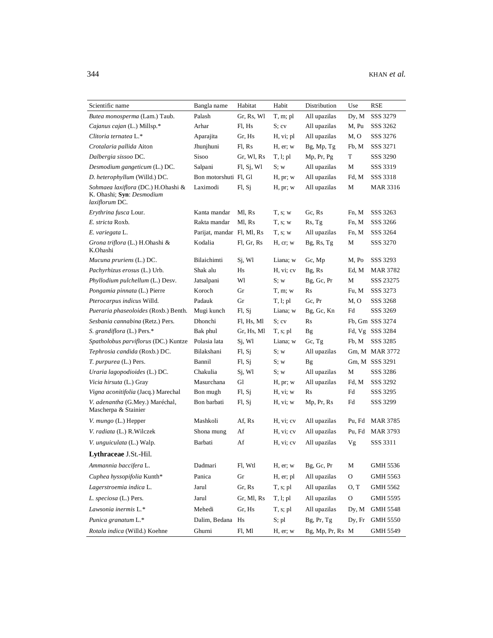| Scientific name                                                                   | Bangla name                | Habitat    | Habit      | Distribution     | Use          | RSE             |
|-----------------------------------------------------------------------------------|----------------------------|------------|------------|------------------|--------------|-----------------|
| Butea monosperma (Lam.) Taub.                                                     | Palash                     | Gr, Rs, Wl | T, m; pl   | All upazilas     | Dy, M        | SSS 3279        |
| Cajanus cajan (L.) Millsp.*                                                       | Arhar                      | Fl, Hs     | S; cv      | All upazilas     | M, Pu        | SSS 3262        |
| Clitoria ternatea L.*                                                             | Aparajita                  | Gr, Hs     | H, vi; pl  | All upazilas     | M, O         | SSS 3276        |
| Crotalaria pallida Aiton                                                          | Jhunjhuni                  | Fl, Rs     | H, er; w   | Bg, Mp, Tg       | Fb, M        | SSS 3271        |
| Dalbergia sissoo DC.                                                              | Sisoo                      | Gr, Wl, Rs | T, l; pl   | Mp, Pr, Pg       | T            | SSS 3290        |
| Desmodium gangeticum (L.) DC.                                                     | Salpani                    | FI, Sj, Wl | S; w       | All upazilas     | М            | SSS 3319        |
| D. heterophyllum (Willd.) DC.                                                     | Bon motorshuti Fl, Gl      |            | H, pr; w   | All upazilas     | Fd, M        | SSS 3318        |
| Sohmaea laxiflora (DC.) H.Ohashi &<br>K. Ohashi; Syn: Desmodium<br>laxiflorum DC. | Laximodi                   | FI, Sj     | H, pr; w   | All upazilas     | М            | MAR 3316        |
| Erythrina fusca Lour.                                                             | Kanta mandar               | Ml, Rs     | T, s; w    | Gc, Rs           | Fn, M        | SSS 3263        |
| E. stricta Roxb.                                                                  | Rakta mandar               | Ml, Rs     | T, s; w    | Rs, Tg           | Fn, M        | SSS 3266        |
| E. variegata L.                                                                   | Parijat, mandar Fl, Ml, Rs |            | T, s; w    | All upazilas     | Fn, M        | SSS 3264        |
| Grona triflora (L.) H.Ohashi &<br>K.Ohashi                                        | Kodalia                    | Fl, Gr, Rs | H, cr; w   | Bg, Rs, Tg       | М            | SSS 3270        |
| Mucuna pruriens (L.) DC.                                                          | Bilaichimti                | Si, Wl     | Liana; w   | Gc, Mp           | M, Po        | SSS 3293        |
| Pachyrhizus erosus (L.) Urb.                                                      | Shak alu                   | Hs         | H, vi; cv  | Bg, Rs           | Ed, M        | MAR 3782        |
| Phyllodium pulchellum (L.) Desv.                                                  | Jatsalpani                 | Wl         | S; w       | Bg, Gc, Pr       | М            | SSS 23275       |
| Pongamia pinnata (L.) Pierre                                                      | Koroch                     | Gr         | T, m; w    | Rs               | Fu, M        | SSS 3273        |
| Pterocarpus indicus Willd.                                                        | Padauk                     | Gr         | T, l; pl   | Gc, Pr           | M, O         | SSS 3268        |
| Pueraria phaseoloides (Roxb.) Benth.                                              | Mugi kunch                 | FI, Sj     | Liana; w   | Bg, Gc, Kn       | Fd           | SSS 3269        |
| Sesbania cannabina (Retz.) Pers.                                                  | Dhonchi                    | Fl, Hs, Ml | S: cv      | Rs               |              | Fb, Gm SSS 3274 |
| S. grandiflora (L.) Pers.*                                                        | Bak phul                   | Gr, Hs, Ml | $T, s;$ pl | Bg               | Fd, Vg       | SSS 3284        |
| Spatholobus parviflorus (DC.) Kuntze                                              | Polasia lata               | Sj, Wl     | Liana; w   | Gc, Tg           | Fb, M        | SSS 3285        |
| Tephrosia candida (Roxb.) DC.                                                     | Bilakshani                 | FI, Sj     | S; w       | All upazilas     |              | Gm, M MAR 3772  |
| T. purpurea (L.) Pers.                                                            | Bannil                     | Fl, Sj     | S; w       | <b>Bg</b>        |              | Gm, M SSS 3291  |
| Uraria lagopodioides (L.) DC.                                                     | Chakulia                   | Sj, Wl     | S; w       | All upazilas     | М            | SSS 3286        |
| Vicia hirsuta (L.) Gray                                                           | Masurchana                 | Gl         | H, pr; w   | All upazilas     | Fd, M        | SSS 3292        |
| Vigna aconitifolia (Jacq.) Marechal                                               | Bon mugh                   | Fl, Sj     | H, vi; w   | $\rm Rs$         | Fd           | SSS 3295        |
| V. adenantha (G.Mey.) Maréchal,<br>Mascherpa & Stainier                           | Bon barbati                | FI, Sj     | H, vi; w   | Mp, Pr, Rs       | Fd           | SSS 3299        |
| V. mungo (L.) Hepper                                                              | Mashkoli                   | Af, Rs     | H, vi; cv  | All upazilas     | Pu, Fd       | MAR 3785        |
| V. radiata (L.) R. Wilczek                                                        | Shona mung                 | Af         | H, vi; cv  | All upazilas     | Pu, Fd       | <b>MAR 3793</b> |
| V. <i>unguiculata</i> (L.) Walp.                                                  | Barbati                    | Af         | H, vi; cv  | All upazilas     | Vg           | SSS 3311        |
| Lythraceae J.St.-Hil.                                                             |                            |            |            |                  |              |                 |
| Ammannia baccifera L.                                                             | Dadmari                    | Fl, Wtl    | H, er; w   | Bg, Gc, Pr       | $\mathbf M$  | <b>GMH 5536</b> |
| Cuphea hyssopifolia Kunth*                                                        | Panica                     | ${\rm Gr}$ | H, er; pl  | All upazilas     | $\mathcal O$ | GMH 5563        |
| Lagerstroemia indica L.                                                           | Jarul                      | Gr, Rs     | T, s; pl   | All upazilas     | O, T         | GMH 5562        |
| L. speciosa (L.) Pers.                                                            | Jarul                      | Gr, Ml, Rs | T, l; pl   | All upazilas     | O            | GMH 5595        |
|                                                                                   |                            |            |            |                  |              |                 |
| Lawsonia inermis L.*                                                              | Mehedi                     | Gr, Hs     | $T, s;$ pl | All upazilas     | Dy, M        | <b>GMH 5548</b> |
| Punica granatum L.*                                                               | Dalim, Bedana Hs           |            | S; pl      | Bg, Pr, Tg       | Dy, Fr       | <b>GMH 5550</b> |
| Rotala indica (Willd.) Koehne                                                     | Ghurni                     | Fl, Ml     | H, er; w   | Bg, Mp, Pr, Rs M |              | <b>GMH 5549</b> |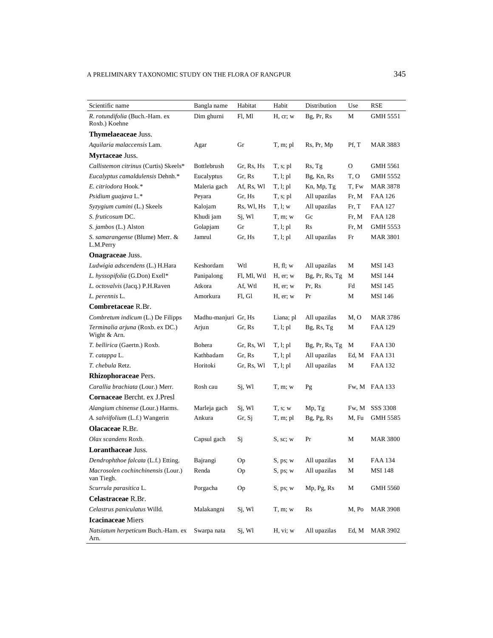| Scientific name                                  | Bangla name          | Habitat     | Habit         | Distribution      | Use   | RSE             |
|--------------------------------------------------|----------------------|-------------|---------------|-------------------|-------|-----------------|
| R. rotundifolia (Buch.-Ham. ex<br>Roxb.) Koehne  | Dim ghurni           | Fl, Ml      | H, cr; w      | Bg, Pr, Rs        | М     | GMH 5551        |
| Thymelaeaceae Juss.                              |                      |             |               |                   |       |                 |
| Aquilaria malaccensis Lam.                       | Agar                 | Gr          | T, m; pl      | Rs, Pr, Mp        | Pf, T | <b>MAR 3883</b> |
| <b>Myrtaceae Juss.</b>                           |                      |             |               |                   |       |                 |
| Callistemon citrinus (Curtis) Skeels*            | Bottlebrush          | Gr, Rs, Hs  | $T, s;$ pl    | Rs, Tg            | 0     | <b>GMH 5561</b> |
| Eucalyptus camaldulensis Dehnh.*                 | Eucalyptus           | Gr, Rs      | T, l; pl      | Bg, Kn, Rs        | T, O  | GMH 5552        |
| E. citriodora Hook.*                             | Maleria gach         | Af, Rs, Wl  | T, l; pl      | Kn, Mp, Tg        | T, Fw | <b>MAR 3878</b> |
| Psidium guajava L.*                              | Peyara               | Gr, Hs      | T, s; pl      | All upazilas      | Fr, M | FAA 126         |
| Syzygium cumini (L.) Skeels                      | Kalojam              | Rs, Wl, Hs  | T, l; w       | All upazilas      | Fr, T | <b>FAA 127</b>  |
| S. fruticosum DC.                                | Khudi jam            | Sj, Wl      | $T, m$ ; w    | Gc                | Fr, M | FAA 128         |
| S. jambos (L.) Alston                            | Golapjam             | Gr          | T, l; pl      | R <sub>S</sub>    | Fr, M | GMH 5553        |
| S. samarangense (Blume) Merr. &<br>L.M.Perry     | Jamrul               | Gr, Hs      | T, l; pl      | All upazilas      | Fr    | <b>MAR 3801</b> |
| <b>Onagraceae</b> Juss.                          |                      |             |               |                   |       |                 |
| Ludwigia adscendens (L.) H.Hara                  | Keshordam            | Wtl         | H, fl; w      | All upazilas      | М     | <b>MSI</b> 143  |
| L. hyssopifolia (G.Don) Exell*                   | Panipalong           | Fl, Ml, Wtl | H, er; w      | $Bg$ , Pr, Rs, Tg | М     | <b>MSI 144</b>  |
| L. octovalvis (Jacq.) P.H.Raven                  | Atkora               | Af, Wtl     | $H$ , er; $w$ | Pr, Rs            | Fd    | <b>MSI 145</b>  |
| L. perennis L.                                   | Amorkura             | Fl, Gl      | $H$ , er; $w$ | Pr                | М     | <b>MSI 146</b>  |
| Combretaceae R.Br.                               |                      |             |               |                   |       |                 |
| Combretum indicum (L.) De Filipps                | Madhu-manjuri Gr, Hs |             | Liana; pl     | All upazilas      | M, O  | MAR 3786        |
| Terminalia arjuna (Roxb. ex DC.)<br>Wight & Arn. | Arjun                | Gr, Rs      | T, l; pl      | Bg, Rs, Tg        | М     | FAA 129         |
| T. bellirica (Gaertn.) Roxb.                     | Bohera               | Gr, Rs, Wl  | T, l; pl      | $Bg$ , Pr, Rs, Tg | M     | <b>FAA 130</b>  |
| T. catappa L.                                    | Kathbadam            | Gr, Rs      | T, l; pl      | All upazilas      | Ed, M | FAA 131         |
| T. chebula Retz.                                 | Horitoki             | Gr, Rs, Wl  | T, l; pl      | All upazilas      | М     | FAA 132         |
| Rhizophoraceae Pers.                             |                      |             |               |                   |       |                 |
| Carallia brachiata (Lour.) Merr.                 | Rosh cau             | Sj, Wl      | T, m; w       | Pg                |       | Fw, M FAA 133   |
| Cornaceae Bercht. ex J.Presl                     |                      |             |               |                   |       |                 |
| Alangium chinense (Lour.) Harms.                 | Marleja gach         | Sj, Wl      | T, s; w       | Mp, Tg            | Fw, M | SSS 3308        |
| A. salviifolium (L.f.) Wangerin                  | Ankura               | Gr, Sj      | T, m; pl      | Bg, Pg, Rs        | M, Fu | GMH 5585        |
| <b>Olacaceae</b> R.Br.                           |                      |             |               |                   |       |                 |
| Olax scandens Roxb.                              | Capsul gach          | Sj          | S, sc; w      | Pr                | М     | <b>MAR 3800</b> |
| Loranthaceae Juss.                               |                      |             |               |                   |       |                 |
| Dendrophthoe falcata (L.f.) Etting.              | Bajrangi             | Oр          | S, ps; w      | All upazilas      | M     | <b>FAA 134</b>  |
| Macrosolen cochinchinensis (Lour.)<br>van Tiegh. | Renda                | Op          | S, ps; w      | All upazilas      | М     | <b>MSI 148</b>  |
| Scurrula parasitica L.                           | Porgacha             | Op          | S, ps; w      | Mp, Pg, Rs        | M     | <b>GMH 5560</b> |
| Celastraceae R.Br.                               |                      |             |               |                   |       |                 |
| Celastrus paniculatus Willd.                     | Malakangni           | Sj, Wl      | $T, m$ ; w    | Rs                | M, Po | <b>MAR 3908</b> |
| <b>Icacinaceae</b> Miers                         |                      |             |               |                   |       |                 |
| Natsiatum herpeticum Buch.-Ham. ex<br>Arn.       | Swarpa nata          | Si, Wl      | H, vi; w      | All upazilas      | Ed, M | MAR 3902        |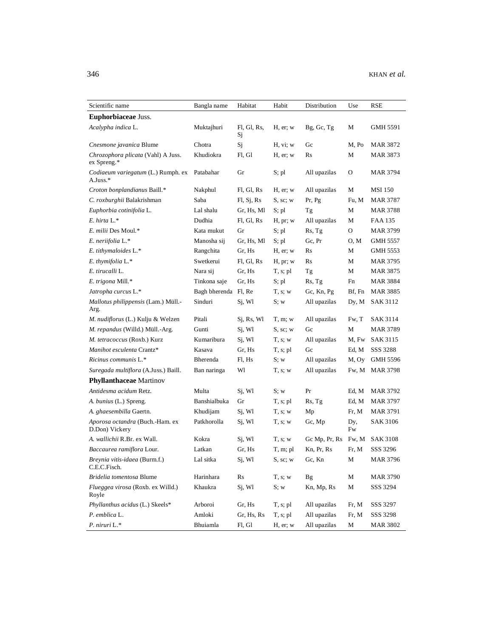| Scientific name                                   | Bangla name          | Habitat           | Habit         | Distribution   | Use       | RSE             |
|---------------------------------------------------|----------------------|-------------------|---------------|----------------|-----------|-----------------|
| <b>Euphorbiaceae Juss.</b>                        |                      |                   |               |                |           |                 |
| Acalypha indica L.                                | Muktajhuri           | Fl, Gl, Rs,<br>Sj | $H$ , er; $w$ | Bg, Gc, Tg     | М         | GMH 5591        |
| Cnesmone javanica Blume                           | Chotra               | Sj                | H, vi; w      | Gc             | M, Po     | MAR 3872        |
| Chrozophora plicata (Vahl) A Juss.<br>ex Spreng.* | Khudiokra            | Fl, Gl            | $H$ , er; w   | R <sub>S</sub> | М         | <b>MAR 3873</b> |
| Codiaeum variegatum (L.) Rumph. ex<br>$A.Juss.*$  | Patabahar            | Gr                | S; pl         | All upazilas   | 0         | MAR 3794        |
| Croton bonplandianus Baill.*                      | Nakphul              | Fl, Gl, Rs        | H, er; w      | All upazilas   | М         | <b>MSI</b> 150  |
| C. roxburghii Balakrishman                        | Saba                 | F1, Sj, Rs        | S, sc; w      | Pr, Pg         | Fu, M     | <b>MAR 3787</b> |
| Euphorbia cotinifolia L.                          | Lal shalu            | Gr, Hs, Ml        | S; pl         | Tg             | М         | <b>MAR 3788</b> |
| E. hirta L.*                                      | Dudhia               | Fl, Gl, Rs        | H, pr; w      | All upazilas   | М         | FAA 135         |
| E. milii Des Moul.*                               | Kata mukut           | Gr                | $S;$ pl       | Rs, Tg         | 0         | <b>MAR 3799</b> |
| E. neriifolia L.*                                 | Manosha sij          | Gr, Hs, Ml        | S; pl         | Gc, Pr         | O, M      | GMH 5557        |
| E. tithymaloides L.*                              | Rangchita            | Gr, Hs            | $H$ , er; w   | Rs             | М         | GMH 5553        |
| E. thymifolia L.*                                 | Swetkerui            | Fl, Gl, Rs        | H, pr; w      | R <sub>S</sub> | М         | MAR 3795        |
| E. tirucalli L.                                   | Nara sij             | Gr, Hs            | T, s; pl      | Tg             | М         | MAR 3875        |
| E. trigona Mill.*                                 | Tinkona saje         | Gr, Hs            | S; pl         | Rs, Tg         | Fn        | MAR 3884        |
| Jatropha curcus L.*                               | Bagh bherenda Fl, Re |                   | T, s; w       | Gc, Kn, Pg     | Bf, Fn    | <b>MAR 3885</b> |
| Mallotus philippensis (Lam.) Müll.-<br>Arg.       | Sinduri              | Sj, Wl            | S; w          | All upazilas   | Dy, M     | SAK 3112        |
| M. nudiflorus (L.) Kulju & Welzen                 | Pitali               | Sj, Rs, Wl        | T, m; w       | All upazilas   | Fw, T     | SAK 3114        |
| M. repandus (Willd.) Müll.-Arg.                   | Gunti                | Sj, Wl            | S, sc; w      | Gc             | M         | MAR 3789        |
| M. tetracoccus (Roxb.) Kurz                       | Kumaribura           | Sj, Wl            | T, s; w       | All upazilas   | M, Fw     | SAK 3115        |
| Manihot esculenta Crantz*                         | Kasava               | Gr, Hs            | $T, s;$ pl    | Gc             | Ed, M     | SSS 3288        |
| Ricinus communis L.*                              | Bherenda             | Fl, Hs            | S; w          | All upazilas   | M, Oy     | GMH 5596        |
| Suregada multiflora (A.Juss.) Baill.              | Ban naringa          | Wl                | T, s; w       | All upazilas   | Fw, M     | <b>MAR 3798</b> |
| <b>Phyllanthaceae</b> Martinov                    |                      |                   |               |                |           |                 |
| Antidesma acidum Retz.                            | Multa                | Sj, Wl            | S; w          | Pr             | Ed, M     | MAR 3792        |
| A. bunius (L.) Spreng.                            | Banshialbuka         | Gr                | $T, s;$ pl    | Rs, Tg         | Ed, M     | <b>MAR 3797</b> |
| A. ghaesembilla Gaertn.                           | Khudijam             | Sj, Wl            | T, s; w       | Mp             | Fr, M     | MAR 3791        |
| Aporosa octandra (Buch.-Ham. ex<br>D.Don) Vickery | Patkhorolla          | Sj, Wl            | T, s; w       | Gc, Mp         | Dy,<br>Fw | <b>SAK 3106</b> |
| A. wallichii R.Br. ex Wall.                       | Kokra                | Sj, Wl            | T, s; w       | Gc Mp, Pr, Rs  |           | Fw, M SAK 3108  |
| Baccaurea ramiflora Lour.                         | Latkan               | Gr, Hs            | T, m; pl      | Kn, Pr, Rs     | Fr, M     | SSS 3296        |
| Breynia vitis-idaea (Burm.f.)<br>C.E.C.Fisch.     | Lal sitka            | Sj, Wl            | S, sc; w      | Gc, Kn         | М         | <b>MAR 3796</b> |
| Bridelia tomentosa Blume                          | Harinhara            | Rs                | T, s; w       | <b>Bg</b>      | М         | <b>MAR 3790</b> |
| Flueggea virosa (Roxb. ex Willd.)<br>Royle        | Khaukra              | $Sj$ , Wl         | S; w          | Kn, Mp, Rs     | М         | SSS 3294        |
| Phyllanthus acidus (L.) Skeels*                   | Arboroi              | Gr, Hs            | $T, s;$ pl    | All upazilas   | Fr, M     | SSS 3297        |
| P. emblica L.                                     | Amloki               | Gr, Hs, Rs        | $T, s;$ pl    | All upazilas   | Fr, M     | SSS 3298        |
| P. niruri L.*                                     | Bhuiamla             | Fl, Gl            | H, er; w      | All upazilas   | М         | <b>MAR 3802</b> |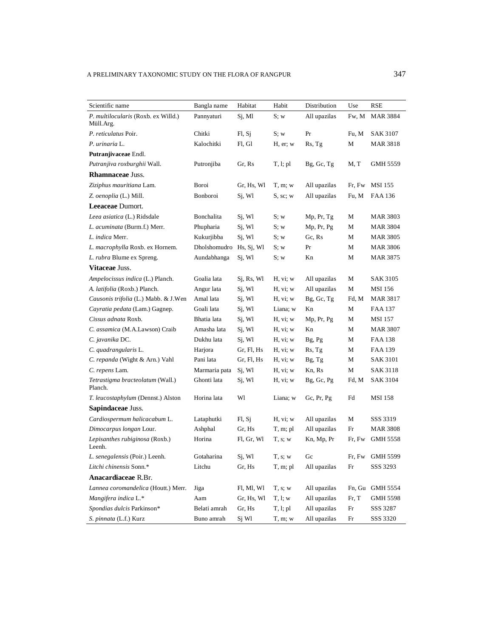| Scientific name                                  | Bangla name             | Habitat    | Habit      | Distribution    | Use    | RSE             |
|--------------------------------------------------|-------------------------|------------|------------|-----------------|--------|-----------------|
| P. multilocularis (Roxb. ex Willd.)<br>Müll.Arg. | Pannyaturi              | Sj, Ml     | S; w       | All upazilas    | Fw, M  | <b>MAR 3884</b> |
| P. reticulatus Poir.                             | Chitki                  | FI, Sj     | S; w       | Pr              | Fu, M  | SAK 3107        |
| P. urinaria L.                                   | Kalochitki              | Fl, Gl     | H, er; w   | Rs, Tg          | М      | MAR 3818        |
| Putranjivaceae Endl.                             |                         |            |            |                 |        |                 |
| Putranjiva roxburghii Wall.                      | Putronjiba              | Gr, Rs     | T, l; pl   | Bg, Gc, Tg      | M, T   | GMH 5559        |
| <b>Rhamnaceae Juss.</b>                          |                         |            |            |                 |        |                 |
| Ziziphus mauritiana Lam.                         | Boroi                   | Gr, Hs, Wl | T, m; w    | All upazilas    | Fr, Fw | MSI 155         |
| Z. oenoplia (L.) Mill.                           | Bonboroi                | Sj, Wl     | S, sc; w   | All upazilas    | Fu, M  | FAA 136         |
| Leeaceae Dumort.                                 |                         |            |            |                 |        |                 |
| Leea asiatica (L.) Ridsdale                      | Bonchalita              | Sj, Wl     | S; w       | Mp, Pr, Tg      | М      | MAR 3803        |
| L. acuminata (Burm.f.) Merr.                     | Phupharia               | Sj, Wl     | S; w       | Mp, Pr, Pg      | М      | MAR 3804        |
| L. indica Merr.                                  | Kukurjibba              | Sj, Wl     | S; w       | Gc, Rs          | М      | <b>MAR 3805</b> |
| L. macrophylla Roxb. ex Hornem.                  | Dholshomudro Hs, Sj, Wl |            | S; w       | Pr              | М      | MAR 3806        |
| L. rubra Blume ex Spreng.                        | Aundabhanga             | Sj, Wl     | S; w       | Kn              | М      | MAR 3875        |
| Vitaceae Juss.                                   |                         |            |            |                 |        |                 |
| Ampelocissus indica (L.) Planch.                 | Goalia lata             | Sj, Rs, Wl | H, vi; w   | All upazilas    | М      | SAK 3105        |
| A. latifolia (Roxb.) Planch.                     | Angur lata              | Sj, Wl     | H, vi; w   | All upazilas    | М      | MSI 156         |
| Causonis trifolia (L.) Mabb. & J.Wen             | Amal lata               | Si, Wl     | H, vi; w   | Bg, Gc, Tg      | Fd, M  | MAR 3817        |
| Cayratia pedata (Lam.) Gagnep.                   | Goali lata              | Sj, Wl     | Liana; w   | Kn              | М      | FAA 137         |
| Cissus adnata Roxb.                              | Bhatia lata             | Sj, Wl     | H, vi; w   | Mp, Pr, Pg      | М      | <b>MSI</b> 157  |
| C. assamica (M.A.Lawson) Craib                   | Amasha lata             | Sj, Wl     | H, vi; w   | Kn              | М      | MAR 3807        |
| C. javanika DC.                                  | Dukhu lata              | Sj, Wl     | H, vi; w   | Bg, Pg          | М      | FAA 138         |
| C. quadrangularis L.                             | Harjora                 | Gr, Fl, Hs | H, vi; w   | Rs, Tg          | М      | FAA 139         |
| C. repanda (Wight & Arn.) Vahl                   | Pani lata               | Gr, Fl, Hs | H, vi; w   | Bg, Tg          | М      | SAK 3101        |
| C. repens Lam.                                   | Marmaria pata           | Sj, Wl     | H, vi; w   | Kn, Rs          | М      | SAK 3118        |
| Tetrastigma bracteolatum (Wall.)<br>Planch.      | Ghonti lata             | Sj, Wl     | H, vi; w   | Bg, Gc, Pg      | Fd, M  | <b>SAK 3104</b> |
| T. leucostaphylum (Dennst.) Alston               | Horina lata             | Wl         | Liana; w   | Gc, $Pr$ , $Pg$ | Fd     | MSI 158         |
| Sapindaceae Juss.                                |                         |            |            |                 |        |                 |
| Cardiospermum halicacabum L.                     | Lataphutki              | F1, S1     | H, vi; w   | All upazilas    | М      | SSS 3319        |
| Dimocarpus longan Lour.                          | Ashphal                 | Gr, Hs     | T, m; pl   | All upazilas    | Fr     | MAR 3808        |
| Lepisanthes rubiginosa (Roxb.)<br>Leenh.         | Horina                  | Fl, Gr, Wl | T, s; w    | Kn, Mp, Pr      | Fr, Fw | GMH 5558        |
| L. senegalensis (Poir.) Leenh.                   | Gotaharina              | Sj, Wl     | T, s; w    | Gc              | Fr, Fw | <b>GMH 5599</b> |
| Litchi chinensis Sonn.*                          | Litchu                  | Gr, Hs     | T, m; pl   | All upazilas    | Fr     | SSS 3293        |
| Anacardiaceae R.Br.                              |                         |            |            |                 |        |                 |
| Lannea coromandelica (Houtt.) Merr.              | Jiga                    | Fl, Ml, Wl | T, s; w    | All upazilas    | Fn, Gu | <b>GMH 5554</b> |
| Mangifera indica L.*                             | Aam                     | Gr, Hs, Wl | T, l; w    | All upazilas    | Fr, T  | GMH 5598        |
| Spondias dulcis Parkinson*                       | Belati amrah            | Gr, Hs     | T, l; pl   | All upazilas    | Fr     | SSS 3287        |
| S. pinnata (L.f.) Kurz                           | Buno amrah              | Sj Wl      | $T, m$ ; w | All upazilas    | Fr     | SSS 3320        |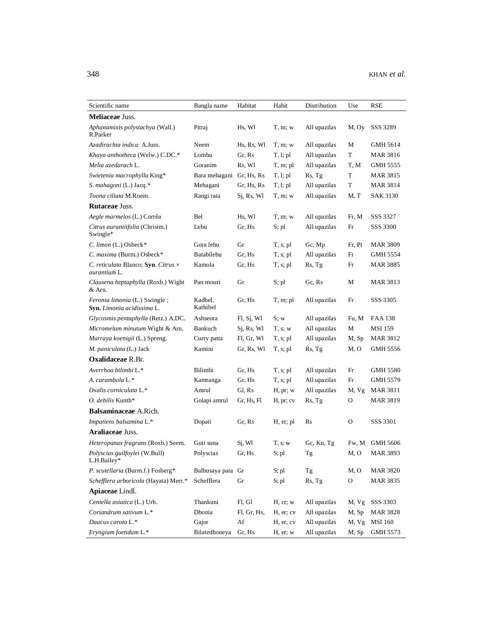| Scientific name                                                    | Bangla name         | Habitat     | Habit      | Distribution | Use    | RSE             |
|--------------------------------------------------------------------|---------------------|-------------|------------|--------------|--------|-----------------|
| <b>Meliaceae Juss.</b>                                             |                     |             |            |              |        |                 |
| Aphanamixis polystachya (Wall.)<br>R.Parker                        | Pitraj              | Hs, Wl      | T, m; w    | All upazilas | M, Oy  | SSS 3289        |
| Azadirachta indica A.Juss.                                         | Neem                | Hs, Rs, Wl  | T, m; w    | All upazilas | М      | GMH 5614        |
| Khaya anthotheca (Welw.) C.DC.*                                    | Lombu               | Gr, Rs      | T, l; pl   | All upazilas | T      | MAR 3816        |
| Melia azedarach L.                                                 | Goranim             | Rs, Wl      | T, m; pl   | All upazilas | T, M   | GMH 5555        |
| Swietenia macrophylla King*                                        | Bara mehagani       | Gr, Hs, Rs  | T, l; pl   | Rs, Tg       | T      | <b>MAR 3815</b> |
| S. mahagoni (L.) Jacq.*                                            | Mehagani            | Gr, Hs, Rs  | T, l; pl   | All upazilas | T      | <b>MAR 3814</b> |
| Toona ciliata M.Roem.                                              | Rangi rata          | Si, Rs, W1  | $T, m$ ; w | All upazilas | M, T   | <b>SAK 3130</b> |
| Rutaceae Juss.                                                     |                     |             |            |              |        |                 |
| Aegle marmelos (L.) Corrêa                                         | Bel                 | Hs, Wl      | T, m; w    | All upazilas | Fr, M  | SSS 3327        |
| Citrus aurantiifolia (Christm.)<br>Swingle*                        | Lebu                | Gr, Hs      | S; pl      | All upazilas | Fr     | SSS 3300        |
| $C.$ limon $(L.)$ Osbeck*                                          | Gora lebu           | Gr          | $T, s;$ pl | Gc, Mp       | Fr, Pi | <b>MAR 3809</b> |
| C. maxima (Burm.) Osbeck*                                          | Batabilebu          | Gr, Hs      | $T, s;$ pl | All upazilas | Fr     | GMH 5554        |
| C. reticulata Blanco; Syn. Citrus ×<br>aurantium L.                | Kamola              | Gr, Hs      | $T, s;$ pl | Rs, Tg       | Fr     | MAR 3885        |
| Clausena heptaphylla (Roxb.) Wight<br>& Arn.                       | Pan mouri           | Gr          | S; pl      | Gc, Rs       | М      | <b>MAR 3813</b> |
| <i>Feronia limonia</i> (L.) Swingle;<br>Syn. Limonia acidissima L. | Kadbel,<br>Kathibel | Gr, Hs      | T, m; pl   | All upazilas | Fr     | SSS 3305        |
| Glycosmis pentaphylla (Retz.) A.DC.                                | Ashseora            | FI, Sj, Wl  | S; w       | All upazilas | Fu, M  | <b>FAA 138</b>  |
| Micromelum minutum Wight & Arn.                                    | Bankuch             | Sj, Rs, Wl  | T, s; w    | All upazilas | М      | <b>MSI 159</b>  |
| Murraya koenigii (L.) Spreng.                                      | Curry patta         | Fl, Gr, Wl  | $T, s;$ pl | All upazilas | M, Sp  | MAR 3812        |
| M. paniculata (L.) Jack                                            | Kamini              | Gr, Rs, Wl  | T, s; pl   | Rs, Tg       | M, O   | GMH 5556        |
| <b>Oxalidaceae R.Br.</b>                                           |                     |             |            |              |        |                 |
| Averrhoa bilimbi L.*                                               | Bilimbi             | Gr, Hs      | $T, s;$ pl | All upazilas | Fr     | <b>GMH 5580</b> |
| A. carambola L.*                                                   | Kamranga            | Gr, Hs      | $T, s;$ pl | All upazilas | Fr     | GMH 5579        |
| Oxalis corniculata L.*                                             | Amrul               | Gl, Rs      | H, pr; w   | All upazilas | M, Vg  | <b>MAR 3811</b> |
| O. debilis Kunth*                                                  | Golapi amrul        | Gr, Hs, Fl  | H, pr; cv  | Rs, Tg       | О      | <b>MAR 3819</b> |
| Balsaminaceae A.Rich.                                              |                     |             |            |              |        |                 |
| Impatiens balsamina L.*                                            | Dopati              | Gr, Rs      | H, er; pl  | Rs           | O      | SSS 3301        |
| Araliaceae Juss.                                                   |                     |             |            |              |        |                 |
| Heteropanax fragrans (Roxb.) Seem.                                 | Guti suna           | Sj, Wl      | T, s; w    | Gc, Kn, Tg   | Fw, M  | GMH 5606        |
| Polyscias guilfoylei (W.Bull)<br>L.H.Bailev*                       | Polyscias           | Gr. Hs      | S; pl      | Тg           | M, O   | <b>MAR 3893</b> |
| P. scutellaria (Burm.f.) Fosberg*                                  | Balbusaya pata Gr   |             | S; pl      | Tg           | M, O   | <b>MAR 3820</b> |
| Schefflera arboricola (Hayata) Merr.*                              | Schefflera          | Gr          | S; pl      | Rs, Tg       | O      | MAR 3835        |
| Apiaceae Lindl.                                                    |                     |             |            |              |        |                 |
| Centella asiatica (L.) Urb.                                        | Thankuni            | Fl, Gl      | H, cr; w   | All upazilas | M, Vg  | SSS 3303        |
| Coriandrum sativum L.*                                             | Dhonia              | Fl, Gr, Hs, | H, er; cv  | All upazilas | M, Sp  | <b>MAR 3828</b> |
| Daucus carota L.*                                                  | Gajor               | Af          | H, er, cv  | All upazilas | M, Vg  | <b>MSI 160</b>  |
| Eryngium foetidum L.*                                              | Bilatedhoneya       | Gr, Hs      | H, er; w   | All upazilas | M, Sp  | GMH 5573        |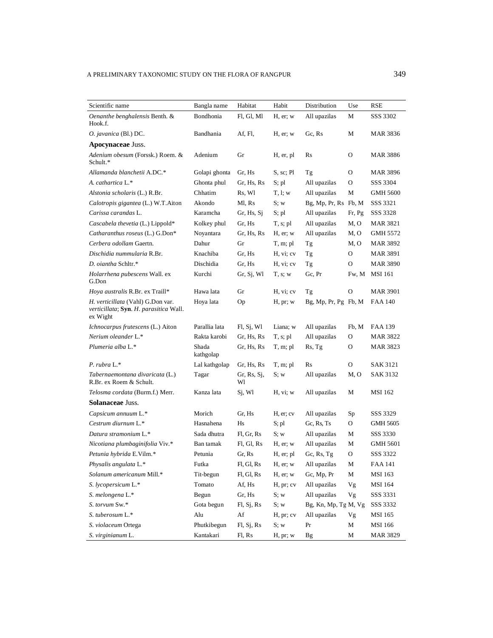| Scientific name                                                                         | Bangla name             | Habitat                                                                        | Habit         | Distribution           | Use          | RSE             |
|-----------------------------------------------------------------------------------------|-------------------------|--------------------------------------------------------------------------------|---------------|------------------------|--------------|-----------------|
| Oenanthe benghalensis Benth. &                                                          | Bondhonia               | Fl, Gl, Ml                                                                     | $H$ , er; $w$ | All upazilas           | М            | SSS 3302        |
| Hook.f.                                                                                 |                         |                                                                                |               |                        |              |                 |
| O. javanica (Bl.) DC.                                                                   | Bandhania               | Af, Fl,                                                                        | $H$ , er; w   | Gc, Rs                 | М            | MAR 3836        |
| Apocynaceae Juss.                                                                       |                         |                                                                                |               |                        |              |                 |
| Adenium obesum (Forssk.) Roem. &<br>Schult.*                                            | Adenium                 | Gr                                                                             | H, er, pl     | Rs                     | O            | <b>MAR 3886</b> |
| Allamanda blanchetii A.DC.*                                                             | Golapi ghonta           | Gr, Hs                                                                         | S, sc; Pl     | Tg                     | $\Omega$     | MAR 3896        |
| A. cathartica L.*                                                                       | Ghonta phul             | Gr, Hs, Rs                                                                     | S; pl         | All upazilas           | $\mathbf{O}$ | SSS 3304        |
| Alstonia scholaris (L.) R.Br.                                                           | Chhatim                 | Rs, Wl                                                                         | T, l; w       | All upazilas           | М            | <b>GMH 5600</b> |
| Calotropis gigantea (L.) W.T.Aiton                                                      | Akondo                  | Ml, Rs                                                                         | S; w          | Bg, Mp, Pr, Rs Fb, M   |              | SSS 3321        |
| Carissa carandas L.                                                                     | Karamcha                | Gr, Hs, Si                                                                     | S; pl         | All upazilas           | Fr, Pg       | SSS 3328        |
| Cascabela thevetia (L.) Lippold*                                                        | Kolkey phul             | Gr, Hs                                                                         | $T, s;$ pl    | All upazilas           | M, O         | MAR 3821        |
| Catharanthus roseus (L.) G.Don*                                                         | Noyantara               | Gr, Hs, Rs                                                                     | $H$ , er; $w$ | All upazilas           | M, O         | GMH 5572        |
| Cerbera odollam Gaertn.                                                                 | Dahur                   | Gr                                                                             | T, m; pl      | Tg                     | M, O         | MAR 3892        |
| Dischidia nummularia R.Br.                                                              | Knachiba                | Gr. Hs                                                                         | H, vi; cv     | Tg                     | O            | MAR 3891        |
| D. oiantha Schltr.*                                                                     | Dischidia               | Gr, Hs                                                                         | H, vi; cv     | Tg                     | O            | <b>MAR 3890</b> |
| Holarrhena pubescens Wall. ex<br>G.Don                                                  | Kurchi                  | Gr, Sj, Wl                                                                     | T, s; w       | Gc, Pr                 | Fw, M        | <b>MSI</b> 161  |
| Hoya australis R.Br. ex Traill*                                                         | Hawa lata               | Gr                                                                             | H, vi; cv     | Tg                     | O            | <b>MAR 3901</b> |
| H. verticillata (Vahl) G.Don var.<br>verticillata; Syn. H. parasitica Wall.<br>ex Wight | Hoya lata               | Oр                                                                             | H, pr; w      | $Bg, Mp, Pr, Pg$ Fb, M |              | <b>FAA 140</b>  |
| Ichnocarpus frutescens (L.) Aiton                                                       | Parallia lata           | FI, Sj, Wl                                                                     | Liana; w      | All upazilas           | Fb, M        | FAA 139         |
| Nerium oleander L.*                                                                     | Rakta karobi            | Gr, Hs, Rs                                                                     | $T, s;$ pl    | All upazilas           | O            | MAR 3822        |
| Plumeria alba L.*                                                                       | Shada<br>kathgolap      | Gr, Hs, Rs                                                                     | T, m; pl      | Rs, Tg                 | 0            | MAR 3823        |
| P. rubra $L^*$                                                                          | Lal kathgolap           | Gr, Hs, Rs                                                                     | T, m; pl      | Rs                     | O            | SAK 3121        |
| Tabernaemontana divaricata (L.)<br>R.Br. ex Roem & Schult.                              | Tagar                   | Gr, Rs, Sj,<br>Wl                                                              | S; w          | All upazilas           | M, O         | SAK 3132        |
| Telosma cordata (Burm.f.) Merr.                                                         | Kanza lata              | Sj, Wl                                                                         | H, vi; w      | All upazilas           | М            | MSI 162         |
| <b>Solanaceae Juss.</b>                                                                 |                         |                                                                                |               |                        |              |                 |
| Capsicum annuum L.*                                                                     | Morich                  | Gr. Hs                                                                         | H, er; cv     | All upazilas           | Sp           | SSS 3329        |
| Cestrum diurnum L.*                                                                     | Hasnahena               | Hs                                                                             | S; pl         | Gc, Rs, Ts             | 0            | GMH 5605        |
| Datura stramonium L.*                                                                   | Sada dhutra             | Fl, Gr, Rs                                                                     | S; w          | All upazilas           | M            | SSS 3330        |
| Nicotiana plumbaginifolia Viv.*                                                         | Ban tamak               | Fl, Gl, Rs                                                                     | $H$ , er; $w$ | All upazilas           | M            | GMH 5601        |
| Petunia hybrida E.Vilm.*                                                                | Petunia                 | Gr, Rs                                                                         | H, er; pl     | Gc, Rs, $Tg$           | O            | SSS 3322        |
| Physalis angulata L.*                                                                   | Futka                   | $\mathop{\rm Fl}\nolimits, \mathop{\rm Gl}\nolimits, \mathop{\rm Rs}\nolimits$ | $H$ , er; w   | All upazilas           | M            | <b>FAA 141</b>  |
| Solanum americanum Mill.*                                                               | Tit-begun               | Fl, Gl, Rs                                                                     | H, er; w      | Gc, Mp, Pr             | $\mathbf M$  | MSI 163         |
| S. lycopersicum L.*                                                                     | $\operatorname{Tomato}$ | Af, Hs                                                                         | H, pr; cv     | All upazilas           | Vg           | MSI 164         |
| S. melongena L.*                                                                        | Begun                   | Gr, Hs                                                                         | S; w          | All upazilas           | Vg           | SSS 3331        |
| S. torvum Sw.*                                                                          | Gota begun              | Fl, Sj, Rs                                                                     | S; w          | Bg, Kn, Mp, Tg M, Vg   |              | SSS 3332        |
| S. tuberosum L.*                                                                        | Alu                     | Af                                                                             | H, pr; cv     | All upazilas           | Vg           | MSI 165         |
| S. violaceum Ortega                                                                     | Phutkibegun             | Fl, Sj, Rs                                                                     | S; w          | Pr                     | M            | <b>MSI 166</b>  |
| S. virginianum L.                                                                       | Kantakari               | Fl, Rs                                                                         | H, pr; w      | Bg                     | M            | <b>MAR 3829</b> |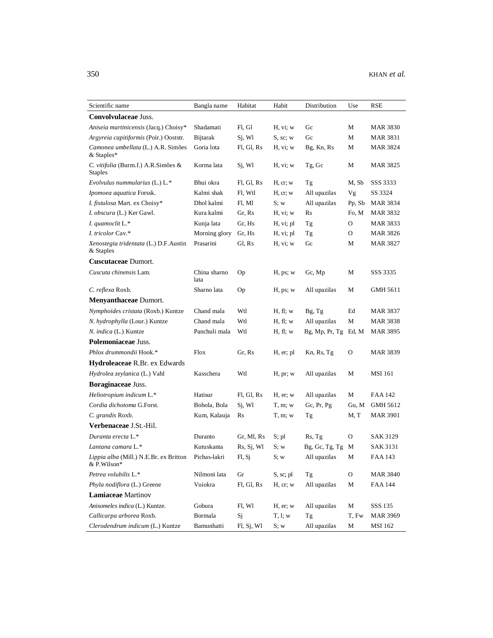| Scientific name                                       | Bangla name          | Habitat    | Habit         | Distribution         | Use    | RSE             |
|-------------------------------------------------------|----------------------|------------|---------------|----------------------|--------|-----------------|
| Convolvulaceae Juss.                                  |                      |            |               |                      |        |                 |
| Aniseia martinicensis (Jacq.) Choisy*                 | Shadamati            | Fl, Gl     | H, vi; w      | Gc                   | М      | MAR 3830        |
| Argyreia capitiformis (Poir.) Ooststr.                | <b>Bijtarak</b>      | Sj, Wl     | S, sc; w      | Gc                   | М      | <b>MAR 3831</b> |
| Camonea umbellata (L.) A.R. Simões<br>& Staples*      | Goria lota           | Fl, Gl, Rs | H, vi; w      | Bg, Kn, Rs           | М      | MAR 3824        |
| C. vitifolia (Burm.f.) A.R.Simões &<br><b>Staples</b> | Korma lata           | Sj, Wl     | H, vi; w      | Tg, Gc               | М      | MAR 3825        |
| Evolvulus nummularius $(L)$ . $L^*$                   | Bhui okra            | Fl, Gl, Rs | H, cr; w      | Тg                   | M, Sb  | SSS 3333        |
| Ipomoea aquatica Forssk.                              | Kalmi shak           | Fl, Wtl    | H, cr, w      | All upazilas         | Vg     | SS 3324         |
| I. fistulosa Mart. ex Choisy*                         | Dhol kalmi           | Fl, Ml     | S; w          | All upazilas         | Pp, Sb | MAR 3834        |
| I. obscura (L.) Ker Gawl.                             | Kura kalmi           | Gr, Rs     | H, vi; w      | Rs                   | Fo, M  | MAR 3832        |
| I. quamoclit L.*                                      | Kunja lata           | Gr, Hs     | H, vi; pl     | Tg                   | O      | <b>MAR 3833</b> |
| I. tricolor Cav.*                                     | Morning glory        | Gr, Hs     | H, vi; pl     | Tg                   | О      | MAR 3826        |
| Xenostegia tridentata (L.) D.F. Austin<br>& Staples   | Prasarini            | Gl, Rs     | H, vi; w      | Gc                   | М      | MAR 3827        |
| Cuscutaceae Dumort.                                   |                      |            |               |                      |        |                 |
| Cuscuta chinensis Lam.                                | China sharno<br>lata | Op         | H, ps; w      | Gc, Mp               | М      | SSS 3335        |
| C. reflexa Roxb.                                      | Sharno lata          | Op         | H, ps; w      | All upazilas         | М      | GMH 5611        |
| <b>Menyanthaceae Dumort.</b>                          |                      |            |               |                      |        |                 |
| Nymphoides cristata (Roxb.) Kuntze                    | Chand mala           | Wtl        | H, fl; w      | $Bg$ , $Tg$          | Ed     | MAR 3837        |
| N. hydrophylla (Lour.) Kuntze                         | Chand mala           | Wtl        | H, fl; w      | All upazilas         | М      | MAR 3838        |
| N. indica (L.) Kuntze                                 | Panchuli mala        | Wtl        | H, fl; w      | Bg, Mp, Pr, Tg Ed, M |        | MAR 3895        |
| Polemoniaceae Juss.                                   |                      |            |               |                      |        |                 |
| Phlox drummondii Hook.*                               | Flox                 | Gr, Rs     | H, er; pl     | Kn, Rs, Tg           | О      | <b>MAR 3839</b> |
| Hydroleaceae R.Br. ex Edwards                         |                      |            |               |                      |        |                 |
| Hydrolea zeylanica (L.) Vahl                          | Kasschera            | Wtl        | H, pr; w      | All upazilas         | М      | MSI 161         |
| Boraginaceae Juss.                                    |                      |            |               |                      |        |                 |
| Heliotropium indicum L.*                              | Hatisur              | Fl, Gl, Rs | $H$ , er; $w$ | All upazilas         | М      | FAA 142         |
| Cordia dichotoma G.Forst.                             | Bohola, Bola         | Sj, Wl     | $T, m$ ; w    | Gc, Pr, Pg           | Gu, M  | GMH 5612        |
| C. grandis Roxb.                                      | Kum, Kalauja         | Rs         | $T, m$ ; w    | Тg                   | M, T   | <b>MAR 3901</b> |
| <b>Verbenaceae J.St.-Hil.</b>                         |                      |            |               |                      |        |                 |
| Duranta erecta L.*                                    | Duranto              | Gr, Ml, Rs | S; pl         | Rs, Tg               | 0      | SAK 3129        |
| Lantana camara L.*                                    | Kutuskanta           | Rs, Sj, Wl | S: w          | Bg, Gc, Tg, Tg       | M      | SAK 3131        |
| Lippia alba (Mill.) N.E.Br. ex Britton<br>& P.Wilson* | Pichas-lakri         | Fl, Si     | S; w          | All upazilas         | М      | FAA 143         |
| Petrea volubilis L.*                                  | Nilmoni lata         | Gr         | S, sc; pl     | Tg                   | O      | <b>MAR 3840</b> |
| Phyla nodiflora (L.) Greene                           | Vuiokra              | Fl, Gl, Rs | H, cr; w      | All upazilas         | М      | <b>FAA 144</b>  |
| Lamiaceae Martinov                                    |                      |            |               |                      |        |                 |
| Anisomeles indica (L.) Kuntze.                        | Gobura               | Fl, Wl     | $H$ , er; w   | All upazilas         | M      | SSS 135         |
| Callicarpa arborea Roxb.                              | Bormala              | Sj         | T, l; w       | Tg                   | T, Fw  | <b>MAR 3969</b> |
| Clerodendrum indicum (L.) Kuntze                      | Bamunhatti           | Fl, Sj, Wl | S; w          | All upazilas         | М      | <b>MSI</b> 162  |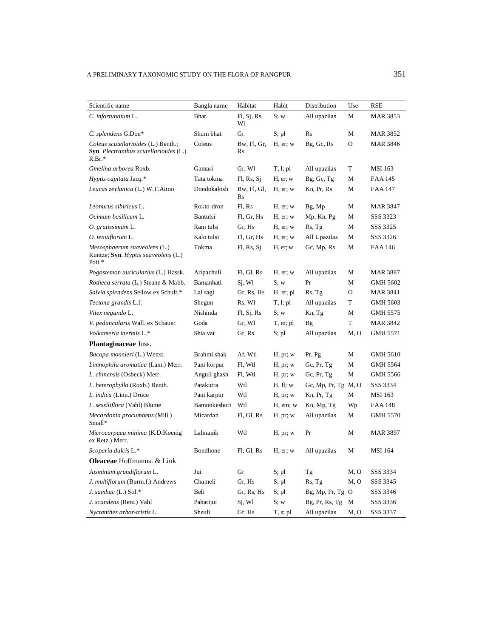| Scientific name                                                                                  | Bangla name  | Habitat           | Habit         | Distribution          | Use          | RSE             |
|--------------------------------------------------------------------------------------------------|--------------|-------------------|---------------|-----------------------|--------------|-----------------|
| C. infortunatum L.                                                                               | Bhat         | Fl, Sj, Rs,<br>Wl | S; w          | All upazilas          | М            | MAR 3853        |
| C. splendens G.Don*                                                                              | Shum bhat    | Gr                | S; pl         | Rs                    | M            | MAR 3852        |
| Coleus scutellarioides (L.) Benth.;<br><b>Syn.</b> Plectranthus scutellarioides (L.)<br>$R.Br.*$ | Coleus       | Bw, Fl, Gr,<br>Rs | $H$ , er; $w$ | Bg, Gc, Rs            | $\mathbf O$  | <b>MAR 3846</b> |
| Gmelina arborea Roxb.                                                                            | Gamari       | Gr, Wl            | T, l; pl      | All upazilas          | T            | MSI 163         |
| Hyptis capitata Jacq.*                                                                           | Tata tokma   | Fl, Rs, Si        | $H$ , er; $w$ | Bg, Gc, Tg            | M            | <b>FAA 145</b>  |
| Leucas zeylanica (L.) W.T. Aiton                                                                 | Dondokalosh  | Bw, Fl, Gl,<br>Rs | H, er; w      | Kn, Pr, Rs            | M            | FAA 147         |
| Leonurus sibiricus L.                                                                            | Rokto-dron   | Fl, Rs            | $H$ , er; $w$ | Bg, Mp                | M            | MAR 3847        |
| Ocimum basilicum L.                                                                              | Bantulsi     | Fl, Gr, Hs        | $H$ , er; w   | Mp, Kn, Pg            | M            | SSS 3323        |
| O. gratissimum L.                                                                                | Ram tulsi    | Gr, Hs            | $H$ , er; $w$ | Rs, Tg                | М            | SSS 3325        |
| O. tenuiflorum L.                                                                                | Kalo tulsi   | Fl, Gr, Hs        | $H$ , er; $w$ | All Upazilas          | M            | SSS 3326        |
| Mesosphaerum suaveolens (L.)<br>Kuntze; Syn. Hyptis suaveolens (L.)<br>Poit.*                    | Tokma        | FI, Rs, Sj        | $H$ , er; $w$ | Gc, Mp, Rs            | M            | <b>FAA 146</b>  |
| Pogostemon auricularius (L.) Hassk.                                                              | Aripachuli   | Fl, Gl, Rs        | H, er; w      | All upazilas          | M            | MAR 3887        |
| Rotheca serrata (L.) Steane & Mabb.                                                              | Bamanhati    | Sj, Wl            | S: w          | Pr                    | M            | GMH 5602        |
| Salvia splendens Sellow ex Schult.*                                                              | Lal sagi     | Gr, Rs, Hs        | H, er; pl     | Rs, Tg                | $\mathbf{O}$ | <b>MAR 3841</b> |
| Tectona grandis L.f.                                                                             | Shegun       | Rs, Wl            | T, l; pl      | All upazilas          | T            | GMH 5603        |
| Vitex negundo L.                                                                                 | Nishinda     | F1, Sj, Rs        | S: w          | Kn, Tg                | M            | GMH 5575        |
| V. peduncularis Wall. ex Schauer                                                                 | Goda         | Gr, Wl            | T, m; pl      | Bg                    | $\mathbf T$  | MAR 3842        |
| Volkameria inermis L.*                                                                           | Shia vat     | Gr, Rs            | S; pl         | All upazilas          | M, O         | GMH 5571        |
| Plantaginaceae Juss.                                                                             |              |                   |               |                       |              |                 |
| Bacopa monnieri (L.) Wettst.                                                                     | Brahmi shak  | Af, Wtl           | H, pr; w      | Pr, Pg                | М            | GMH 5610        |
| Limnophila aromatica (Lam.) Merr.                                                                | Pani korpur  | Fl, Wtl           | H, pr; w      | Gc, $Pr$ , $Tg$       | М            | GMH 5564        |
| L. chinensis (Osbeck) Merr.                                                                      | Anguli ghash | Fl, Wtl           | H, pr; w      | Gc, Pr, Tg            | М            | GMH 5566        |
| L. heterophylla (Roxb.) Benth.                                                                   | Patakutra    | Wtl               | H, fl; w      | Gc, Mp, Pr, Tg $M, O$ |              | SSS 3334        |
| L. indica (Linn.) Druce                                                                          | Pani karpur  | Wtl               | H, pr; w      | Kn, Pr, Tg            | М            | MSI 163         |
| L. sessiliflora (Vahl) Blume                                                                     | Bamonkeshori | Wtl               | H, em; w      | Kn, Mp, Tg            | Wp           | <b>FAA 148</b>  |
| Mecardonia procumbens (Mill.)<br>Small*                                                          | Micardan     | Fl, Gl, Rs        | H, pr; w      | All upazilas          | М            | GMH 5570        |
| Microcarpaea minima (K.D.Koenig<br>ex Retz.) Merr.                                               | Lalmanik     | Wtl               | H, pr; w      | Pr                    | M            | MAR 3897        |
| Scoparia dulcis L.*                                                                              | Bondhone     | Fl, Gl, Rs        | $H$ , er; $w$ | All upazilas          | М            | <b>MSI</b> 164  |
| <b>Oleaceae</b> Hoffmanns. & Link                                                                |              |                   |               |                       |              |                 |
| Jasminum grandiflorum L.                                                                         | Jui          | Gr                | S; pl         | Tg                    | M, O         | SSS 3334        |
| J. multiflorum (Burm.f.) Andrews                                                                 | Chameli      | Gr, Hs            | S; pl         | Rs, Tg                | M, O         | SSS 3345        |
| J. sambac (L.) Sol.*                                                                             | Beli         | Gr, Rs, Hs        | S; pl         | $Bg, Mp, Pr, Tg$ O    |              | SSS 3346        |
| J. scandens (Retz.) Vahl                                                                         | Paharijui    | Sj, Wl            | S; w          | $Bg$ , Pr, Rs, Tg     | M            | SSS 3336        |
| Nyctanthes arbor-tristis L.                                                                      | Sheuli       | Gr, Hs            | $T, s;$ pl    | All upazilas          | M, O         | SSS 3337        |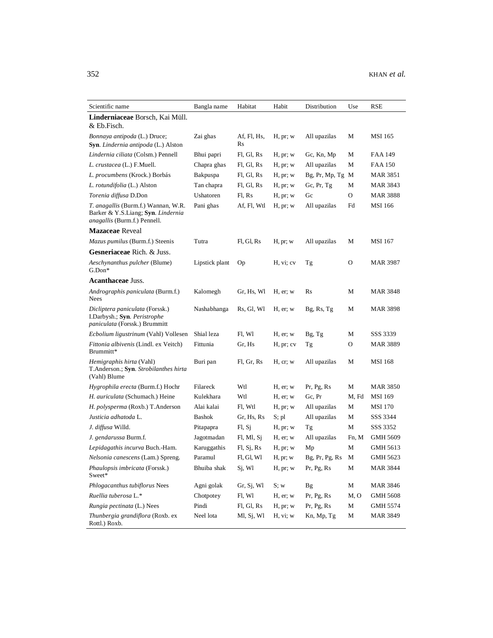| Scientific name                                                                                                         | Bangla name    | Habitat           | Habit       | Distribution       | Use   | RSE             |
|-------------------------------------------------------------------------------------------------------------------------|----------------|-------------------|-------------|--------------------|-------|-----------------|
| Linderniaceae Borsch, Kai Müll.<br>& Eb.Fisch.                                                                          |                |                   |             |                    |       |                 |
| Bonnaya antipoda (L.) Druce;<br>Syn. Lindernia antipoda (L.) Alston                                                     | Zai ghas       | Af, Fl, Hs,<br>Rs | H, pr; w    | All upazilas       | М     | <b>MSI</b> 165  |
| Lindernia ciliata (Colsm.) Pennell                                                                                      | Bhui papri     | Fl, Gl, Rs        | H, pr; w    | Gc, Kn, Mp         | М     | FAA 149         |
| L. crustacea (L.) F.Muell.                                                                                              | Chapra ghas    | Fl, Gl, Rs        | H, pr; w    | All upazilas       | М     | FAA 150         |
| L. procumbens (Krock.) Borbás                                                                                           | Bakpuspa       | Fl, Gl, Rs        | H, pr; w    | $Bg, Pr, Mp, Tg$ M |       | MAR 3851        |
| L. rotundifolia (L.) Alston                                                                                             | Tan chapra     | Fl, Gl, Rs        | H, pr; w    | Gc, $Pr$ , $Tg$    | М     | MAR 3843        |
| Torenia diffusa D.Don                                                                                                   | Ushatoren      | Fl. Rs            | H, pr; w    | Gc                 | O     | <b>MAR 3888</b> |
| <i>T. anagallis</i> (Burm.f.) Wannan, W.R.<br>Barker & Y.S.Liang; Syn. Lindernia<br><i>anagallis</i> (Burm.f.) Pennell. | Pani ghas      | Af, Fl, Wtl       | H, pr; w    | All upazilas       | Fd    | <b>MSI 166</b>  |
| <b>Mazaceae</b> Reveal                                                                                                  |                |                   |             |                    |       |                 |
| Mazus pumilus (Burm.f.) Steenis                                                                                         | Tutra          | Fl, Gl, Rs        | H, pr; w    | All upazilas       | М     | <b>MSI</b> 167  |
| Gesneriaceae Rich. & Juss.                                                                                              |                |                   |             |                    |       |                 |
| Aeschynanthus pulcher (Blume)<br>$G.Don*$                                                                               | Lipstick plant | Op                | H, vi; cv   | Tg                 | O     | <b>MAR 3987</b> |
| <b>Acanthaceae Juss.</b>                                                                                                |                |                   |             |                    |       |                 |
| Andrographis paniculata (Burm.f.)<br>Nees                                                                               | Kalomegh       | Gr, Hs, Wl        | H, er; w    | Rs                 | М     | <b>MAR 3848</b> |
| Dicliptera paniculata (Forssk.)<br>I.Darbysh.; Syn. Peristrophe<br><i>paniculata</i> (Forssk.) Brummitt                 | Nashabhanga    | Rs, Gl, Wl        | H, er; w    | Bg, Rs, Tg         | М     | MAR 3898        |
| <i>Ecbolium ligustrinum</i> (Vahl) Vollesen                                                                             | Shial leza     | Fl, Wl            | $H$ , er; w | Bg, Tg             | М     | SSS 3339        |
| Fittonia albivenis (Lindl. ex Veitch)<br>Brummitt*                                                                      | Fittunia       | Gr, Hs            | H, pr; cv   | Tg                 | 0     | <b>MAR 3889</b> |
| <i>Hemigraphis hirta</i> (Vahl)<br>T.Anderson.; Syn. Strobilanthes hirta<br>(Vahl) Blume                                | Buri pan       | Fl, Gr, Rs        | H, cr, w    | All upazilas       | М     | <b>MSI</b> 168  |
| <i>Hygrophila erecta</i> (Burm.f.) Hochr                                                                                | Filareck       | Wtl               | H, er; w    | Pr, Pg, Rs         | М     | <b>MAR 3850</b> |
| H. auriculata (Schumach.) Heine                                                                                         | Kulekhara      | Wtl               | $H$ , er; w | Gc, Pr             | M, Fd | <b>MSI</b> 169  |
| H. polysperma (Roxb.) T.Anderson                                                                                        | Alai kalai     | Fl, Wtl           | H, pr; w    | All upazilas       | М     | <b>MSI</b> 170  |
| Justicia adhatoda L.                                                                                                    | <b>Bashok</b>  | Gr, Hs, Rs        | S; pl       | All upazilas       | М     | SSS 3344        |
| J. diffusa Willd.                                                                                                       | Pitapapra      | F1, S1            | H, pr; w    | Tg                 | М     | SSS 3352        |
| J. gendarussa Burm.f.                                                                                                   | Jagotmadan     | Fl, Ml, Sj        | $H$ , er; w | All upazilas       | Fn, M | GMH 5609        |
| Lepidagathis incurva Buch.-Ham.                                                                                         | Karuggathis    | FI, Sj, Rs        | H, pr; w    | Mp                 | М     | GMH 5613        |
| Nelsonia canescens (Lam.) Spreng.                                                                                       | Paramul        | Fl, Gl, Wl        | H, pr; w    | Bg, Pr, Pg, Rs     | M     | GMH 5623        |
| Phaulopsis imbricata (Forssk.)<br>Sweet*                                                                                | Bhuiba shak    | Sj, Wl            | H, pr; w    | Pr, Pg, Rs         | М     | <b>MAR 3844</b> |
| Phlogacanthus tubiflorus Nees                                                                                           | Agni golak     | Gr, Sj, Wl        | S; w        | <b>Bg</b>          | М     | <b>MAR 3846</b> |
| Ruellia tuberosa L.*                                                                                                    | Chotpotey      | Fl, Wl            | $H$ , er; w | Pr, Pg, Rs         | M, O  | <b>GMH 5608</b> |
| Rungia pectinata (L.) Nees                                                                                              | Pindi          | Fl, Gl, Rs        | H, pr; w    | Pr, Pg, Rs         | М     | GMH 5574        |
| Thunbergia grandiflora (Roxb. ex<br>Rottl.) Roxb.                                                                       | Neel lota      | Ml, Sj, Wl        | H, vi; w    | Kn, Mp, Tg         | М     | <b>MAR 3849</b> |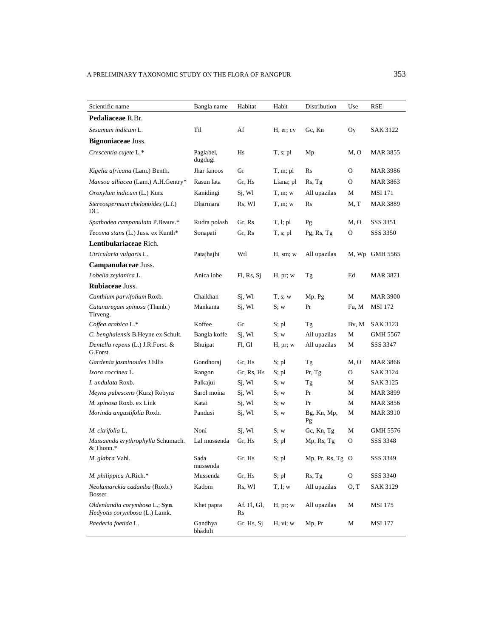| Scientific name                                                 | Bangla name          | Habitat           | Habit        | Distribution      | Use   | RSE             |
|-----------------------------------------------------------------|----------------------|-------------------|--------------|-------------------|-------|-----------------|
| Pedaliaceae R.Br.                                               |                      |                   |              |                   |       |                 |
| Sesamum indicum L.                                              | Til                  | Af                | H, er; cv    | Gc, Kn            | Oy    | <b>SAK 3122</b> |
| Bignoniaceae Juss.                                              |                      |                   |              |                   |       |                 |
| Crescentia cujete L.*                                           | Paglabel,<br>dugdugi | Hs                | T, s; pl     | Mp                | M, O  | MAR 3855        |
| Kigelia africana (Lam.) Benth.                                  | Jhar fanoos          | Gr                | T, m; pl     | Rs                | O     | MAR 3986        |
| Mansoa alliacea (Lam.) A.H.Gentry*                              | Rasun lata           | Gr, Hs            | Liana; pl    | Rs, Tg            | O     | MAR 3863        |
| Oroxylum indicum (L.) Kurz                                      | Kanidingi            | Sj, Wl            | T, m; w      | All upazilas      | М     | <b>MSI</b> 171  |
| Stereospermum chelonoides (L.f.)<br>DC.                         | Dharmara             | Rs, Wl            | T, m; w      | Rs                | M. T  | <b>MAR 3889</b> |
| Spathodea campanulata P.Beauv.*                                 | Rudra polash         | Gr, Rs            | T, l; pl     | Pg                | M, O  | SSS 3351        |
| Tecoma stans (L.) Juss. ex Kunth*                               | Sonapati             | Gr, Rs            | T, s; pl     | Pg, Rs, Tg        | О     | SSS 3350        |
| <b>Lentibulariaceae</b> Rich.                                   |                      |                   |              |                   |       |                 |
| Utricularia vulgaris L.                                         | Patajhajhi           | Wtl               | H, sm; w     | All upazilas      |       | M, Wp GMH 5565  |
| Campanulaceae Juss.                                             |                      |                   |              |                   |       |                 |
| Lobelia zeylanica L.                                            | Anica lobe           | Fl, Rs, Sj        | H, pr; w     | Tg                | Ed    | MAR 3871        |
| Rubiaceae Juss.                                                 |                      |                   |              |                   |       |                 |
| Canthium parvifolium Roxb.                                      | Chaikhan             | Sj, Wl            | $T$ , s; $w$ | Mp, Pg            | М     | <b>MAR 3900</b> |
| Catunaregam spinosa (Thunb.)<br>Tirveng.                        | Mankanta             | Sj, Wl            | S; w         | Pr                | Fu, M | <b>MSI 172</b>  |
| Coffea arabica L.*                                              | Koffee               | Gr                | $S;$ pl      | Тg                | Bv, M | SAK 3123        |
| C. benghalensis B.Heyne ex Schult.                              | Bangla koffe         | Sj, Wl            | S; w         | All upazilas      | М     | GMH 5567        |
| Dentella repens (L.) J.R.Forst. &<br>G.Forst.                   | Bhuipat              | Fl, Gl            | H, pr; w     | All upazilas      | М     | SSS 3347        |
| Gardenia jasminoides J.Ellis                                    | Gondhoraj            | Gr, Hs            | S; pl        | Tg                | M, O  | <b>MAR 3866</b> |
| Ixora coccinea L.                                               | Rangon               | Gr, Rs, Hs        | S; pl        | Pr, Tg            | 0     | SAK 3124        |
| I. undulata Roxb.                                               | Palkajui             | Sj, Wl            | S; w         | Tg                | М     | SAK 3125        |
| Meyna pubescens (Kurz) Robyns                                   | Sarol moina          | Sj, Wl            | S; w         | Pr                | М     | MAR 3899        |
| M. spinosa Roxb. ex Link                                        | Katai                | Sj, Wl            | S; w         | Pr                | М     | MAR 3856        |
| Morinda angustifolia Roxb.                                      | Pandusi              | Sj, Wl            | S; w         | Bg, Kn, Mp,<br>Pg | М     | <b>MAR 3910</b> |
| M. citrifolia L.                                                | Noni                 | Sj, Wl            | S; w         | Gc, Kn, Tg        | М     | GMH 5576        |
| Mussaenda erythrophylla Schumach.<br>& Thonn.*                  | Lal mussenda         | Gr, Hs            | S; pl        | Mp, Rs, Tg        | О     | SSS 3348        |
| M. glabra Vahl.                                                 | Sada<br>mussenda     | Gr, Hs            | S; pl        | Mp, Pr, Rs, Tg O  |       | SSS 3349        |
| M. philippica A.Rich.*                                          | Mussenda             | Gr, Hs            | S; pl        | Rs, Tg            | O     | SSS 3340        |
| Neolamarckia cadamba (Roxb.)<br><b>Bosser</b>                   | Kadom                | Rs, Wl            | T, l; w      | All upazilas      | O, T  | SAK 3129        |
| Oldenlandia corymbosa L.; Syn.<br>Hedyotis corymbosa (L.) Lamk. | Khet papra           | Af. Fl, Gl,<br>Rs | H, pr; w     | All upazilas      | M     | MSI 175         |
| Paederia foetida L.                                             | Gandhya<br>bhaduli   | Gr, Hs, Sj        | H, vi; w     | Mp, Pr            | М     | MSI 177         |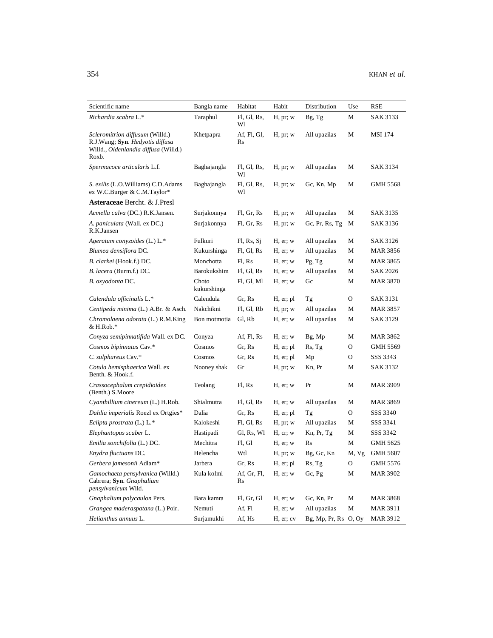| Scientific name                                                                                                            | Bangla name          | Habitat           | Habit         | Distribution         | Use   | <b>RSE</b>      |
|----------------------------------------------------------------------------------------------------------------------------|----------------------|-------------------|---------------|----------------------|-------|-----------------|
| Richardia scabra L.*                                                                                                       | Taraphul             | Fl, Gl, Rs,<br>Wl | H, pr; w      | Bg, Tg               | М     | SAK 3133        |
| <i>Scleromitrion diffusum</i> (Willd.)<br>R.J.Wang; Syn. Hedyotis diffusa<br>Willd., Oldenlandia diffusa (Willd.)<br>Roxb. | Khetpapra            | Af, Fl, Gl,<br>Rs | H, pr; w      | All upazilas         | М     | MSI 174         |
| Spermacoce articularis L.f.                                                                                                | Baghajangla          | Fl, Gl, Rs,<br>Wl | H, pr; w      | All upazilas         | М     | SAK 3134        |
| S. exilis (L.O. Williams) C.D. Adams<br>ex W.C.Burger & C.M.Taylor*                                                        | Baghajangla          | Fl, Gl, Rs,<br>Wl | H, pr; w      | Gc, Kn, Mp           | М     | <b>GMH 5568</b> |
| Asteraceae Bercht. & J.Presl                                                                                               |                      |                   |               |                      |       |                 |
| Acmella calva (DC.) R.K.Jansen.                                                                                            | Surjakonnya          | Fl, Gr, Rs        | H, pr; w      | All upazilas         | М     | SAK 3135        |
| A. paniculata (Wall. ex DC.)<br>R.K.Jansen                                                                                 | Surjakonnya          | Fl, Gr, Rs        | H, pr; w      | Gc, Pr, Rs, Tg       | М     | SAK 3136        |
| Ageratum conyzoides (L.) L.*                                                                                               | Fulkuri              | Fl, Rs, Si        | $H$ , er; $w$ | All upazilas         | М     | SAK 3126        |
| Blumea densiflora DC.                                                                                                      | Kukurshinga          | Fl, Gl, Rs        | $H$ , er; $w$ | All upazilas         | М     | MAR 3856        |
| B. clarkei (Hook.f.) DC.                                                                                                   | Monchotta            | Fl, Rs            | H, er; w      | Pg, Tg               | М     | <b>MAR 3865</b> |
| B. lacera (Burm.f.) DC.                                                                                                    | Barokukshim          | Fl, Gl, Rs        | $H$ , er; $w$ | All upazilas         | М     | SAK 2026        |
| B. oxyodonta DC.                                                                                                           | Choto<br>kukurshinga | Fl, Gl, Ml        | $H$ , er; $w$ | Gc                   | М     | <b>MAR 3870</b> |
| Calendula officinalis L.*                                                                                                  | Calendula            | Gr, Rs            | H, er; pl     | Tg                   | О     | <b>SAK 3131</b> |
| Centipeda minima (L.) A.Br. & Asch.                                                                                        | Nakchikni            | Fl. Gl. Rb        | H, pr; w      | All upazilas         | М     | <b>MAR 3857</b> |
| Chromolaena odorata (L.) R.M.King<br>$&$ H.Rob.*                                                                           | Bon motmotia         | Gl, Rb            | $H$ , er; $w$ | All upazilas         | М     | SAK 3129        |
| Conyza semipinnatifida Wall. ex DC.                                                                                        | Conyza               | Af, Fl, Rs        | $H$ , er; $w$ | Bg, Mp               | М     | MAR 3862        |
| Cosmos bipinnatus Cav.*                                                                                                    | Cosmos               | Gr, Rs            | H, er; pl     | Rs, Tg               | O     | GMH 5569        |
| C. sulphureus Cav.*                                                                                                        | Cosmos               | Gr, Rs            | H, er; pl     | Mp                   | O     | SSS 3343        |
| Cotula hemisphaerica Wall. ex<br>Benth. & Hook.f.                                                                          | Nooney shak          | Gr                | H, pr; w      | Kn, Pr               | М     | SAK 3132        |
| Crassocephalum crepidioides<br>(Benth.) S.Moore                                                                            | Teolang              | Fl. Rs            | H, er; w      | Pr                   | М     | <b>MAR 3909</b> |
| Cyanthillium cinereum (L.) H.Rob.                                                                                          | Shialmutra           | Fl, Gl, Rs        | $H$ , er; $w$ | All upazilas         | М     | <b>MAR 3869</b> |
| Dahlia imperialis Roezl ex Ortgies*                                                                                        | Dalia                | Gr, Rs            | H, er; pl     | Tg                   | O     | SSS 3340        |
| Eclipta prostrata $(L) L$ .*                                                                                               | Kalokeshi            | Fl, Gl, Rs        | H, pr; w      | All upazilas         | М     | SSS 3341        |
| Elephantopus scaber L.                                                                                                     | Hastipadi            | Gl, Rs, Wl        | H, cr; w      | Kn, Pr, Tg           | М     | SSS 3342        |
| Emilia sonchifolia (L.) DC.                                                                                                | Mechitra             | Fl, Gl            | $H$ , er; $w$ | R <sub>S</sub>       | М     | GMH 5625        |
| Enydra fluctuans DC.                                                                                                       | Helencha             | Wtl               | H, pr; w      | Bg, Gc, Kn           | M, Vg | <b>GMH 5607</b> |
| Gerbera jamesonii Adlam*                                                                                                   | Jarbera              | Gr. Rs            | H, er; pl     | Rs, Tg               | O     | GMH 5576        |
| Gamochaeta pensylvanica (Willd.)<br>Cabrera; Syn. Gnaphalium<br><i>pensylvanicum</i> Wild.                                 | Kula kolmi           | Af, Gr, Fl,<br>Rs | $H$ , er; $w$ | Gc, Pg               | М     | <b>MAR 3902</b> |
| Gnaphalium polycaulon Pers.                                                                                                | Bara kamra           | Fl, Gr, Gl        | H, er; w      | Gc, Kn, Pr           | М     | MAR 3868        |
| Grangea maderaspatana (L.) Poir.                                                                                           | Nemuti               | Af, Fl            | H, er; w      | All upazilas         | М     | <b>MAR 3911</b> |
| Helianthus annuus L.                                                                                                       | Surjamukhi           | Af, Hs            | H, er; cv     | Bg, Mp, Pr, Rs O, Oy |       | <b>MAR 3912</b> |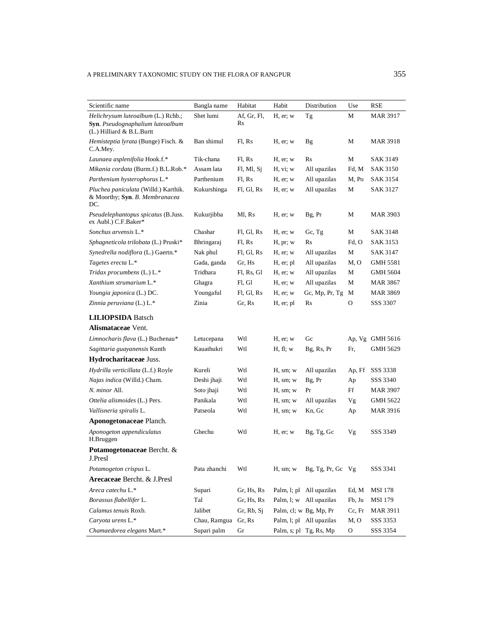| Scientific name                                                                                     | Bangla name  | Habitat           | Habit         | Distribution             | Use    | RSE             |
|-----------------------------------------------------------------------------------------------------|--------------|-------------------|---------------|--------------------------|--------|-----------------|
| Helichrysum luteoalbum (L.) Rchb.;<br>Syn. Pseudognaphalium luteoalbum<br>(L.) Hilliard & B.L.Burtt | Shet lumi    | Af, Gr, Fl,<br>Rs | $H$ , er; $w$ | Тg                       | М      | <b>MAR 3917</b> |
| <i>Hemisteptia lyrata</i> (Bunge) Fisch. &<br>C.A.Mey.                                              | Ban shimul   | Fl, Rs            | $H$ , er; $w$ | Bg                       | М      | MAR 3918        |
| Launaea asplenifolia Hook.f.*                                                                       | Tik-chana    | Fl. Rs            | H, er; w      | R <sub>S</sub>           | М      | SAK 3149        |
| Mikania cordata (Burm.f.) B.L.Rob.*                                                                 | Assam lata   | Fl, Ml, Sj        | H, vi; w      | All upazilas             | Fd, M  | <b>SAK 3150</b> |
| Parthenium hysterophorus L.*                                                                        | Parthenium   | Fl, Rs            | $H$ , er; $w$ | All upazilas             | M, Po  | <b>SAK 3154</b> |
| Pluchea paniculata (Willd.) Karthik.<br>& Moorthy; Syn. B. Membranacea<br>DC.                       | Kukurshinga  | Fl, Gl, Rs        | $H$ , er; $w$ | All upazilas             | М      | <b>SAK 3127</b> |
| <i>Pseudelephantopus spicatus</i> (B.Juss.<br>ex Aubl.) C.F.Baker*                                  | Kukurjibba   | Ml, Rs            | $H$ , er; $w$ | Bg, Pr                   | М      | <b>MAR 3903</b> |
| Sonchus arvensis L.*                                                                                | Chashar      | Fl, Gl, Rs        | $H$ , er; $w$ | Gc, Tg                   | М      | SAK 3148        |
| Sphagneticola trilobata (L.) Pruski*                                                                | Bhringaraj   | Fl, Rs            | H, pr; w      | Rs                       | Fd, O  | <b>SAK 3153</b> |
| Synedrella nodiflora (L.) Gaertn.*                                                                  | Nak phul     | Fl, Gl, Rs        | $H$ , er; $w$ | All upazilas             | M      | SAK 3147        |
| Tagetes erecta L.*                                                                                  | Gada, ganda  | Gr. Hs            | H, er; pl     | All upazilas             | M, O   | <b>GMH 5581</b> |
| Tridax procumbens (L.) L.*                                                                          | Tridhara     | Fl. Rs. Gl        | H, er; w      | All upazilas             | M      | <b>GMH 5604</b> |
| Xanthium strumarium L.*                                                                             | Ghagra       | Fl, Gl            | $H$ , er; $w$ | All upazilas             | М      | <b>MAR 3867</b> |
| Youngia japonica (L.) DC.                                                                           | Youngaful    | Fl, Gl, Rs        | $H$ , er; $w$ | Gc, Mp, Pr, Tg           | M      | <b>MAR 3869</b> |
| Zinnia peruviana (L.) L.*                                                                           | Zinia        | Gr. Rs            | H, er; pl     | Rs                       | O      | SSS 3307        |
| <b>LILIOPSIDA</b> Batsch                                                                            |              |                   |               |                          |        |                 |
| <b>Alismataceae</b> Vent.                                                                           |              |                   |               |                          |        |                 |
| Limnocharis flava (L.) Buchenau*                                                                    | Letucepana   | Wtl               | H, er; w      | Gc                       |        | Ap, Vg GMH 5616 |
| Sagittaria guayanensis Kunth                                                                        | Kauathukri   | Wtl               | H, fl; w      | Bg, Rs, Pr               | Fr,    | GMH 5629        |
| Hydrocharitaceae Juss.                                                                              |              |                   |               |                          |        |                 |
| Hydrilla verticillata (L.f.) Royle                                                                  | Kureli       | Wtl               | H, sm; w      | All upazilas             | Ap, Ff | SSS 3338        |
| Najas indica (Willd.) Cham.                                                                         | Deshi jhaji  | Wtl               | H, sm; w      | Bg, Pr                   | Ap     | SSS 3340        |
| N. minor All.                                                                                       | Soto jhaji   | Wtl               | H, sm; w      | Pr                       | Ff     | MAR 3907        |
| Ottelia alismoides (L.) Pers.                                                                       | Panikala     | Wtl               | H, sm; w      | All upazilas             | Vg     | GMH 5622        |
| Vallisneria spiralis L.                                                                             | Patseola     | Wtl               | H, sm; w      | Kn, Gc                   | Ap     | <b>MAR 3916</b> |
| Aponogetonaceae Planch.                                                                             |              |                   |               |                          |        |                 |
| Aponogeton appendiculatus<br>H.Bruggen                                                              | Ghechu       | Wtl               | $H$ , er; $w$ | Bg, Tg, Gc               | Vg     | SSS 3349        |
| Potamogetonaceae Bercht. &<br>J.Presl                                                               |              |                   |               |                          |        |                 |
| Potamogeton crispus L.                                                                              | Pata zhanchi | Wtl               | H, sm; w      | Bg, Tg, Pr, Gc Vg        |        | SSS 3341        |
| Arecaceae Bercht. & J.Presl                                                                         |              |                   |               |                          |        |                 |
| Areca catechu L.*                                                                                   | Supari       | Gr, Hs, Rs        |               | Palm, l; pl All upazilas | Ed, M  | <b>MSI 178</b>  |
| Borassus flabellifer L.                                                                             | Tal          | Gr, Hs, Rs        |               | Palm, l; w All upazilas  | Fb, Ju | MSI 179         |
| Calamus tenuis Roxb.                                                                                | Jalibet      | Gr, Rb, Si        |               | Palm, cl; w Bg, Mp, Pr   | Cc, Fr | <b>MAR 3911</b> |
| Caryota urens L.*                                                                                   | Chau, Ramgua | Gr, Rs            |               | Palm, l; pl All upazilas | M, O   | SSS 3353        |
| Chamaedorea elegans Mart.*                                                                          | Supari palm  | Gr                |               | Palm, s; pl Tg, Rs, Mp   | O      | SSS 3354        |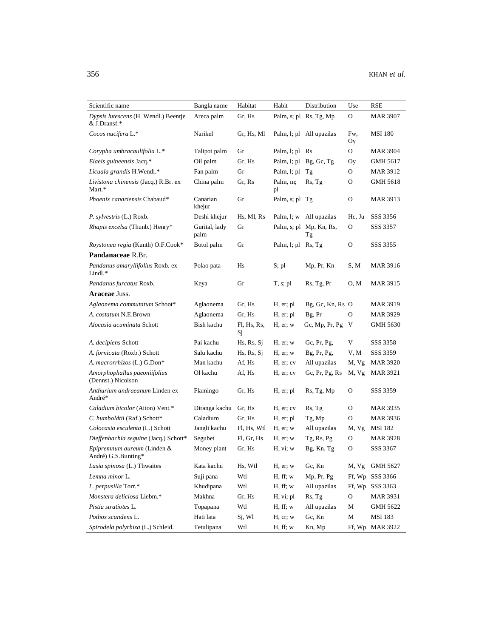| Scientific name                                      | Bangla name           | Habitat           | Habit                 | Distribution                  | Use          | RSE             |
|------------------------------------------------------|-----------------------|-------------------|-----------------------|-------------------------------|--------------|-----------------|
| Dypsis lutescens (H. Wendl.) Beentje<br>& J.Dransf.* | Areca palm            | Gr, Hs            |                       | Palm, s; pl Rs, Tg, Mp        | О            | <b>MAR 3907</b> |
| Cocos nucifera L.*                                   | Narikel               | Gr, Hs, Ml        |                       | Palm, l; pl All upazilas      | Fw,<br>Oу    | <b>MSI 180</b>  |
| Corypha umbracaulifolia L.*                          | Talipot palm          | Gr                | Palm, l; pl Rs        |                               | O            | <b>MAR 3904</b> |
| Elaeis guineensis Jacq.*                             | Oil palm              | Gr, Hs            |                       | Palm, l; pl Bg, Gc, Tg        | Oy           | GMH 5617        |
| Licuala grandis H.Wendl.*                            | Fan palm              | Gr                | Palm, l; pl Tg        |                               | 0            | <b>MAR 3912</b> |
| Livistona chinensis (Jacq.) R.Br. ex<br>Mart.*       | China palm            | Gr, Rs            | Palm, m;<br>pl        | Rs, Tg                        | O            | GMH 5618        |
| Phoenix canariensis Chabaud*                         | Canarian<br>khejur    | Gr                | Palm, s; pl Tg        |                               | O            | <b>MAR 3913</b> |
| P. sylvestris (L.) Roxb.                             | Deshi khejur          | Hs, Ml, Rs        |                       | Palm, l; w All upazilas       | Hc, Ju       | SSS 3356        |
| Rhapis excelsa (Thunb.) Henry*                       | Gurital, lady<br>palm | Gr                |                       | Palm, s; pl Mp, Kn, Rs,<br>Тg | 0            | SSS 3357        |
| Roystonea regia (Kunth) O.F.Cook*                    | Botol palm            | Gr                | Palm, $l$ ; pl Rs, Tg |                               | 0            | SSS 3355        |
| Pandanaceae R.Br.                                    |                       |                   |                       |                               |              |                 |
| Pandanus amaryllifolius Roxb. ex<br>Lindl.*          | Polao pata            | Hs                | S; pl                 | Mp, Pr, Kn                    | S, M         | <b>MAR 3916</b> |
| Pandanus furcatus Roxb.                              | Keya                  | Gr                | T, s; pl              | Rs, Tg, Pr                    | 0, M         | <b>MAR 3915</b> |
| <b>Araceae Juss.</b>                                 |                       |                   |                       |                               |              |                 |
| Aglaonema commutatum Schoot*                         | Aglaonema             | Gr, Hs            | H, er; pl             | Bg, Gc, Kn, Rs O              |              | <b>MAR 3919</b> |
| A. costatum N.E.Brown                                | Aglaonema             | Gr, Hs            | H, er; pl             | Bg, Pr                        | 0            | MAR 3929        |
| Alocasia acuminata Schott                            | Bish kachu            | Fl, Hs, Rs,<br>Sj | H, er; w              | Gc, Mp, Pr, Pg                | - V          | <b>GMH 5630</b> |
| A. decipiens Schott                                  | Pai kachu             | Hs, Rs, Sj        | $H$ , er; $w$         | Gc, Pr, Pg,                   | V            | SSS 3358        |
| A. fornicata (Roxb.) Schott                          | Salu kachu            | Hs, Rs, Sj        | $H$ , er; $w$         | Bg, Pr, Pg,                   | V, M         | SSS 3359        |
| A. macrorrhizos (L.) G.Don*                          | Man kachu             | Af, Hs            | H, er; cv             | All upazilas                  | M, Vg        | <b>MAR 3920</b> |
| Amorphophallus paeoniifolius<br>(Dennst.) Nicolson   | Ol kachu              | Af, Hs            | H, er; cv             | Gc, Pr, Pg, Rs                | M, Vg        | <b>MAR 3921</b> |
| Anthurium andraeanum Linden ex<br>André*             | Flamingo              | Gr, Hs            | H, er; pl             | Rs, Tg, Mp                    | О            | SSS 3359        |
| Caladium bicolor (Aiton) Vent.*                      | Diranga kachu         | Gr, Hs            | H, er; cv             | Rs, Tg                        | 0            | MAR 3935        |
| C. humboldtii (Raf.) Schott*                         | Caladium              | Gr, Hs            | H, er; pl             | Tg, Mp                        | O            | MAR 3936        |
| Colocasia esculenta (L.) Schott                      | Jangli kachu          | Fl, Hs, Wtl       | $H$ , er; $w$         | All upazilas                  | M, Vg        | <b>MSI</b> 182  |
| Dieffenbachia seguine (Jacq.) Schott*                | Segubet               | Fl, Gr, Hs        | $H$ , er; $w$         | Tg, Rs, Pg                    | 0            | <b>MAR 3928</b> |
| Epipremnum aureum (Linden &<br>André) G.S.Bunting*   | Money plant           | Gr, Hs            | H, vi; w              | Bg, Kn, Tg                    | О            | SSS 3367        |
| Lasia spinosa (L.) Thwaites                          | Kata kachu            | Hs, Wtl           | $H$ , er; $w$         | Gc, Kn                        | M, Vg        | GMH 5627        |
| Lemna minor L.                                       | Suji pana             | Wtl               | H, ff; w              | Mp, Pr, Pg                    | Ff, Wp       | SSS 3366        |
| L. perpusilla Torr.*                                 | Khudipana             | Wtl               | H, ff; w              | All upazilas                  | Ff, Wp       | SSS 3363        |
| Monstera deliciosa Liebm.*                           | Makhna                | Gr, Hs            | H, vi; pl             | Rs, Tg                        | $\mathbf{O}$ | <b>MAR 3931</b> |
| Pistia stratiotes L.                                 | Topapana              | Wtl               | H, ff; w              | All upazilas                  | M            | GMH 5622        |
| Pothos scandens L.                                   | Hati lata             | Sj, Wl            | H, cr; w              | Gc, Kn                        | $\mathbf M$  | <b>MSI 183</b>  |
| Spirodela polyrhiza (L.) Schleid.                    | Tetulipana            | Wtl               | H, ff; w              | Kn, Mp                        | Ff, Wp       | <b>MAR 3922</b> |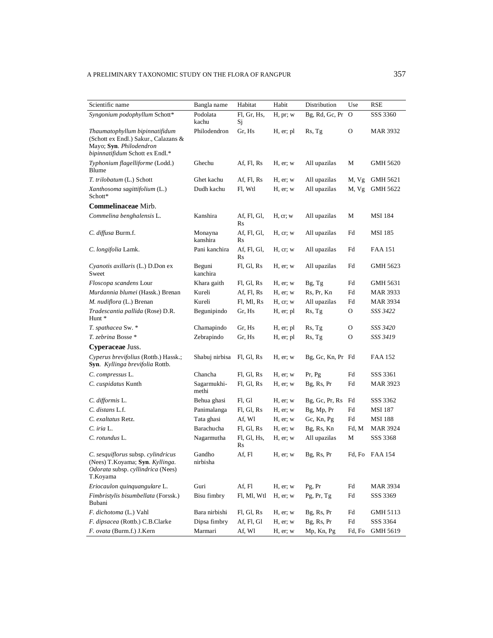| Scientific name                                                                                                                      | Bangla name          | Habitat           | Habit         | Distribution      | Use                                                                                           | RSE             |
|--------------------------------------------------------------------------------------------------------------------------------------|----------------------|-------------------|---------------|-------------------|-----------------------------------------------------------------------------------------------|-----------------|
| Syngonium podophyllum Schott*                                                                                                        | Podolata<br>kachu    | Fl, Gr, Hs,<br>Sj | H, pr; w      | Bg, Rd, Gc, Pr    | $\mathbf 0$                                                                                   | SSS 3360        |
| Thaumatophyllum bipinnatifidum<br>(Schott ex Endl.) Sakur., Calazans &<br>Mayo; Syn. Philodendron<br>bipinnatifidum Schott ex Endl.* | Philodendron         | Gr, Hs            | H, er; pl     | Rs, Tg            | O                                                                                             | MAR 3932        |
| Typhonium flagelliforme (Lodd.)<br>Blume                                                                                             | Ghechu               | Af, Fl, Rs        | $H$ , er; $w$ | All upazilas      | М                                                                                             | GMH 5620        |
| T. trilobatum (L.) Schott                                                                                                            | Ghet kachu           | Af, Fl, Rs        | H, er; w      | All upazilas      | M, Vg                                                                                         | GMH 5621        |
| Xanthosoma sagittifolium (L.)<br>Schott*                                                                                             | Dudh kachu           | Fl, Wtl           | $H$ , er; $w$ | All upazilas      | M, Vg                                                                                         | GMH 5622        |
| Commelinaceae Mirb.                                                                                                                  |                      |                   |               |                   |                                                                                               |                 |
| Commelina benghalensis L.                                                                                                            | Kanshira             | Af, Fl, Gl,<br>Rs | H, cr, w      | All upazilas      | М                                                                                             | <b>MSI</b> 184  |
| C. diffusa Burm.f.                                                                                                                   | Monayna<br>kanshira  | Af, Fl, Gl,<br>Rs | H, cr; w      | All upazilas      | Fd                                                                                            | MSI 185         |
| C. longifolia Lamk.                                                                                                                  | Pani kanchira        | Af, Fl, Gl,<br>Rs | H, cr; w      | All upazilas      | Fd                                                                                            | FAA 151         |
| Cyanotis axillaris (L.) D.Don ex<br>Sweet                                                                                            | Beguni<br>kanchira   | Fl, Gl, Rs        | $H$ , er; w   | All upazilas      | Fd                                                                                            | GMH 5623        |
| Floscopa scandens Lour                                                                                                               | Khara gaith          | Fl, Gl, Rs        | $H$ , er; $w$ | Bg, Tg            | Fd                                                                                            | GMH 5631        |
| Murdannia blumei (Hassk.) Brenan                                                                                                     | Kureli               | Af, Fl, Rs        | $H$ , er; w   | Rs, Pr, Kn        | Fd                                                                                            | MAR 3933        |
| M. nudiflora (L.) Brenan                                                                                                             | Kureli               | Fl, Ml, Rs        | H, cr, w      | All upazilas      | Fd                                                                                            | MAR 3934        |
| Tradescantia pallida (Rose) D.R.<br>Hunt *                                                                                           | Begunipindo          | Gr, Hs            | H, er; pl     | Rs, Tg            | O                                                                                             | SSS 3422        |
| T. spathacea Sw. *                                                                                                                   | Chamapindo           | Gr, Hs            | H, er; pl     | Rs, Tg            | О                                                                                             | SSS 3420        |
| T. zebrina Bosse *                                                                                                                   | Zebrapindo           | Gr, Hs            | H, er; pl     | Rs, Tg            | O                                                                                             | SSS 3419        |
| Cyperaceae Juss.                                                                                                                     |                      |                   |               |                   |                                                                                               |                 |
| Cyperus brevifolius (Rottb.) Hassk.;<br>Syn. Kyllinga brevifolia Rottb.                                                              | Shabuj nirbisa       | Fl, Gl, Rs        | $H$ , er; w   | Bg, Gc, Kn, Pr Fd |                                                                                               | FAA 152         |
| C. compressus L.                                                                                                                     | Chancha              | Fl, Gl, Rs        | H, er; w      | Pr, Pg            | Fd                                                                                            | SSS 3361        |
| C. cuspidatus Kunth                                                                                                                  | Sagarmukhi-<br>methi | Fl, Gl, Rs        | $H$ , er; $w$ | Bg, Rs, Pr        | Fd                                                                                            | MAR 3923        |
| C. difformis L.                                                                                                                      | Behua ghasi          | Fl, Gl            | H, er; w      | Bg, Gc, Pr, Rs    | Fd                                                                                            | SSS 3362        |
| C. distans L.f.                                                                                                                      | Panimalanga          | Fl, Gl, Rs        | $H$ , er; w   | Bg, Mp, Pr        | Fd                                                                                            | <b>MSI 187</b>  |
| C. exaltatus Retz.                                                                                                                   | Tata ghasi           | Af, Wl            | $H$ , er; w   | Gc, Kn, Pg        | Fd                                                                                            | <b>MSI 188</b>  |
| $C.$ iria $L.$                                                                                                                       | Barachucha           | Fl, Gl, Rs        | $H$ , er; $w$ | Bg, Rs, Kn        | Fd, M                                                                                         | <b>MAR 3924</b> |
| C. rotundus L.                                                                                                                       | Nagarmutha           | Fl, Gl, Hs,<br>Rs | H, er; w      | All upazilas      | М                                                                                             | SSS 3368        |
| C. sesquiflorus subsp. cylindricus<br>(Nees) T.Koyama; Syn. Kyllinga.<br>Odorata subsp. cyllindrica (Nees)<br>T.Koyama               | Gandho<br>nirbisha   | Af, Fl            | H, er; w      | Bg, Rs, Pr        | Fd, Fo                                                                                        | <b>FAA 154</b>  |
| Eriocaulon quinquangulare L.                                                                                                         | Guri                 | Af, Fl            | $H$ , er; $w$ | Pg, Pr            | Fd                                                                                            | <b>MAR 3934</b> |
| Fimbristylis bisumbellata (Forssk.)<br>Bubani                                                                                        | Bisu fimbry          | Fl, Ml, Wtl       | $H$ , er; w   | Pg, Pr, Tg        | Fd                                                                                            | SSS 3369        |
| F. dichotoma (L.) Vahl                                                                                                               | $\rm Bara$ nirbishi  | Fl, Gl, Rs        | $H$ , er; $w$ | Bg, Rs, Pr        | Fd                                                                                            | GMH 5113        |
| F. dipsacea (Rottb.) C.B.Clarke                                                                                                      | Dipsa fimbry         | Af, Fl, Gl        | H, er; w      | Bg, Rs, Pr        | $\operatorname*{Fd}% \nolimits_{\mathbb{Z}}\left( \mathcal{M}_{\alpha}^{\ast}\right) ^{\ast}$ | SSS 3364        |
| F. ovata (Burm.f.) J.Kern                                                                                                            | Marmari              | Af, Wl            | $H$ , er; w   | Mp, Kn, Pg        | Fd, Fo                                                                                        | GMH 5619        |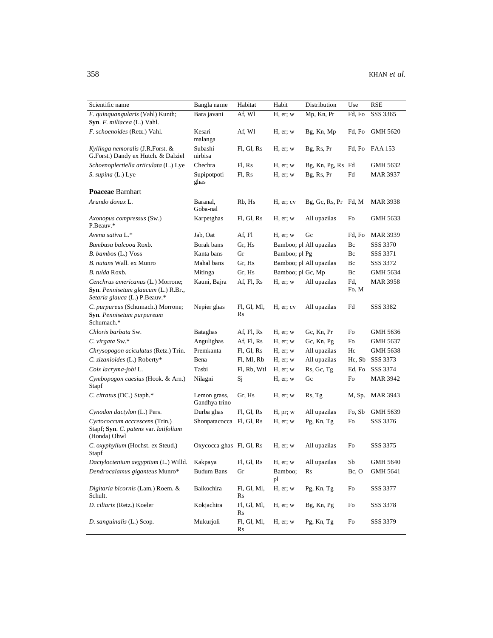| Scientific name                                                                                           | Bangla name                   | Habitat                 | Habit             | Distribution            | Use          | RSE             |
|-----------------------------------------------------------------------------------------------------------|-------------------------------|-------------------------|-------------------|-------------------------|--------------|-----------------|
| F. quinquangularis (Vahl) Kunth;                                                                          | Bara javani                   | Af, Wl                  | $H$ , er; $w$     | Mp, Kn, Pr              | Fd, Fo       | SSS 3365        |
| Syn. F. miliacea (L.) Vahl.                                                                               |                               |                         |                   |                         |              |                 |
| F. schoenoides (Retz.) Vahl.                                                                              | Kesari<br>malanga             | Af, Wl                  | H, er; w          | Bg, Kn, Mp              | Fd, Fo       | <b>GMH 5620</b> |
| Kyllinga nemoralis (J.R.Forst. &<br>G.Forst.) Dandy ex Hutch. & Dalziel                                   | Subashi<br>nirbisa            | Fl, Gl, Rs              | H, er; w          | Bg, Rs, Pr              | Fd, Fo       | FAA 153         |
| Schoenoplectiella articulata (L.) Lye                                                                     | Chechra                       | Fl, Rs                  | $H$ , er; $w$     | Bg, Kn, Pg, Rs Fd       |              | GMH 5632        |
| S. supina (L.) Lye                                                                                        | Supipotpoti<br>ghas           | Fl, Rs                  | $H$ , er; $w$     | Bg, Rs, Pr              | Fd           | MAR 3937        |
| Poaceae Barnhart                                                                                          |                               |                         |                   |                         |              |                 |
| Arundo donax L.                                                                                           | Baranal,<br>Goba-nal          | Rb, Hs                  | H, er; cv         | $Bg, Gc, Rs, Pr$ Fd, M  |              | MAR 3938        |
| Axonopus compressus (Sw.)<br>P.Beauv.*                                                                    | Karpetghas                    | Fl, Gl, Rs              | H, er; w          | All upazilas            | Fo           | GMH 5633        |
| Avena sativa L.*                                                                                          | Jab, Oat                      | Af, Fl                  | $H$ , er; w       | Gc                      | Fd, Fo       | <b>MAR 3939</b> |
| Bambusa balcooa Roxb.                                                                                     | Borak bans                    | Gr, Hs                  |                   | Bamboo; pl All upazilas | Bc           | SSS 3370        |
| B. bambos (L.) Voss                                                                                       | Kanta bans                    | Gr                      | Bamboo; pl Pg     |                         | Bc           | SSS 3371        |
| B. nutans Wall. ex Munro                                                                                  | Mahal bans                    | Gr, Hs                  |                   | Bamboo; pl All upazilas | Bc           | SSS 3372        |
| B. tulda Roxb.                                                                                            | Mitinga                       | Gr, Hs                  | Bamboo; pl Gc, Mp |                         | Bc           | GMH 5634        |
| Cenchrus americanus (L.) Morrone;<br>Syn. Pennisetum glaucum (L.) R.Br.,<br>Setaria glauca (L.) P.Beauv.* | Kauni, Bajra                  | Af, Fl, Rs              | $H$ , er; $w$     | All upazilas            | Fd,<br>Fo, M | <b>MAR 3958</b> |
| C. purpureus (Schumach.) Morrone;<br>Syn. Pennisetum purpureum<br>Schumach.*                              | Nepier ghas                   | Fl, Gl, Ml,<br>Rs       | H, er; cv         | All upazilas            | Fd           | SSS 3382        |
| Chloris barbata Sw.                                                                                       | <b>Bataghas</b>               | Af, Fl, Rs              | $H$ , er; w       | Gc, Kn, Pr              | Fo           | GMH 5636        |
| C. virgata Sw.*                                                                                           | Angulighas                    | Af, Fl, Rs              | $H$ , er; $w$     | Gc, Kn, Pg              | Fo           | GMH 5637        |
| Chrysopogon aciculatus (Retz.) Trin.                                                                      | Premkanta                     | Fl, Gl, Rs              | H, er; w          | All upazilas            | Hc           | GMH 5638        |
| C. zizanioides (L.) Roberty*                                                                              | Bena                          | Fl, Ml, Rb              | $H$ , er; $w$     | All upazilas            | Hc, Sb       | SSS 3373        |
| Coix lacryma-jobi L.                                                                                      | Tasbi                         | Fl, Rb, Wtl             | $H$ , er; $w$     | Rs, Gc, Tg              | Ed, Fo       | SSS 3374        |
| Cymbopogon caesius (Hook. & Arn.)<br>Stapf                                                                | Nilagni                       | Sj                      | $H$ , er; $w$     | Gc                      | Fo           | MAR 3942        |
| C. citratus (DC.) Staph.*                                                                                 | Lemon grass,<br>Gandhya trino | Gr, Hs                  | H, er; w          | Rs, Tg                  | M, Sp.       | MAR 3943        |
| Cynodon dactylon (L.) Pers.                                                                               | Durba ghas                    | Fl, Gl, Rs              | H, pr; w          | All upazilas            | Fo, Sb       | GMH 5639        |
| Cyrtococcum accrescens (Trin.)<br>Stapf; Syn. C. patens var. latifolium<br>(Honda) Ohwl                   | Shonpatacocca Fl, Gl, Rs      |                         | $H$ , er; w       | Pg, Kn, Tg              | Fo           | SSS 3376        |
| C. oxyphyllum (Hochst. ex Steud.)<br>Stapf                                                                | Oxycocca ghas Fl, Gl, Rs      |                         | $H$ , er; $w$     | All upazilas            | Fo           | SSS 3375        |
| Dactyloctenium aegyptium (L.) Willd. Kakpaya                                                              |                               | $Fl, Gl, Rs$ $H, er; w$ |                   | All upazilas            | Sb           | <b>GMH 5640</b> |
| Dendrocalamus giganteus Munro*                                                                            | <b>Budum Bans</b>             | Gr                      | Bamboo;<br>pl     | Rs                      | Bc, O        | <b>GMH 5641</b> |
| Digitaria bicornis (Lam.) Roem. &<br>Schult.                                                              | Baikochira                    | Fl, Gl, Ml,<br>Rs       | H, er; w          | Pg, Kn, Tg              | Fo           | SSS 3377        |
| D. ciliaris (Retz.) Koeler                                                                                | Kokjachira                    | Fl, Gl, Ml,<br>Rs       | $H$ , er; $w$     | Bg, Kn, Pg              | Fo           | SSS 3378        |
| D. sanguinalis (L.) Scop.                                                                                 | Mukurjoli                     | Fl, Gl, Ml,<br>Rs       | $H$ , er; $w$     | Pg, Kn, Tg              | Fo           | SSS 3379        |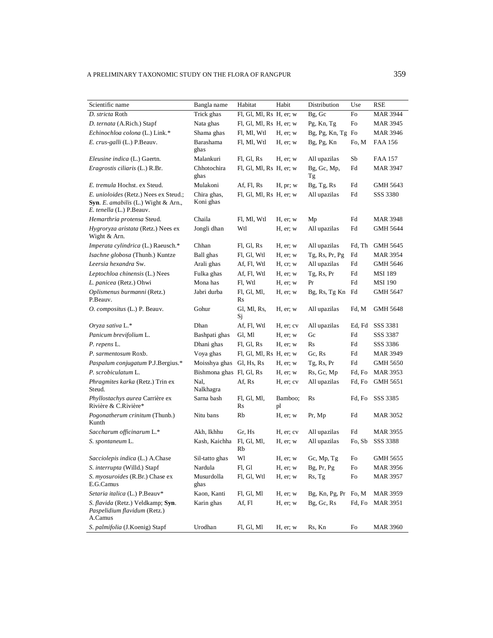| Scientific name                                                                                          | Bangla name              | Habitat                 | Habit         | Distribution         | Use    | RSE             |
|----------------------------------------------------------------------------------------------------------|--------------------------|-------------------------|---------------|----------------------|--------|-----------------|
| D. stricta Roth                                                                                          | Trick ghas               | Fl, Gl, Ml, Rs H, er; w |               | Bg, Gc               | Fo     | MAR 3944        |
| D. ternata (A.Rich.) Stapf                                                                               | Nata ghas                | Fl, Gl, Ml, Rs H, er; w |               | Pg, Kn, Tg           | Fo     | MAR 3945        |
| Echinochloa colona (L.) Link.*                                                                           | Shama ghas               | Fl, Ml, Wtl             | H, er; w      | Bg, Pg, Kn, Tg Fo    |        | MAR 3946        |
| E. crus-galli (L.) P.Beauv.                                                                              | Barashama<br>ghas        | Fl, Ml, Wtl             | H, er; w      | Bg, Pg, Kn           | Fo, M  | FAA 156         |
| Eleusine indica (L.) Gaertn.                                                                             | Malankuri                | Fl, Gl, Rs              | H, er; w      | All upazilas         | Sb     | FAA 157         |
| Eragrostis ciliaris (L.) R.Br.                                                                           | Chhotochira<br>ghas      | FI, GI, MI, Rs H, er; w |               | Bg, Gc, Mp,<br>Tg    | Fd     | MAR 3947        |
| E. tremula Hochst. ex Steud.                                                                             | Mulakoni                 | Af, Fl, Rs              | H, pr; w      | Bg, Tg, Rs           | Fd     | GMH 5643        |
| E. unioloides (Retz.) Nees ex Steud.;<br>Syn. E. amabilis (L.) Wight & Arn.,<br>E. tenella (L.) P.Beauv. | Chira ghas,<br>Koni ghas | FI, GI, MI, Rs H, er; w |               | All upazilas         | Fd     | SSS 3380        |
| Hemarthria protensa Steud.                                                                               | Chaila                   | Fl, Ml, Wtl             | H, er; w      | Mp                   | Fd     | MAR 3948        |
| Hygroryza aristata (Retz.) Nees ex<br>Wight & Arn.                                                       | Jongli dhan              | Wtl                     | H, er; w      | All upazilas         | Fd     | GMH 5644        |
| Imperata cylindrica (L.) Raeusch.*                                                                       | Chhan                    | Fl, Gl, Rs              | H, er; w      | All upazilas         | Fd, Th | GMH 5645        |
| Isachne globosa (Thunb.) Kuntze                                                                          | Ball ghas                | Fl, Gl, Wtl             | H, er; w      | Tg, Rs, Pr, Pg       | Fd     | MAR 3954        |
| Leersia hexandra Sw.                                                                                     | Arali ghas               | Af, Fl, Wtl             | H, cr, w      | All upazilas         | Fd     | GMH 5646        |
| Leptochloa chinensis (L.) Nees                                                                           | Fulka ghas               | Af, Fl, Wtl             | H, er; w      | Tg, Rs, Pr           | Fd     | MSI 189         |
| L. panicea (Retz.) Ohwi                                                                                  | Mona has                 | Fl, Wtl                 | H, er; w      | Pr                   | Fd     | MSI 190         |
| Oplismenus burmanni (Retz.)<br>P.Beauv.                                                                  | Jabri durba              | Fl, Gl, Ml,<br>Rs       | H, er; w      | Bg, Rs, Tg Kn Fd     |        | GMH 5647        |
| O. compositus (L.) P. Beauv.                                                                             | Gohur                    | Gl, Ml, Rs,<br>Sj       | H, er; w      | All upazilas         | Fd, M  | GMH 5648        |
| Oryza sativa L.*                                                                                         | Dhan                     | Af, Fl, Wtl             | H, er; cv     | All upazilas         | Ed, Fd | SSS 3381        |
| Panicum brevifolium L.                                                                                   | Bashpati ghas            | Gl, Ml                  | H, er; w      | Gc                   | Fd     | SSS 3387        |
| P. repens L.                                                                                             | Dhani ghas               | Fl, Gl, Rs              | H, er; w      | Rs                   | Fd     | SSS 3386        |
| P. sarmentosum Roxb.                                                                                     | Voya ghas                | Fl, Gl, Ml, Rs H, er; w |               | Gc, Rs               | Fd     | MAR 3949        |
| Paspalum conjugatum P.J.Bergius.*                                                                        | Moisshya ghas            | Gl, Hs, Rs              | H, er; w      | Tg, Rs, Pr           | Fd     | GMH 5650        |
| P. scrobiculatum L.                                                                                      | Bishmona ghas Fl, Gl, Rs |                         | H, er; w      | Rs, Gc, Mp           | Fd, Fo | <b>MAR 3953</b> |
| <i>Phragmites karka</i> (Retz.) Trin ex<br>Steud.                                                        | Nal,<br>Nalkhagra        | Af, Rs                  | H, er; cv     | All upazilas         | Fd, Fo | GMH 5651        |
| <i>Phyllostachys aurea</i> Carrière ex<br>Rivière & C.Rivière*                                           | Sarna bash               | Fl, Gl, Ml,<br>Rs       | Bamboo;<br>pl | Rs                   | Fd, Fo | SSS 3385        |
| Pogonatherum crinitum (Thunb.)<br>Kunth                                                                  | Nitu bans                | Rb                      | $H$ , er; w   | Pr, Mp               | Fd     | MAR 3052        |
| Saccharum officinarum L.*                                                                                | Akh, Ikhhu               | Gr. Hs                  | H, er; cv     | All upazilas         | Fd     | MAR 3955        |
| S. spontaneum L.                                                                                         | Kash, Kaichha            | Fl, Gl, Ml,<br>Rb       | $H$ , er; w   | All upazilas         | Fo, Sb | SSS 3388        |
| Sacciolepis indica (L.) A.Chase                                                                          | Sil-tatto ghas           | Wl                      | H, er; w      | Gc, Mp, Tg           | Fo     | GMH 5655        |
| S. interrupta (Willd.) Stapf                                                                             | Nardula                  | Fl, Gl                  | H, er; w      | Bg, Pr, Pg           | Fo     | MAR 3956        |
| S. myosuroides (R.Br.) Chase ex<br>E.G.Camus                                                             | Musurdolla<br>ghas       | Fl, Gl, Wtl             | H, er; w      | Rs, Tg               | Fo     | <b>MAR 3957</b> |
| Setaria italica (L.) P.Beauv*                                                                            | Kaon, Kanti              | Fl, Gl, Ml              | $H$ , er; w   | Bg, Kn, Pg, Pr Fo, M |        | MAR 3959        |
| <i>S. flavida</i> (Retz.) Veldkamp; <b>Syn</b> .<br>Paspelidium flavidum (Retz.)<br>A.Camus              | Karin ghas               | Af, Fl                  | $H$ , er; $w$ | Bg, Gc, Rs           | Fd, Fo | <b>MAR 3951</b> |
| S. palmifolia (J.Koenig) Stapf                                                                           | Urodhan                  | Fl, Gl, Ml              | H, er; w      | Rs, Kn               | Fo     | MAR 3960        |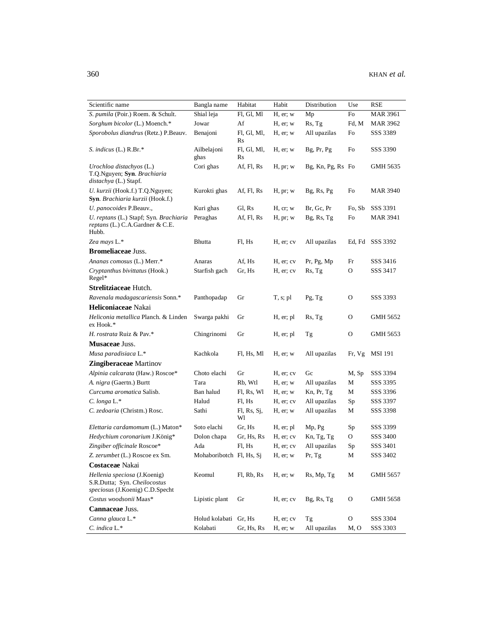| Scientific name                                                                                 | Bangla name              | Habitat           | Habit         | Distribution      | Use    | RSE             |
|-------------------------------------------------------------------------------------------------|--------------------------|-------------------|---------------|-------------------|--------|-----------------|
| S. pumila (Poir.) Roem. & Schult.                                                               | Shial leja               | Fl, Gl, Ml        | $H$ , er; $w$ | Mp                | Fo     | <b>MAR 3961</b> |
| Sorghum bicolor (L.) Moench.*                                                                   | Jowar                    | Af                | $H$ , er; $w$ | Rs, Tg            | Fd, M  | <b>MAR 3962</b> |
| Sporobolus diandrus (Retz.) P.Beauv.                                                            | Benajoni                 | Fl, Gl, Ml,<br>Rs | H, er; w      | All upazilas      | Fo     | SSS 3389        |
| S. indicus (L.) R.Br.*                                                                          | Ailbelajoni<br>ghas      | Fl, Gl, Ml,<br>Rs | H, er; w      | Bg, Pr, Pg        | Fo     | SSS 3390        |
| Urochloa distachyos (L.)<br>T.Q.Nguyen; Syn. Brachiaria<br><i>distachya</i> (L.) Stapf.         | Cori ghas                | Af, Fl, Rs        | H, pr; w      | Bg, Kn, Pg, Rs Fo |        | GMH 5635        |
| U. kurzii (Hook.f.) T.Q.Nguyen;<br>Syn. Brachiaria kurzii (Hook.f.)                             | Kurokti ghas             | Af, Fl, Rs        | H, pr; w      | Bg, Rs, Pg        | Fo     | MAR 3940        |
| U. panocoides P.Beauv.,                                                                         | Kuri ghas                | Gl, Rs            | H, cr, w      | Br, Gc, Pr        | Fo, Sb | SSS 3391        |
| U. reptans (L.) Stapf; Syn. Brachiaria<br><i>reptans</i> (L.) C.A.Gardner & C.E.<br>Hubb.       | Peraghas                 | Af, Fl, Rs        | H, pr; w      | $Bg$ , Rs, Tg     | Fo     | <b>MAR 3941</b> |
| Zea mays L.*                                                                                    | Bhutta                   | Fl, Hs            | H, er; cv     | All upazilas      | Ed, Fd | SSS 3392        |
| <b>Bromeliaceae Juss.</b>                                                                       |                          |                   |               |                   |        |                 |
| Ananas comosus (L.) Merr.*                                                                      | Anaras                   | Af, Hs            | H, er; cv     | Pr, Pg, Mp        | Fr     | SSS 3416        |
| Cryptanthus bivittatus (Hook.)<br>Regel*                                                        | Starfish gach            | Gr, Hs            | H, er; cv     | Rs, Tg            | O      | SSS 3417        |
| Strelitziaceae Hutch.                                                                           |                          |                   |               |                   |        |                 |
| Ravenala madagascariensis Sonn.*                                                                | Panthopadap              | Gr                | $T, s;$ pl    | Pg, Tg            | O      | SSS 3393        |
| Heliconiaceae Nakai                                                                             |                          |                   |               |                   |        |                 |
| Heliconia metallica Planch. & Linden<br>ex Hook.*                                               | Swarga pakhi             | Gr                | H, er; pl     | Rs, Tg            | O      | GMH 5652        |
| H. rostrata Ruiz & Pav.*                                                                        | Chingrinomi              | Gr                | H, er; pl     | Тg                | O      | GMH 5653        |
| <b>Musaceae Juss.</b>                                                                           |                          |                   |               |                   |        |                 |
| Musa paradisiaca L.*                                                                            | Kachkola                 | Fl, Hs, Ml        | H, er; w      | All upazilas      | Fr, Vg | <b>MSI 191</b>  |
| <b>Zingiberaceae</b> Martinov                                                                   |                          |                   |               |                   |        |                 |
| Alpinia calcarata (Haw.) Roscoe*                                                                | Choto elachi             | Gr                | H, er; cv     | Gc                | M, Sp  | SSS 3394        |
| A. nigra (Gaertn.) Burtt                                                                        | Tara                     | Rb, Wtl           | $H$ , er; $w$ | All upazilas      | М      | SSS 3395        |
| Curcuma aromatica Salisb.                                                                       | Ban halud                | Fl, Rs, Wl        | $H$ , er; w   | Kn, Pr, Tg        | М      | SSS 3396        |
| $C. long a L.*$                                                                                 | Halud                    | Fl, Hs            | H, er; cv     | All upazilas      | Sp     | SSS 3397        |
| C. zedoaria (Christm.) Rosc.                                                                    | Sathi                    | FI, Rs, Sj,<br>Wl | $H$ , er; $w$ | All upazilas      | М      | SSS 3398        |
| Elettaria cardamomum (L.) Maton*                                                                | Soto elachi              | Gr, Hs            | H, er; pl     | Mp, Pg            | Sp     | SSS 3399        |
| Hedychium coronarium J.König*                                                                   | Dolon chapa              | Gr, Hs, Rs        | H, er; cv     | Kn, Tg, Tg        | 0      | SSS 3400        |
| Zingiber officinale Roscoe*                                                                     | Ada                      | Fl. Hs            | H, er; cv     | All upazilas      | Sp     | SSS 3401        |
| Z. zerumbet (L.) Roscoe ex Sm.                                                                  | Mohaboribotch Fl, Hs, Sj |                   | H, er; w      | Pr, Tg            | М      | SSS 3402        |
| Costaceae Nakai                                                                                 |                          |                   |               |                   |        |                 |
| Hellenia speciosa (J.Koenig)<br>S.R.Dutta; Syn. Cheilocostus<br>speciosus (J.Koenig) C.D.Specht | Keomul                   | Fl, Rb, Rs        | H, er; w      | Rs, Mp, Tg        | М      | GMH 5657        |
| Costus woodsonii Maas*                                                                          | Lipistic plant           | Gr                | H, er; cv     | Bg, Rs, Tg        | O      | GMH 5658        |
| Cannaceae Juss.                                                                                 |                          |                   |               |                   |        |                 |
| Canna glauca L.*                                                                                | Holud kolabati           | Gr, Hs            | H, er; cv     | Tg                | O      | SSS 3304        |
| C. indica L.*                                                                                   | Kolabati                 | Gr, Hs, Rs        | $H$ , er; w   | All upazilas      | M, O   | SSS 3303        |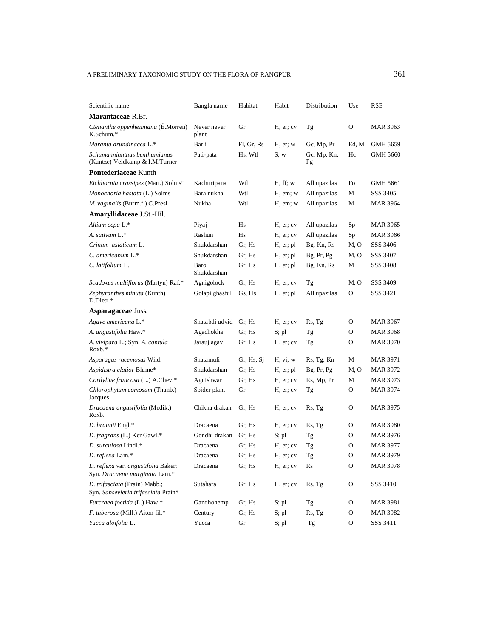| Scientific name                                                      | Bangla name          | Habitat    | Habit         | Distribution      | Use           | RSE             |
|----------------------------------------------------------------------|----------------------|------------|---------------|-------------------|---------------|-----------------|
| <b>Marantaceae R.Br.</b>                                             |                      |            |               |                   |               |                 |
| Ctenanthe oppenheimiana (É.Morren)<br>K.Schum.*                      | Never never<br>plant | Gr         | H, er; cv     | Tg                | О             | <b>MAR 3963</b> |
| Maranta arundinacea L.*                                              | Barli                | Fl, Gr, Rs | $H$ , er; $w$ | Gc, Mp, Pr        | Ed, M         | GMH 5659        |
| Schumannianthus benthamianus<br>(Kuntze) Veldkamp & I.M.Turner       | Pati-pata            | Hs, Wtl    | S; w          | Gc, Mp, Kn,<br>Pg | Hc            | <b>GMH 5660</b> |
| Pontederiaceae Kunth                                                 |                      |            |               |                   |               |                 |
| Eichhornia crassipes (Mart.) Solms*                                  | Kachuripana          | Wtl        | H, ff; w      | All upazilas      | Fo            | GMH 5661        |
| Monochoria hastata (L.) Solms                                        | Bara nukha           | Wtl        | H, em; w      | All upazilas      | М             | SSS 3405        |
| M. vaginalis (Burm.f.) C.Presl                                       | Nukha                | Wtl        | $H$ , em; $w$ | All upazilas      | М             | <b>MAR 3964</b> |
| Amaryllidaceae J.St.-Hil.                                            |                      |            |               |                   |               |                 |
| Allium cepa L.*                                                      | Piyaj                | Hs         | H, er; cv     | All upazilas      | Sp            | MAR 3965        |
| A. sativum L.*                                                       | Rashun               | Hs         | H, er; cv     | All upazilas      | Sp            | MAR 3966        |
| Crinum asiaticum L.                                                  | Shukdarshan          | Gr, Hs     | H, er; pl     | Bg, Kn, Rs        | M, O          | SSS 3406        |
| C. americanum L.*                                                    | Shukdarshan          | Gr, Hs     | H, er; pl     | Bg, Pr, Pg        | M, O          | SSS 3407        |
| C. latifolium L.                                                     | Baro<br>Shukdarshan  | Gr, Hs     | H, er; pl     | Bg, Kn, Rs        | М             | SSS 3408        |
| Scadoxus multiflorus (Martyn) Raf.*                                  | Agnigolock           | Gr, Hs     | H, er; cv     | Tg                | M, O          | SSS 3409        |
| Zephyranthes minuta (Kunth)<br>D.Dietr.*                             | Golapi ghasful       | Gs, Hs     | H, er; pl     | All upazilas      | O             | SSS 3421        |
| Asparagaceae Juss.                                                   |                      |            |               |                   |               |                 |
| Agave americana L.*                                                  | Shatabdi udvid       | Gr, Hs     | H, er; cv     | Rs, Tg            | 0             | <b>MAR 3967</b> |
| A. angustifolia Haw.*                                                | Agachokha            | Gr, Hs     | S; pl         | Tg                | 0             | <b>MAR 3968</b> |
| A. vivipara L.; Syn. A. cantula<br>Roxb.*                            | Jarauj agav          | Gr, Hs     | H, er; cv     | Tg                | 0             | <b>MAR 3970</b> |
| Asparagus racemosus Wild.                                            | Shatamuli            | Gr, Hs, Sj | H, vi; w      | Rs, Tg, Kn        | М             | <b>MAR 3971</b> |
| Aspidistra elatior Blume*                                            | Shukdarshan          | Gr, Hs     | H, er; pl     | Bg, Pr, Pg        | M, O          | MAR 3972        |
| Cordyline fruticosa (L.) A.Chev.*                                    | Agnishwar            | Gr, Hs     | H, er; cv     | Rs, Mp, Pr        | M             | MAR 3973        |
| Chlorophytum comosum (Thunb.)<br>Jacques                             | Spider plant         | Gr         | H, er; cv     | Tg                | О             | <b>MAR 3974</b> |
| Dracaena angustifolia (Medik.)<br>Roxb.                              | Chikna drakan        | Gr, Hs     | H, er; cv     | Rs, Tg            | О             | MAR 3975        |
| D. braunii Engl.*                                                    | Dracaena             | Gr, Hs     | H, er; cv     | Rs, Tg            | 0             | <b>MAR 3980</b> |
| D. fragrans (L.) Ker Gawl.*                                          | Gondhi drakan        | Gr, Hs     | S; pl         | Тg                | 0             | <b>MAR 3976</b> |
| D. surculosa Lindl.*                                                 | Dracaena             | Gr, Hs     | H, er; cv     | Тg                | О             | <b>MAR 3977</b> |
| D. reflexa Lam.*                                                     | Dracaena             | Gr, Hs     | H, er; cv     | Tg                | O             | <b>MAR 3979</b> |
| D. reflexa var. angustifolia Baker;<br>Syn. Dracaena marginata Lam.* | Dracaena             | Gr, Hs     | H, er; cv     | Rs                | $\mathbf O$   | MAR 3978        |
| D. trifasciata (Prain) Mabb.;<br>Syn. Sansevieria trifasciata Prain* | Sutahara             | Gr, Hs     | H, er; cv     | Rs, Tg            | O             | SSS 3410        |
| Furcraea foetida (L.) Haw.*                                          | Gandhohemp           | Gr, Hs     | S; pl         | Tg                | $\mathbf O$   | <b>MAR 3981</b> |
| F. tuberosa (Mill.) Aiton fil.*                                      | Century              | Gr, Hs     | S; pl         | Rs, Tg            | O             | <b>MAR 3982</b> |
| Yucca aloifolia L.                                                   | Yucca                | Gr         | $S;$ pl       | Tg                | $\mathcal{O}$ | SSS 3411        |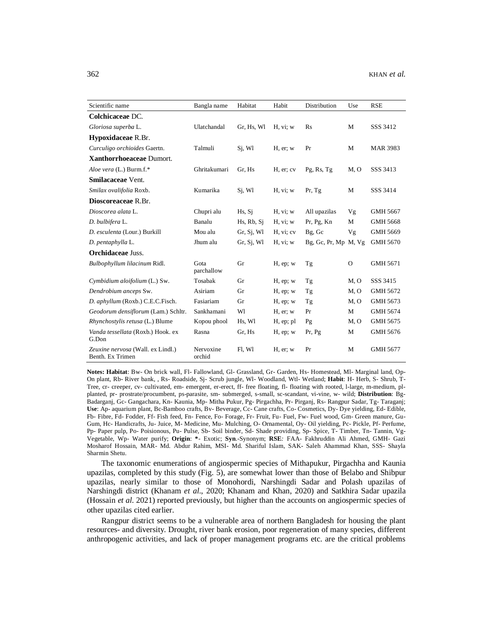| Scientific name                                       | Bangla name         | Habitat    | Habit         | Distribution            | Use      | <b>RSE</b>      |
|-------------------------------------------------------|---------------------|------------|---------------|-------------------------|----------|-----------------|
| Colchicaceae DC.                                      |                     |            |               |                         |          |                 |
| Gloriosa superba L.                                   | Ulatchandal         | Gr, Hs, Wl | H, vi; w      | Rs                      | M        | SSS 3412        |
| Hypoxidaceae R.Br.                                    |                     |            |               |                         |          |                 |
| Curculigo orchioides Gaertn.                          | Talmuli             | Si, Wl     | $H$ , er; $w$ | Pr                      | M        | <b>MAR 3983</b> |
| Xanthorrhoeaceae Dumort.                              |                     |            |               |                         |          |                 |
| Aloe vera (L.) Burm.f.*                               | Ghritakumari        | Gr, Hs     | H, er; cv     | Pg, Rs, Tg              | M, O     | SSS 3413        |
| <b>Smilacaceae Vent.</b>                              |                     |            |               |                         |          |                 |
| Smilax ovalifolia Roxb.                               | Kumarika            | Si, Wl     | H, vi; w      | Pr, Tg                  | M        | SSS 3414        |
| Dioscoreaceae R.Br.                                   |                     |            |               |                         |          |                 |
| Dioscorea alata L.                                    | Chupri alu          | Hs, Sj     | H, vi; w      | All upazilas            | Vg       | GMH 5667        |
| D. bulbifera L.                                       | Banalu              | Hs, Rb, Si | H, vi; w      | Pr, Pg, Kn              | M        | <b>GMH 5668</b> |
| D. esculenta (Lour.) Burkill                          | Mou alu             | Gr, Sj, Wl | H, vi; cv     | Bg, Gc                  | Vg       | GMH 5669        |
| D. pentaphylla L.                                     | Jhum alu            | Gr, Si, W1 | H, vi; w      | $Bg$ , Gc, Pr, Mp M, Vg |          | <b>GMH 5670</b> |
| <b>Orchidaceae Juss.</b>                              |                     |            |               |                         |          |                 |
| Bulbophyllum lilacinum Ridl.                          | Gota<br>parchallow  | Gr         | $H$ , ep; $w$ | Tg                      | $\Omega$ | GMH 5671        |
| Cymbidium aloifolium (L.) Sw.                         | Tosabak             | Gr         | $H$ , ep; $w$ | Tg                      | M, O     | SSS 3415        |
| Dendrobium anceps Sw.                                 | Asiriam             | Gr         | $H$ , ep; $w$ | Tg                      | M, O     | GMH 5672        |
| D. aphyllum (Roxb.) C.E.C.Fisch.                      | Fasiariam           | Gr         | $H$ , ep; $w$ | Tg                      | M, O     | GMH 5673        |
| Geodorum densiflorum (Lam.) Schltr.                   | Sankhamani          | W1         | $H$ , er; $w$ | Pr                      | M        | GMH 5674        |
| Rhynchostylis retusa (L.) Blume                       | Kopou phool         | Hs, Wl     | $H$ , ep; pl  | Pg                      | M, O     | GMH 5675        |
| Vanda tessellata (Roxb.) Hook. ex<br>G.Don            | Rasna               | Gr, Hs     | $H$ , ep; $w$ | Pr, Pg                  | M        | GMH 5676        |
| Zeuxine nervosa (Wall. ex Lindl.)<br>Benth. Ex Trimen | Nervoxine<br>orchid | Fl. Wl     | $H$ , er; $w$ | Pr                      | M        | GMH 5677        |

**Notes: Habitat**: Bw- On brick wall, Fl- Fallowland, Gl- Grassland, Gr- Garden, Hs- Homestead, Ml- Marginal land, Op-On plant, Rb- River bank, , Rs- Roadside, Sj- Scrub jungle, Wl- Woodland, Wtl- Wetland; **Habit**: H- Herb, S- Shrub, T-Tree, cr- creeper, cv- cultivated, em- emergent, er-erect, ff- free floating, fl- floating with rooted, l-large, m-medium, plplanted, pr- prostrate/procumbent, ps-parasite, sm- submerged, s-small, sc-scandant, vi-vine, w- wild; **Distribution**: Bg-Badarganj, Gc- Gangachara, Kn- Kaunia, Mp- Mitha Pukur, Pg- Pirgachha, Pr- Pirganj, Rs- Rangpur Sadar, Tg- Taraganj; **Use**: Ap- aquarium plant, Bc-Bamboo crafts, Bv- Beverage, Cc- Cane crafts, Co- Cosmetics, Dy- Dye yielding, Ed- Edible, Fb- Fibre, Fd- Fodder, Ff- Fish feed, Fn- Fence, Fo- Forage, Fr- Fruit, Fu- Fuel, Fw- Fuel wood, Gm- Green manure, Gu-Gum, Hc- Handicrafts, Ju- Juice, M- Medicine, Mu- Mulching, O- Ornamental, Oy- Oil yielding, Pc- Pickle, Pf- Perfume, Pp- Paper pulp, Po- Poisionous, Pu- Pulse, Sb- Soil binder, Sd- Shade providing, Sp- Spice, T- Timber, Tn- Tannin, Vg-Vegetable, Wp- Water purify; **Origin**: **\***- Exotic; **Syn**.-Synonym; **RSE***:* FAA- Fakhruddin Ali Ahmed, GMH- Gazi Mosharof Hossain, MAR- Md. Abdur Rahim, MSI- Md. Shariful Islam, SAK- Saleh Ahammad Khan, SSS- Shayla Sharmin Shetu.

The taxonomic enumerations of angiospermic species of Mithapukur, Pirgachha and Kaunia upazilas, completed by this study (Fig. 5), are somewhat lower than those of Belabo and Shibpur upazilas, nearly similar to those of Monohordi, Narshingdi Sadar and Polash upazilas of Narshingdi district (Khanam *et al*., 2020; Khanam and Khan, 2020) and Satkhira Sadar upazila (Hossain *et al*. 2021) reported previously, but higher than the accounts on angiospermic species of other upazilas cited earlier.

Rangpur district seems to be a vulnerable area of northern Bangladesh for housing the plant resources- and diversity. Drought, river bank erosion, poor regeneration of many species, different anthropogenic activities, and lack of proper management programs etc. are the critical problems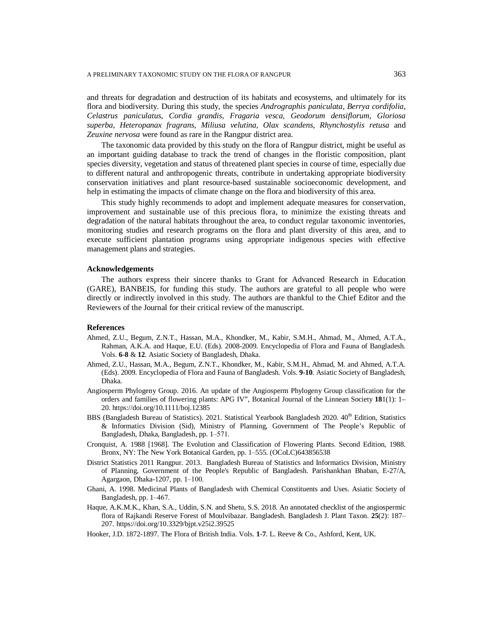and threats for degradation and destruction of its habitats and ecosystems, and ultimately for its flora and biodiversity. During this study, the species *Andrographis paniculata*, *Berrya cordifolia*, *Celastrus paniculatus*, *Cordia grandis*, *Fragaria vesca*, *Geodorum densiflorum*, *Gloriosa superba*, *Heteropanax fragrans*, *Miliusa velutina*, *Olax scandens*, *Rhynchostylis retusa* and *Zeuxine nervosa* were found as rare in the Rangpur district area.

The taxonomic data provided by this study on the flora of Rangpur district, might be useful as an important guiding database to track the trend of changes in the floristic composition, plant species diversity, vegetation and status of threatened plant species in course of time, especially due to different natural and anthropogenic threats, contribute in undertaking appropriate biodiversity conservation initiatives and plant resource-based sustainable socioeconomic development, and help in estimating the impacts of climate change on the flora and biodiversity of this area.

This study highly recommends to adopt and implement adequate measures for conservation, improvement and sustainable use of this precious flora, to minimize the existing threats and degradation of the natural habitats throughout the area, to conduct regular taxonomic inventories, monitoring studies and research programs on the flora and plant diversity of this area, and to execute sufficient plantation programs using appropriate indigenous species with effective management plans and strategies.

#### **Acknowledgements**

The authors express their sincere thanks to Grant for Advanced Research in Education (GARE), BANBEIS, for funding this study. The authors are grateful to all people who were directly or indirectly involved in this study. The authors are thankful to the Chief Editor and the Reviewers of the Journal for their critical review of the manuscript.

#### **References**

- Ahmed, Z.U., Begum, Z.N.T., Hassan, M.A., Khondker, M., Kabir, S.M.H., Ahmad, M., Ahmed, A.T.A., Rahman, A.K.A. and Haque, E.U. (Eds). 2008-2009. Encyclopedia of Flora and Fauna of Bangladesh. Vols. **6**-**8** & **12**. Asiatic Society of Bangladesh, Dhaka.
- Ahmed, Z.U., Hassan, M.A., Begum, Z.N.T., Khondker, M., Kabir, S.M.H., Ahmad, M. and Ahmed, A.T.A. (Eds). 2009. Encyclopedia of Flora and Fauna of Bangladesh. Vols. **9**-**10**. Asiatic Society of Bangladesh, Dhaka.
- Angiosperm Phylogeny Group. 2016. An update of the Angiosperm Phylogeny Group classification for the orders and families of flowering plants: APG IV", Botanical Journal of the Linnean Society **18**1(1): 1– 20. <https://doi.org/10.1111/boj.12385>
- BBS (Bangladesh Bureau of Statistics). 2021. Statistical Yearbook Bangladesh 2020.  $40^{th}$  Edition, Statistics & Informatics Division (Sid), Ministry of Planning, Government of The People's Republic of Bangladesh, Dhaka, Bangladesh, pp. 1-571.
- Cronquist, A. 1988 [1968]. The Evolution and Classification of Flowering Plants. Second Edition, 1988. Bronx, NY: The New York Botanical Garden, pp. 1–555. (OCoLC)643856538
- District Statistics 2011 Rangpur. 2013. Bangladesh Bureau of Statistics and Informatics Division, Ministry of Planning, Government of the People's Republic of Bangladesh. Parishankhan Bhaban, E-27/A, Agargaon, Dhaka-1207, pp. 1-100.
- Ghani, A. 1998. Medicinal Plants of Bangladesh with Chemical Constituents and Uses. Asiatic Society of Bangladesh, pp. 1–467.
- Haque, A.K.M.K., Khan, S.A., Uddin, S.N. and Shetu, S.S. 2018. An annotated checklist of the angiospermic flora of Rajkandi Reserve Forest of Moulvibazar. Bangladesh. Bangladesh J. Plant Taxon. 25(2): 187-207. <https://doi.org/10.3329/bjpt.v25i2.39525>
- Hooker, J.D. 1872-1897. The Flora of British India. Vols. **1**-**7**. L. Reeve & Co., Ashford, Kent, UK.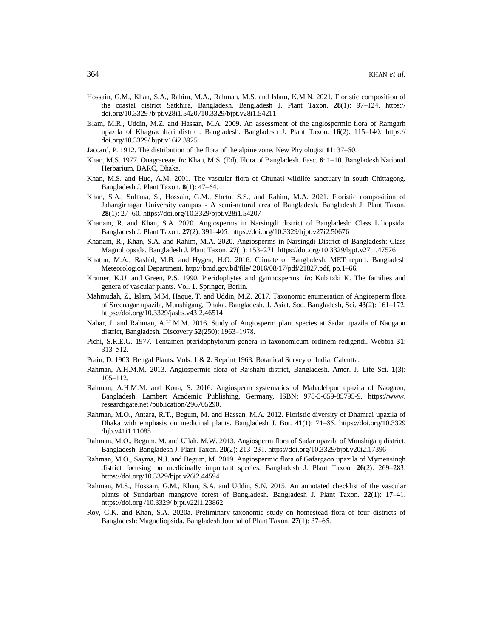- Hossain, G.M., Khan, S.A., Rahim, M.A., Rahman, M.S. and Islam, K.M.N. 2021. Floristic composition of the coastal district Satkhira, Bangladesh. Bangladesh J. Plant Taxon. 28(1): 97-124. <https://> doi.org/10.3329 /bjpt.v28i1.5420710.3329/bjpt.v28i1.54211
- Islam, M.R., Uddin, M.Z. and Hassan, M.A. 2009. An assessment of the angiospermic flora of Ramgarh upazila of Khagrachhari district. Bangladesh. Bangladesh J. Plant Taxon. 16(2): 115–140. <https://> doi.org/10.3329/ bjpt.v16i2.3925
- Jaccard, P. 1912. The distribution of the flora of the alpine zone. New Phytologist 11: 37–50.
- Khan, M.S. 1977. Onagraceae. *In*: Khan, M.S. (Ed). Flora of Bangladesh. Fasc. 6: 1-10. Bangladesh National Herbarium, BARC, Dhaka.
- Khan, M.S. and Huq, A.M. 2001. The vascular flora of Chunati wildlife sanctuary in south Chittagong. Bangladesh J. Plant Taxon*.* **8**(1): 47‒64.
- Khan, S.A., Sultana, S., Hossain, G.M., Shetu, S.S., and Rahim, M.A. 2021. Floristic composition of Jahangirnagar University campus - A semi-natural area of Bangladesh. Bangladesh J. Plant Taxon. **28**(1): 27‒60. <https://doi.org/10.3329/bjpt.v28i1.54207>
- Khanam, R. and Khan, S.A. 2020. Angiosperms in Narsingdi district of Bangladesh: Class Liliopsida. Bangladesh J. Plant Taxon. **27**(2): 391‒405. <https://doi.org/10.3329/bjpt.v27i2.50676>
- Khanam, R., Khan, S.A. and Rahim, M.A. 2020. Angiosperms in Narsingdi District of Bangladesh: Class Magnoliopsida. Bangladesh J. Plant Taxon. **27**(1): 153‒271. <https://doi.org/10.3329/bjpt.v27i1.47576>
- Khatun, M.A., Rashid, M.B. and Hygen, H.O. 2016. Climate of Bangladesh. MET report. Bangladesh Meteorological Department.<http://bmd.gov.bd/file/>2016/08/17/pdf/21827.pdf, pp.1-66.
- Kramer, K.U. and Green, P.S. 1990. Pteridophytes and gymnosperms. *In*: Kubitzki K. The families and genera of vascular plants. Vol. **1**. Springer, Berlin.
- Mahmudah, Z., Islam, M.M, Haque, T. and Uddin, M.Z. 2017. Taxonomic enumeration of Angiosperm flora of Sreenagar upazila, Munshigang, Dhaka, Bangladesh. J. Asiat. Soc. Bangladesh, Sci. 43(2): 161–172. <https://doi.org/10.3329/jasbs.v43i2.46514>
- Nahar, J. and Rahman, A.H.M.M. 2016. Study of Angiosperm plant species at Sadar upazila of Naogaon district, Bangladesh. Discovery **52**(250): 1963‒1978.
- Pichi, S.R.E.G. 1977. Tentamen pteridophytorum genera in taxonomicum ordinem redigendi. Webbia **31**: 313‒512.
- Prain, D. 1903. Bengal Plants. Vols. **1** & **2**. Reprint 1963. Botanical Survey of India, Calcutta.
- Rahman, A.H.M.M. 2013. Angiospermic flora of Rajshahi district, Bangladesh. Amer. J. Life Sci. **1**(3): 105‒112.
- Rahman, A.H.M.M. and Kona, S. 2016. Angiosperm systematics of Mahadebpur upazila of Naogaon, Bangladesh. Lambert Academic Publishing, Germany, ISBN: 978-3-659-85795-9. <https://www.> researchgate.net /publication/296705290.
- Rahman, M.O., Antara, R.T., Begum, M. and Hassan, M.A. 2012. Floristic diversity of Dhamrai upazila of Dhaka with emphasis on medicinal plants. Bangladesh J. Bot. **41**(1): 71‒85. <https://doi.org/10.3329> /bjb.v41i1.11085
- Rahman, M.O., Begum, M. and Ullah, M.W. 2013. Angiosperm flora of Sadar upazila of Munshiganj district, Bangladesh. Bangladesh J. Plant Taxon. **20**(2): 213‒231. <https://doi.org/10.3329/bjpt.v20i2.17396>
- Rahman, M.O., Sayma, N.J. and Begum, M. 2019. Angiospermic flora of Gafargaon upazila of Mymensingh district focusing on medicinally important species. Bangladesh J. Plant Taxon. 26(2): 269–283. <https://doi.org/10.3329/bjpt.v26i2.44594>
- Rahman, M.S., Hossain, G.M., Khan, S.A. and Uddin, S.N. 2015. An annotated checklist of the vascular plants of Sundarban mangrove forest of Bangladesh. Bangladesh J. Plant Taxon. **22**(1): 17‒41. <https://doi.org>/10.3329/ bjpt.v22i1.23862
- Roy, G.K. and Khan, S.A. 2020a. Preliminary taxonomic study on homestead flora of four districts of Bangladesh: Magnoliopsida. Bangladesh Journal of Plant Taxon. **27**(1): 37‒65.